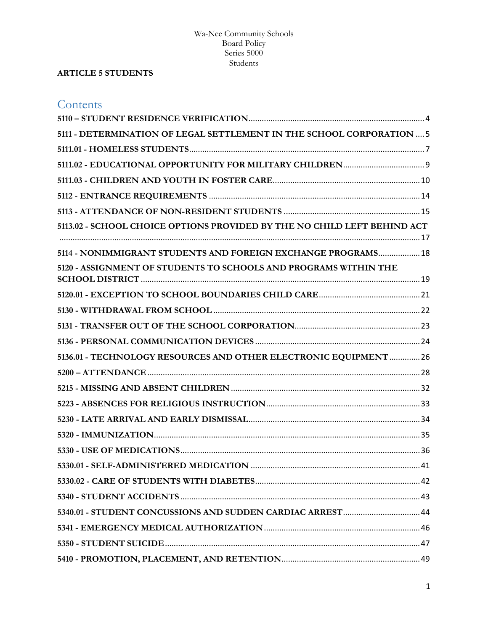## **ARTICLE 5 STUDENTS**

| Contents                                                                 |  |  |  |
|--------------------------------------------------------------------------|--|--|--|
|                                                                          |  |  |  |
| 5111 - DETERMINATION OF LEGAL SETTLEMENT IN THE SCHOOL CORPORATION  5    |  |  |  |
|                                                                          |  |  |  |
|                                                                          |  |  |  |
|                                                                          |  |  |  |
|                                                                          |  |  |  |
|                                                                          |  |  |  |
| 5113.02 - SCHOOL CHOICE OPTIONS PROVIDED BY THE NO CHILD LEFT BEHIND ACT |  |  |  |
|                                                                          |  |  |  |
| 5114 - NONIMMIGRANT STUDENTS AND FOREIGN EXCHANGE PROGRAMS 18            |  |  |  |
| 5120 - ASSIGNMENT OF STUDENTS TO SCHOOLS AND PROGRAMS WITHIN THE         |  |  |  |
|                                                                          |  |  |  |
|                                                                          |  |  |  |
|                                                                          |  |  |  |
|                                                                          |  |  |  |
| 5136.01 - TECHNOLOGY RESOURCES AND OTHER ELECTRONIC EQUIPMENT  26        |  |  |  |
|                                                                          |  |  |  |
|                                                                          |  |  |  |
|                                                                          |  |  |  |
|                                                                          |  |  |  |
|                                                                          |  |  |  |
|                                                                          |  |  |  |
|                                                                          |  |  |  |
|                                                                          |  |  |  |
|                                                                          |  |  |  |
|                                                                          |  |  |  |
|                                                                          |  |  |  |
|                                                                          |  |  |  |
|                                                                          |  |  |  |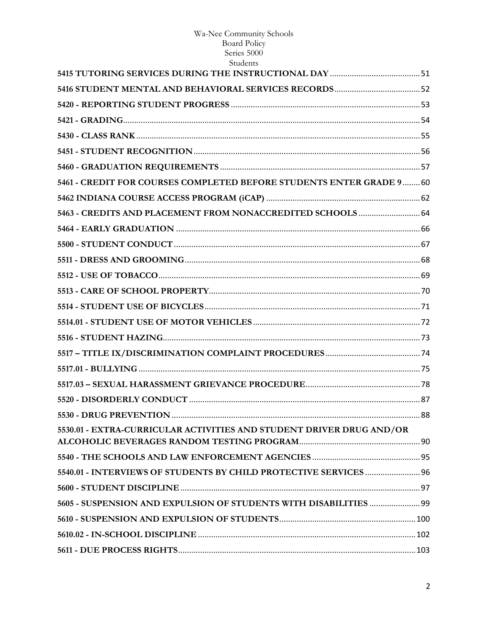# Wa-Nee Community Schools<br>Board Policy<br>Series 5000

| Students                                                              |  |
|-----------------------------------------------------------------------|--|
|                                                                       |  |
|                                                                       |  |
|                                                                       |  |
|                                                                       |  |
|                                                                       |  |
|                                                                       |  |
|                                                                       |  |
| 5461 - CREDIT FOR COURSES COMPLETED BEFORE STUDENTS ENTER GRADE 9  60 |  |
|                                                                       |  |
| 5463 - CREDITS AND PLACEMENT FROM NONACCREDITED SCHOOLS  64           |  |
|                                                                       |  |
|                                                                       |  |
|                                                                       |  |
|                                                                       |  |
|                                                                       |  |
|                                                                       |  |
|                                                                       |  |
|                                                                       |  |
|                                                                       |  |
|                                                                       |  |
|                                                                       |  |
|                                                                       |  |
|                                                                       |  |
| 5530.01 - EXTRA-CURRICULAR ACTIVITIES AND STUDENT DRIVER DRUG AND/OR  |  |
|                                                                       |  |
|                                                                       |  |
| 5540.01 - INTERVIEWS OF STUDENTS BY CHILD PROTECTIVE SERVICES  96     |  |
|                                                                       |  |
| 5605 - SUSPENSION AND EXPULSION OF STUDENTS WITH DISABILITIES  99     |  |
|                                                                       |  |
|                                                                       |  |
|                                                                       |  |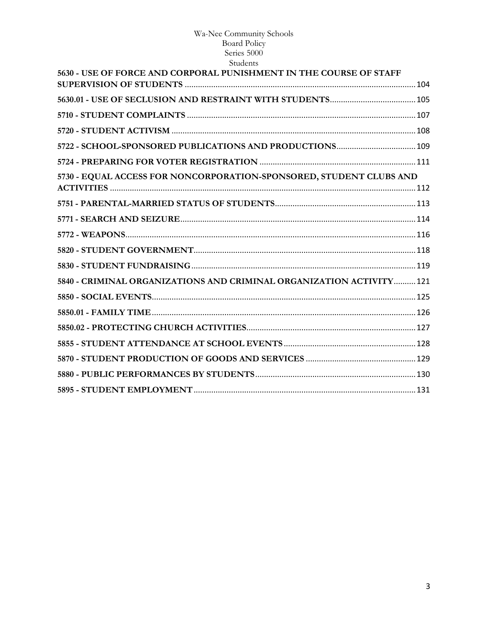| 5630 - USE OF FORCE AND CORPORAL PUNISHMENT IN THE COURSE OF STAFF   |  |
|----------------------------------------------------------------------|--|
|                                                                      |  |
|                                                                      |  |
|                                                                      |  |
|                                                                      |  |
|                                                                      |  |
| 5730 - EQUAL ACCESS FOR NONCORPORATION-SPONSORED, STUDENT CLUBS AND  |  |
|                                                                      |  |
|                                                                      |  |
|                                                                      |  |
|                                                                      |  |
|                                                                      |  |
|                                                                      |  |
| 5840 - CRIMINAL ORGANIZATIONS AND CRIMINAL ORGANIZATION ACTIVITY 121 |  |
|                                                                      |  |
|                                                                      |  |
|                                                                      |  |
|                                                                      |  |
|                                                                      |  |
|                                                                      |  |
|                                                                      |  |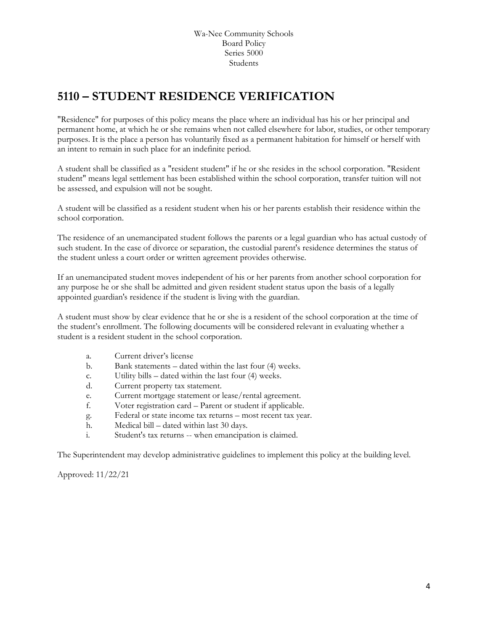# <span id="page-3-0"></span>**5110 – STUDENT RESIDENCE VERIFICATION**

"Residence" for purposes of this policy means the place where an individual has his or her principal and permanent home, at which he or she remains when not called elsewhere for labor, studies, or other temporary purposes. It is the place a person has voluntarily fixed as a permanent habitation for himself or herself with an intent to remain in such place for an indefinite period.

A student shall be classified as a "resident student" if he or she resides in the school corporation. "Resident student" means legal settlement has been established within the school corporation, transfer tuition will not be assessed, and expulsion will not be sought.

A student will be classified as a resident student when his or her parents establish their residence within the school corporation.

The residence of an unemancipated student follows the parents or a legal guardian who has actual custody of such student. In the case of divorce or separation, the custodial parent's residence determines the status of the student unless a court order or written agreement provides otherwise.

If an unemancipated student moves independent of his or her parents from another school corporation for any purpose he or she shall be admitted and given resident student status upon the basis of a legally appointed guardian's residence if the student is living with the guardian.

A student must show by clear evidence that he or she is a resident of the school corporation at the time of the student's enrollment. The following documents will be considered relevant in evaluating whether a student is a resident student in the school corporation.

- a. Current driver's license
- b. Bank statements dated within the last four (4) weeks.
- c. Utility bills dated within the last four (4) weeks.
- d. Current property tax statement.
- e. Current mortgage statement or lease/rental agreement.
- f. Voter registration card Parent or student if applicable.
- g. Federal or state income tax returns most recent tax year.
- h. Medical bill dated within last 30 days.
- i. Student's tax returns -- when emancipation is claimed.

The Superintendent may develop administrative guidelines to implement this policy at the building level.

Approved: 11/22/21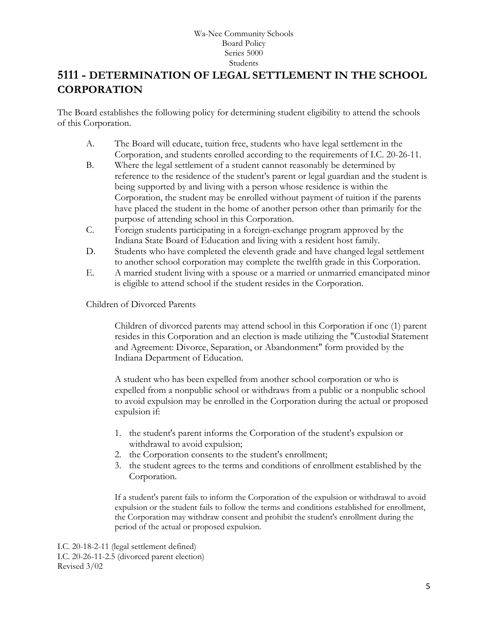# <span id="page-4-0"></span>**[5111](http://www.neola.com/wanee-in/search/ag/ag5111.htm) - DETERMINATION OF LEGAL SETTLEMENT IN THE SCHOOL CORPORATION**

The Board establishes the following policy for determining student eligibility to attend the schools of this Corporation.

- A. The Board will educate, tuition free, students who have legal settlement in the Corporation, and students enrolled according to the requirements of I.C. 20-26-11.
- B. Where the legal settlement of a student cannot reasonably be determined by reference to the residence of the student's parent or legal guardian and the student is being supported by and living with a person whose residence is within the Corporation, the student may be enrolled without payment of tuition if the parents have placed the student in the home of another person other than primarily for the purpose of attending school in this Corporation.
- C. Foreign students participating in a foreign-exchange program approved by the Indiana State Board of Education and living with a resident host family.
- D. Students who have completed the eleventh grade and have changed legal settlement to another school corporation may complete the twelfth grade in this Corporation.
- E. A married student living with a spouse or a married or unmarried emancipated minor is eligible to attend school if the student resides in the Corporation.

Children of Divorced Parents

Children of divorced parents may attend school in this Corporation if one (1) parent resides in this Corporation and an election is made utilizing the "Custodial Statement and Agreement: Divorce, Separation, or Abandonment" form provided by the Indiana Department of Education.

A student who has been expelled from another school corporation or who is expelled from a nonpublic school or withdraws from a public or a nonpublic school to avoid expulsion may be enrolled in the Corporation during the actual or proposed expulsion if:

- 1. the student's parent informs the Corporation of the student's expulsion or withdrawal to avoid expulsion;
- 2. the Corporation consents to the student's enrollment;
- 3. the student agrees to the terms and conditions of enrollment established by the Corporation.

If a student's parent fails to inform the Corporation of the expulsion or withdrawal to avoid expulsion or the student fails to follow the terms and conditions established for enrollment, the Corporation may withdraw consent and prohibit the student's enrollment during the period of the actual or proposed expulsion.

I.C. 20-18-2-11 (legal settlement defined) I.C. 20-26-11-2.5 (divorced parent election) Revised 3/02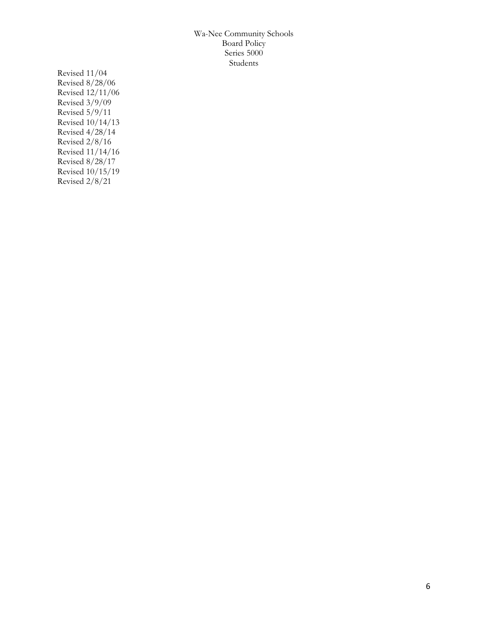Revised 11/04 Revised 8/28/06 Revised 12/11/06 Revised 3/9/09 Revised 5/9/11 Revised 10/14/13 Revised 4/28/14 Revised 2/8/16 Revised 11/14/16 Revised 8/28/17 Revised 10/15/19 Revised 2/8/21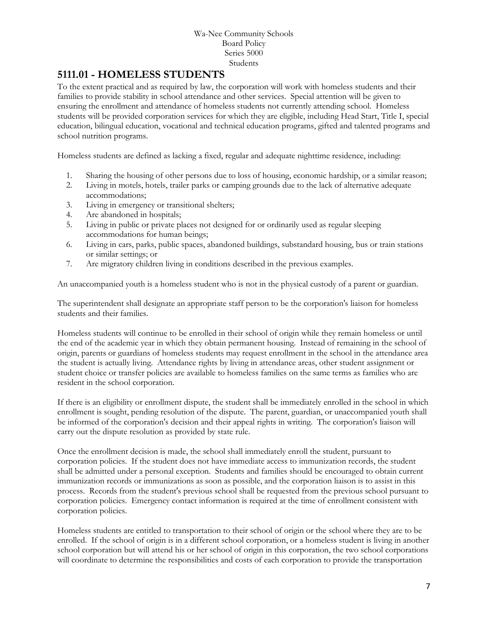## <span id="page-6-0"></span>**[5111.01](http://www.neola.com/wanee-in/search/ag/ag5111.01.htm) - HOMELESS STUDENTS**

To the extent practical and as required by law, the corporation will work with homeless students and their families to provide stability in school attendance and other services. Special attention will be given to ensuring the enrollment and attendance of homeless students not currently attending school. Homeless students will be provided corporation services for which they are eligible, including Head Start, Title I, special education, bilingual education, vocational and technical education programs, gifted and talented programs and school nutrition programs.

Homeless students are defined as lacking a fixed, regular and adequate nighttime residence, including:

- 1. Sharing the housing of other persons due to loss of housing, economic hardship, or a similar reason;
- 2. Living in motels, hotels, trailer parks or camping grounds due to the lack of alternative adequate accommodations;
- 3. Living in emergency or transitional shelters;
- 4. Are abandoned in hospitals;
- 5. Living in public or private places not designed for or ordinarily used as regular sleeping accommodations for human beings;
- 6. Living in cars, parks, public spaces, abandoned buildings, substandard housing, bus or train stations or similar settings; or
- 7. Are migratory children living in conditions described in the previous examples.

An unaccompanied youth is a homeless student who is not in the physical custody of a parent or guardian.

The superintendent shall designate an appropriate staff person to be the corporation's liaison for homeless students and their families.

Homeless students will continue to be enrolled in their school of origin while they remain homeless or until the end of the academic year in which they obtain permanent housing. Instead of remaining in the school of origin, parents or guardians of homeless students may request enrollment in the school in the attendance area the student is actually living. Attendance rights by living in attendance areas, other student assignment or student choice or transfer policies are available to homeless families on the same terms as families who are resident in the school corporation.

If there is an eligibility or enrollment dispute, the student shall be immediately enrolled in the school in which enrollment is sought, pending resolution of the dispute. The parent, guardian, or unaccompanied youth shall be informed of the corporation's decision and their appeal rights in writing. The corporation's liaison will carry out the dispute resolution as provided by state rule.

Once the enrollment decision is made, the school shall immediately enroll the student, pursuant to corporation policies. If the student does not have immediate access to immunization records, the student shall be admitted under a personal exception. Students and families should be encouraged to obtain current immunization records or immunizations as soon as possible, and the corporation liaison is to assist in this process. Records from the student's previous school shall be requested from the previous school pursuant to corporation policies. Emergency contact information is required at the time of enrollment consistent with corporation policies.

Homeless students are entitled to transportation to their school of origin or the school where they are to be enrolled. If the school of origin is in a different school corporation, or a homeless student is living in another school corporation but will attend his or her school of origin in this corporation, the two school corporations will coordinate to determine the responsibilities and costs of each corporation to provide the transportation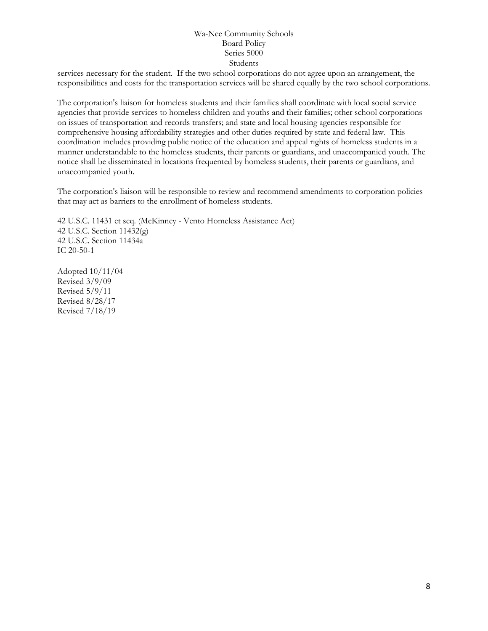services necessary for the student. If the two school corporations do not agree upon an arrangement, the responsibilities and costs for the transportation services will be shared equally by the two school corporations.

The corporation's liaison for homeless students and their families shall coordinate with local social service agencies that provide services to homeless children and youths and their families; other school corporations on issues of transportation and records transfers; and state and local housing agencies responsible for comprehensive housing affordability strategies and other duties required by state and federal law. This coordination includes providing public notice of the education and appeal rights of homeless students in a manner understandable to the homeless students, their parents or guardians, and unaccompanied youth. The notice shall be disseminated in locations frequented by homeless students, their parents or guardians, and unaccompanied youth.

The corporation's liaison will be responsible to review and recommend amendments to corporation policies that may act as barriers to the enrollment of homeless students.

42 U.S.C. 11431 et seq. (McKinney - Vento Homeless Assistance Act) 42 U.S.C. Section 11432(g) 42 U.S.C. Section 11434a IC 20-50-1

Adopted 10/11/04 Revised 3/9/09 Revised 5/9/11 Revised 8/28/17 Revised 7/18/19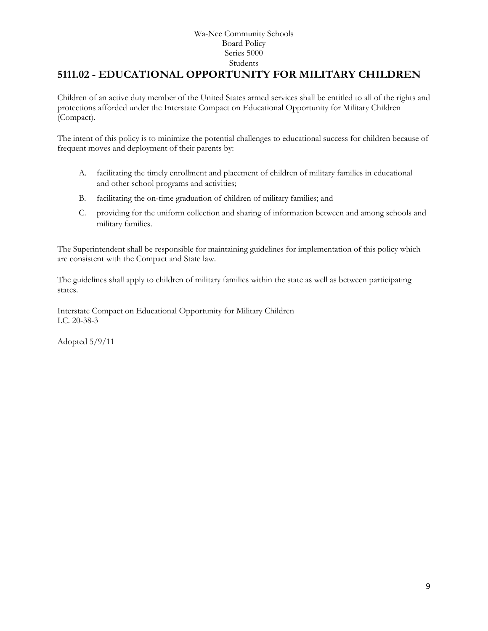# <span id="page-8-0"></span>**[5111.02](http://www.neola.com/wanee-in/search/ag/ag5111.02.htm) - EDUCATIONAL OPPORTUNITY FOR MILITARY CHILDREN**

Children of an active duty member of the United States armed services shall be entitled to all of the rights and protections afforded under the Interstate Compact on Educational Opportunity for Military Children (Compact).

The intent of this policy is to minimize the potential challenges to educational success for children because of frequent moves and deployment of their parents by:

- A. facilitating the timely enrollment and placement of children of military families in educational and other school programs and activities;
- B. facilitating the on-time graduation of children of military families; and
- C. providing for the uniform collection and sharing of information between and among schools and military families.

The Superintendent shall be responsible for maintaining guidelines for implementation of this policy which are consistent with the Compact and State law.

The guidelines shall apply to children of military families within the state as well as between participating states.

Interstate Compact on Educational Opportunity for Military Children I.C. 20-38-3

Adopted 5/9/11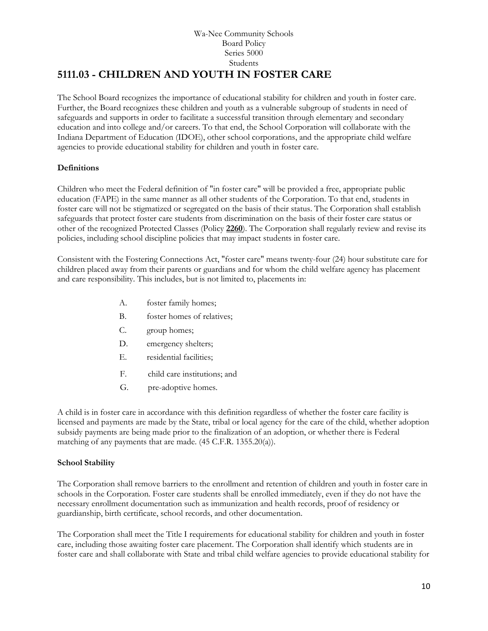## Wa-Nee Community Schools Board Policy Series 5000 Students **5111.03 - CHILDREN AND YOUTH IN FOSTER CARE**

<span id="page-9-0"></span>The School Board recognizes the importance of educational stability for children and youth in foster care. Further, the Board recognizes these children and youth as a vulnerable subgroup of students in need of safeguards and supports in order to facilitate a successful transition through elementary and secondary education and into college and/or careers. To that end, the School Corporation will collaborate with the Indiana Department of Education (IDOE), other school corporations, and the appropriate child welfare agencies to provide educational stability for children and youth in foster care.

## **Definitions**

Children who meet the Federal definition of "in foster care" will be provided a free, appropriate public education (FAPE) in the same manner as all other students of the Corporation. To that end, students in foster care will not be stigmatized or segregated on the basis of their status. The Corporation shall establish safeguards that protect foster care students from discrimination on the basis of their foster care status or other of the recognized Protected Classes (Policy **[2260](http://www.neola.com/wanee-in/search/policies/po2260.htm)**). The Corporation shall regularly review and revise its policies, including school discipline policies that may impact students in foster care.

Consistent with the Fostering Connections Act, "foster care" means twenty-four (24) hour substitute care for children placed away from their parents or guardians and for whom the child welfare agency has placement and care responsibility. This includes, but is not limited to, placements in:

- A. foster family homes;
- B. foster homes of relatives;
- C. group homes;
- D. emergency shelters;
- E. residential facilities;
- F. child care institutions; and
- G. pre-adoptive homes.

A child is in foster care in accordance with this definition regardless of whether the foster care facility is licensed and payments are made by the State, tribal or local agency for the care of the child, whether adoption subsidy payments are being made prior to the finalization of an adoption, or whether there is Federal matching of any payments that are made. (45 C.F.R. 1355.20(a)).

## **School Stability**

The Corporation shall remove barriers to the enrollment and retention of children and youth in foster care in schools in the Corporation. Foster care students shall be enrolled immediately, even if they do not have the necessary enrollment documentation such as immunization and health records, proof of residency or guardianship, birth certificate, school records, and other documentation.

The Corporation shall meet the Title I requirements for educational stability for children and youth in foster care, including those awaiting foster care placement. The Corporation shall identify which students are in foster care and shall collaborate with State and tribal child welfare agencies to provide educational stability for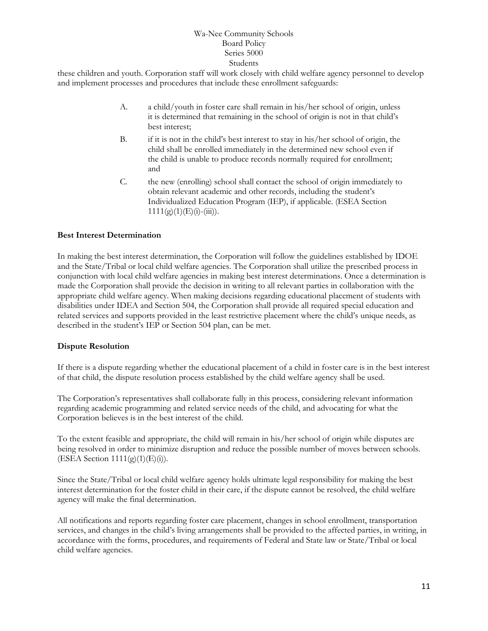these children and youth. Corporation staff will work closely with child welfare agency personnel to develop and implement processes and procedures that include these enrollment safeguards:

- A. a child/youth in foster care shall remain in his/her school of origin, unless it is determined that remaining in the school of origin is not in that child's best interest;
- B. if it is not in the child's best interest to stay in his/her school of origin, the child shall be enrolled immediately in the determined new school even if the child is unable to produce records normally required for enrollment; and
- C. the new (enrolling) school shall contact the school of origin immediately to obtain relevant academic and other records, including the student's Individualized Education Program (IEP), if applicable. (ESEA Section  $1111(g)(1)(E)(i)-(iii)).$

## **Best Interest Determination**

In making the best interest determination, the Corporation will follow the guidelines established by IDOE and the State/Tribal or local child welfare agencies. The Corporation shall utilize the prescribed process in conjunction with local child welfare agencies in making best interest determinations. Once a determination is made the Corporation shall provide the decision in writing to all relevant parties in collaboration with the appropriate child welfare agency. When making decisions regarding educational placement of students with disabilities under IDEA and Section 504, the Corporation shall provide all required special education and related services and supports provided in the least restrictive placement where the child's unique needs, as described in the student's IEP or Section 504 plan, can be met.

#### **Dispute Resolution**

If there is a dispute regarding whether the educational placement of a child in foster care is in the best interest of that child, the dispute resolution process established by the child welfare agency shall be used.

The Corporation's representatives shall collaborate fully in this process, considering relevant information regarding academic programming and related service needs of the child, and advocating for what the Corporation believes is in the best interest of the child.

To the extent feasible and appropriate, the child will remain in his/her school of origin while disputes are being resolved in order to minimize disruption and reduce the possible number of moves between schools. (ESEA Section 1111(g)(1)(E)(i)).

Since the State/Tribal or local child welfare agency holds ultimate legal responsibility for making the best interest determination for the foster child in their care, if the dispute cannot be resolved, the child welfare agency will make the final determination.

All notifications and reports regarding foster care placement, changes in school enrollment, transportation services, and changes in the child's living arrangements shall be provided to the affected parties, in writing, in accordance with the forms, procedures, and requirements of Federal and State law or State/Tribal or local child welfare agencies.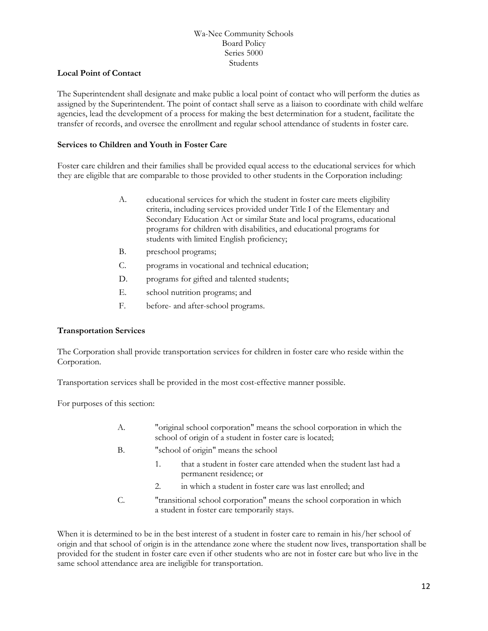## **Local Point of Contact**

The Superintendent shall designate and make public a local point of contact who will perform the duties as assigned by the Superintendent. The point of contact shall serve as a liaison to coordinate with child welfare agencies, lead the development of a process for making the best determination for a student, facilitate the transfer of records, and oversee the enrollment and regular school attendance of students in foster care.

## **Services to Children and Youth in Foster Care**

Foster care children and their families shall be provided equal access to the educational services for which they are eligible that are comparable to those provided to other students in the Corporation including:

- A. educational services for which the student in foster care meets eligibility criteria, including services provided under Title I of the Elementary and Secondary Education Act or similar State and local programs, educational programs for children with disabilities, and educational programs for students with limited English proficiency;
- B. preschool programs;
- C. programs in vocational and technical education;
- D. programs for gifted and talented students;
- E. school nutrition programs; and
- F. before- and after-school programs.

#### **Transportation Services**

The Corporation shall provide transportation services for children in foster care who reside within the Corporation.

Transportation services shall be provided in the most cost-effective manner possible.

For purposes of this section:

- A. "original school corporation" means the school corporation in which the school of origin of a student in foster care is located;
- B. "school of origin" means the school
	- 1. that a student in foster care attended when the student last had a permanent residence; or
	- 2. in which a student in foster care was last enrolled; and
- C. "transitional school corporation" means the school corporation in which a student in foster care temporarily stays.

When it is determined to be in the best interest of a student in foster care to remain in his/her school of origin and that school of origin is in the attendance zone where the student now lives, transportation shall be provided for the student in foster care even if other students who are not in foster care but who live in the same school attendance area are ineligible for transportation.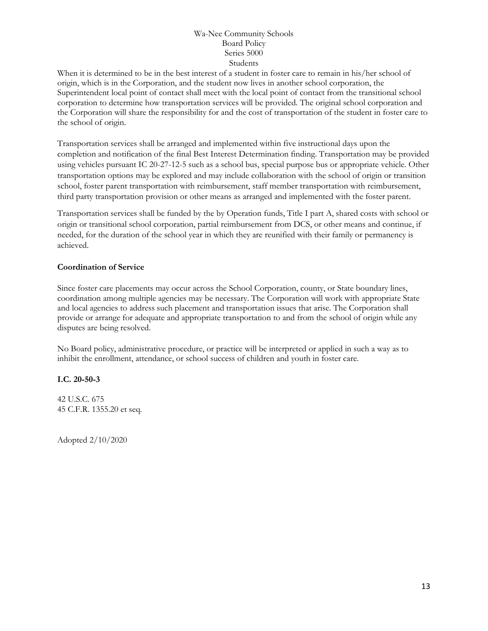When it is determined to be in the best interest of a student in foster care to remain in his/her school of origin, which is in the Corporation, and the student now lives in another school corporation, the Superintendent local point of contact shall meet with the local point of contact from the transitional school corporation to determine how transportation services will be provided. The original school corporation and the Corporation will share the responsibility for and the cost of transportation of the student in foster care to the school of origin.

Transportation services shall be arranged and implemented within five instructional days upon the completion and notification of the final Best Interest Determination finding. Transportation may be provided using vehicles pursuant IC 20-27-12-5 such as a school bus, special purpose bus or appropriate vehicle. Other transportation options may be explored and may include collaboration with the school of origin or transition school, foster parent transportation with reimbursement, staff member transportation with reimbursement, third party transportation provision or other means as arranged and implemented with the foster parent.

Transportation services shall be funded by the by Operation funds, Title I part A, shared costs with school or origin or transitional school corporation, partial reimbursement from DCS, or other means and continue, if needed, for the duration of the school year in which they are reunified with their family or permanency is achieved.

## **Coordination of Service**

Since foster care placements may occur across the School Corporation, county, or State boundary lines, coordination among multiple agencies may be necessary. The Corporation will work with appropriate State and local agencies to address such placement and transportation issues that arise. The Corporation shall provide or arrange for adequate and appropriate transportation to and from the school of origin while any disputes are being resolved.

No Board policy, administrative procedure, or practice will be interpreted or applied in such a way as to inhibit the enrollment, attendance, or school success of children and youth in foster care.

## **I.C. 20-50-3**

42 U.S.C. 675 45 C.F.R. 1355.20 et seq.

Adopted 2/10/2020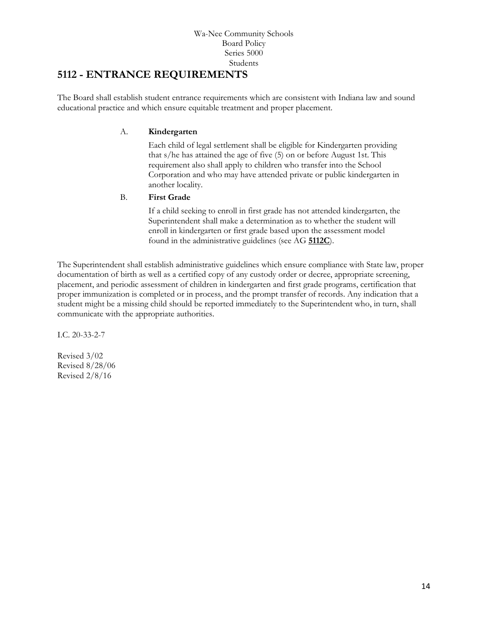## <span id="page-13-0"></span>**5112 - ENTRANCE REQUIREMENTS**

The Board shall establish student entrance requirements which are consistent with Indiana law and sound educational practice and which ensure equitable treatment and proper placement.

## A. **Kindergarten**

Each child of legal settlement shall be eligible for Kindergarten providing that s/he has attained the age of five (5) on or before August 1st. This requirement also shall apply to children who transfer into the School Corporation and who may have attended private or public kindergarten in another locality.

## B. **First Grade**

If a child seeking to enroll in first grade has not attended kindergarten, the Superintendent shall make a determination as to whether the student will enroll in kindergarten or first grade based upon the assessment model found in the administrative guidelines (see AG **[5112C](http://www.neola.com/wanee-in/search/ag/ag5112c.htm)**).

The Superintendent shall establish administrative guidelines which ensure compliance with State law, proper documentation of birth as well as a certified copy of any custody order or decree, appropriate screening, placement, and periodic assessment of children in kindergarten and first grade programs, certification that proper immunization is completed or in process, and the prompt transfer of records. Any indication that a student might be a missing child should be reported immediately to the Superintendent who, in turn, shall communicate with the appropriate authorities.

I.C. 20-33-2-7

Revised 3/02 Revised 8/28/06 Revised 2/8/16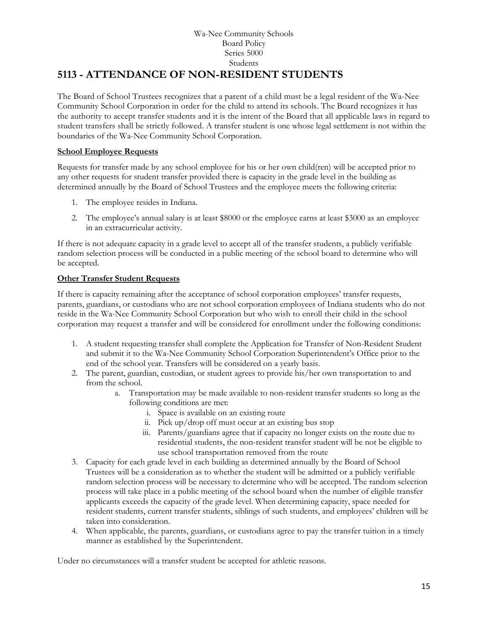## Wa-Nee Community Schools Board Policy Series 5000 Students **5113 - ATTENDANCE OF NON-RESIDENT STUDENTS**

<span id="page-14-0"></span>The Board of School Trustees recognizes that a parent of a child must be a legal resident of the Wa-Nee Community School Corporation in order for the child to attend its schools. The Board recognizes it has the authority to accept transfer students and it is the intent of the Board that all applicable laws in regard to student transfers shall be strictly followed. A transfer student is one whose legal settlement is not within the boundaries of the Wa-Nee Community School Corporation.

## **School Employee Requests**

Requests for transfer made by any school employee for his or her own child(ren) will be accepted prior to any other requests for student transfer provided there is capacity in the grade level in the building as determined annually by the Board of School Trustees and the employee meets the following criteria:

- 1. The employee resides in Indiana.
- 2. The employee's annual salary is at least \$8000 or the employee earns at least \$3000 as an employee in an extracurricular activity.

If there is not adequate capacity in a grade level to accept all of the transfer students, a publicly verifiable random selection process will be conducted in a public meeting of the school board to determine who will be accepted.

## **Other Transfer Student Requests**

If there is capacity remaining after the acceptance of school corporation employees' transfer requests, parents, guardians, or custodians who are not school corporation employees of Indiana students who do not reside in the Wa-Nee Community School Corporation but who wish to enroll their child in the school corporation may request a transfer and will be considered for enrollment under the following conditions:

- 1. A student requesting transfer shall complete the Application for Transfer of Non-Resident Student and submit it to the Wa-Nee Community School Corporation Superintendent's Office prior to the end of the school year*.* Transfers will be considered on a yearly basis.
- 2. The parent, guardian, custodian, or student agrees to provide his/her own transportation to and from the school.
	- a. Transportation may be made available to non-resident transfer students so long as the following conditions are met:
		- i. Space is available on an existing route
		- ii. Pick up/drop off must occur at an existing bus stop
		- iii. Parents/guardians agree that if capacity no longer exists on the route due to residential students, the non-resident transfer student will be not be eligible to use school transportation removed from the route
- 3. Capacity for each grade level in each building as determined annually by the Board of School Trustees will be a consideration as to whether the student will be admitted or a publicly verifiable random selection process will be necessary to determine who will be accepted. The random selection process will take place in a public meeting of the school board when the number of eligible transfer applicants exceeds the capacity of the grade level. When determining capacity, space needed for resident students, current transfer students, siblings of such students, and employees' children will be taken into consideration.
- 4. When applicable, the parents, guardians, or custodians agree to pay the transfer tuition in a timely manner as established by the Superintendent.

Under no circumstances will a transfer student be accepted for athletic reasons.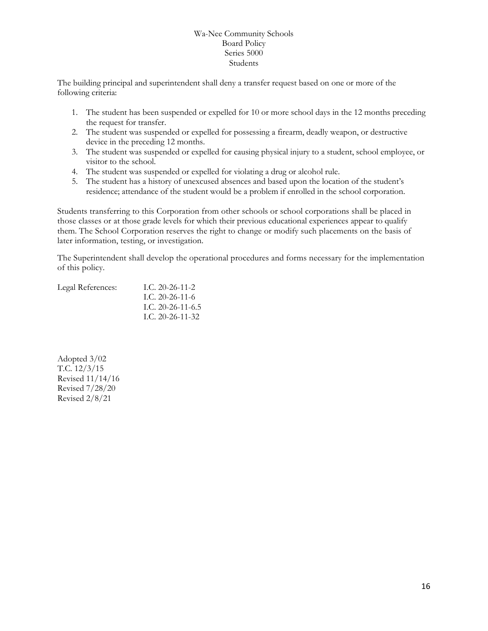The building principal and superintendent shall deny a transfer request based on one or more of the following criteria:

- 1. The student has been suspended or expelled for 10 or more school days in the 12 months preceding the request for transfer.
- 2. The student was suspended or expelled for possessing a firearm, deadly weapon, or destructive device in the preceding 12 months.
- 3. The student was suspended or expelled for causing physical injury to a student, school employee, or visitor to the school.
- 4. The student was suspended or expelled for violating a drug or alcohol rule.
- 5. The student has a history of unexcused absences and based upon the location of the student's residence; attendance of the student would be a problem if enrolled in the school corporation.

Students transferring to this Corporation from other schools or school corporations shall be placed in those classes or at those grade levels for which their previous educational experiences appear to qualify them. The School Corporation reserves the right to change or modify such placements on the basis of later information, testing, or investigation.

The Superintendent shall develop the operational procedures and forms necessary for the implementation of this policy.

| Legal References: | I.C. $20-26-11-2$  |
|-------------------|--------------------|
|                   | L.C. 20-26-11-6    |
|                   | L.C. 20-26-11-6.5  |
|                   | I.C. $20-26-11-32$ |

Adopted 3/02 T.C. 12/3/15 Revised 11/14/16 Revised 7/28/20 Revised 2/8/21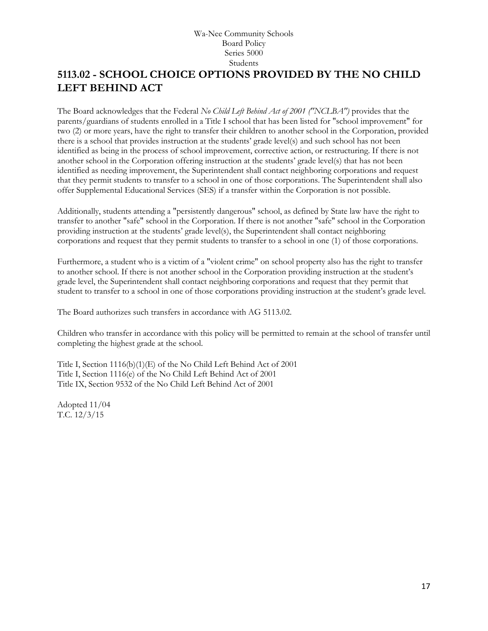# <span id="page-16-0"></span>**[5113.02](http://www.neola.com/wanee-in/search/ag/ag5113.02.htm) - SCHOOL CHOICE OPTIONS PROVIDED BY THE NO CHILD LEFT BEHIND ACT**

The Board acknowledges that the Federal *No Child Left Behind Act of 2001 ("NCLBA")* provides that the parents/guardians of students enrolled in a Title I school that has been listed for "school improvement" for two (2) or more years, have the right to transfer their children to another school in the Corporation, provided there is a school that provides instruction at the students' grade level(s) and such school has not been identified as being in the process of school improvement, corrective action, or restructuring. If there is not another school in the Corporation offering instruction at the students' grade level(s) that has not been identified as needing improvement, the Superintendent shall contact neighboring corporations and request that they permit students to transfer to a school in one of those corporations. The Superintendent shall also offer Supplemental Educational Services (SES) if a transfer within the Corporation is not possible.

Additionally, students attending a "persistently dangerous" school, as defined by State law have the right to transfer to another "safe" school in the Corporation. If there is not another "safe" school in the Corporation providing instruction at the students' grade level(s), the Superintendent shall contact neighboring corporations and request that they permit students to transfer to a school in one (1) of those corporations.

Furthermore, a student who is a victim of a "violent crime" on school property also has the right to transfer to another school. If there is not another school in the Corporation providing instruction at the student's grade level, the Superintendent shall contact neighboring corporations and request that they permit that student to transfer to a school in one of those corporations providing instruction at the student's grade level.

The Board authorizes such transfers in accordance with AG 5113.02.

Children who transfer in accordance with this policy will be permitted to remain at the school of transfer until completing the highest grade at the school.

Title I, Section 1116(b)(1)(E) of the No Child Left Behind Act of 2001 Title I, Section 1116(e) of the No Child Left Behind Act of 2001 Title IX, Section 9532 of the No Child Left Behind Act of 2001

Adopted 11/04 T.C. 12/3/15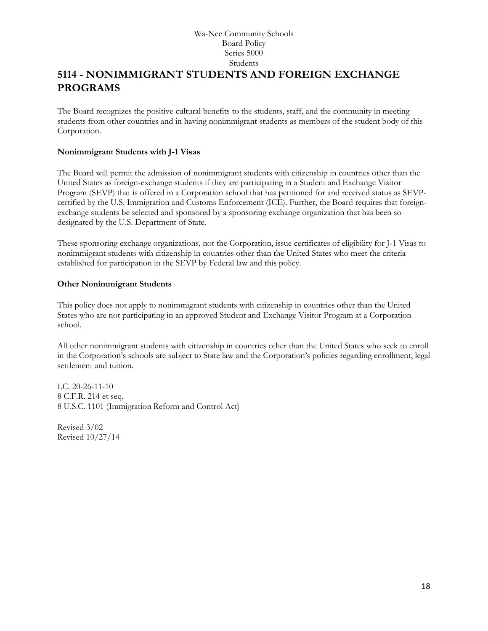# <span id="page-17-0"></span>**[5114](http://www.neola.com/wanee-in/search/ag/ag5114.htm) - NONIMMIGRANT STUDENTS AND FOREIGN EXCHANGE PROGRAMS**

The Board recognizes the positive cultural benefits to the students, staff, and the community in meeting students from other countries and in having nonimmigrant students as members of the student body of this Corporation.

## **Nonimmigrant Students with J-1 Visas**

The Board will permit the admission of nonimmigrant students with citizenship in countries other than the United States as foreign-exchange students if they are participating in a Student and Exchange Visitor Program (SEVP) that is offered in a Corporation school that has petitioned for and received status as SEVPcertified by the U.S. Immigration and Customs Enforcement (ICE). Further, the Board requires that foreignexchange students be selected and sponsored by a sponsoring exchange organization that has been so designated by the U.S. Department of State.

These sponsoring exchange organizations, not the Corporation, issue certificates of eligibility for J-1 Visas to nonimmigrant students with citizenship in countries other than the United States who meet the criteria established for participation in the SEVP by Federal law and this policy.

## **Other Nonimmigrant Students**

This policy does not apply to nonimmigrant students with citizenship in countries other than the United States who are not participating in an approved Student and Exchange Visitor Program at a Corporation school.

All other nonimmigrant students with citizenship in countries other than the United States who seek to enroll in the Corporation's schools are subject to State law and the Corporation's policies regarding enrollment, legal settlement and tuition.

I.C. 20-26-11-10 8 C.F.R. 214 et seq. 8 U.S.C. 1101 (Immigration Reform and Control Act)

Revised 3/02 Revised 10/27/14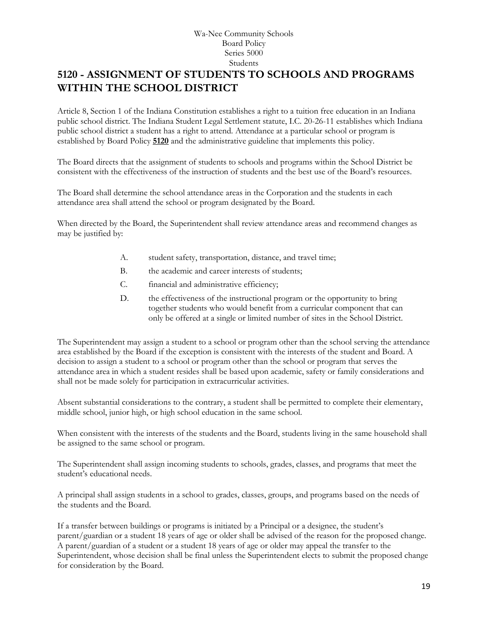# <span id="page-18-0"></span>**[5120](http://www.neola.com/wanee-in/search/ag/ag5120.htm) - ASSIGNMENT OF STUDENTS TO SCHOOLS AND PROGRAMS WITHIN THE SCHOOL DISTRICT**

Article 8, Section 1 of the Indiana Constitution establishes a right to a tuition free education in an Indiana public school district. The Indiana Student Legal Settlement statute, I.C. 20-26-11 establishes which Indiana public school district a student has a right to attend. Attendance at a particular school or program is established by Board Policy **[5120](http://www.neola.com/wanee-in/search/policies/po5120.htm)** and the administrative guideline that implements this policy.

The Board directs that the assignment of students to schools and programs within the School District be consistent with the effectiveness of the instruction of students and the best use of the Board's resources.

The Board shall determine the school attendance areas in the Corporation and the students in each attendance area shall attend the school or program designated by the Board.

When directed by the Board, the Superintendent shall review attendance areas and recommend changes as may be justified by:

- A. student safety, transportation, distance, and travel time;
- B. the academic and career interests of students;
- C. financial and administrative efficiency;
- D. the effectiveness of the instructional program or the opportunity to bring together students who would benefit from a curricular component that can only be offered at a single or limited number of sites in the School District.

The Superintendent may assign a student to a school or program other than the school serving the attendance area established by the Board if the exception is consistent with the interests of the student and Board. A decision to assign a student to a school or program other than the school or program that serves the attendance area in which a student resides shall be based upon academic, safety or family considerations and shall not be made solely for participation in extracurricular activities.

Absent substantial considerations to the contrary, a student shall be permitted to complete their elementary, middle school, junior high, or high school education in the same school.

When consistent with the interests of the students and the Board, students living in the same household shall be assigned to the same school or program.

The Superintendent shall assign incoming students to schools, grades, classes, and programs that meet the student's educational needs.

A principal shall assign students in a school to grades, classes, groups, and programs based on the needs of the students and the Board.

If a transfer between buildings or programs is initiated by a Principal or a designee, the student's parent/guardian or a student 18 years of age or older shall be advised of the reason for the proposed change. A parent/guardian of a student or a student 18 years of age or older may appeal the transfer to the Superintendent, whose decision shall be final unless the Superintendent elects to submit the proposed change for consideration by the Board.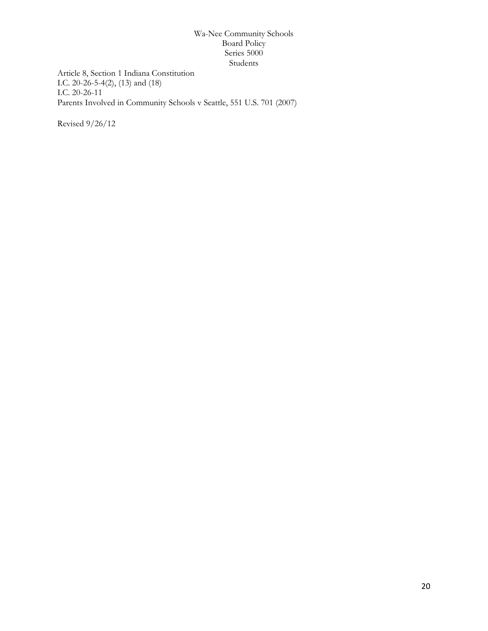Article 8, Section 1 Indiana Constitution I.C. 20-26-5-4(2), (13) and (18) I.C. 20-26-11 Parents Involved in Community Schools v Seattle, 551 U.S. 701 (2007)

Revised 9/26/12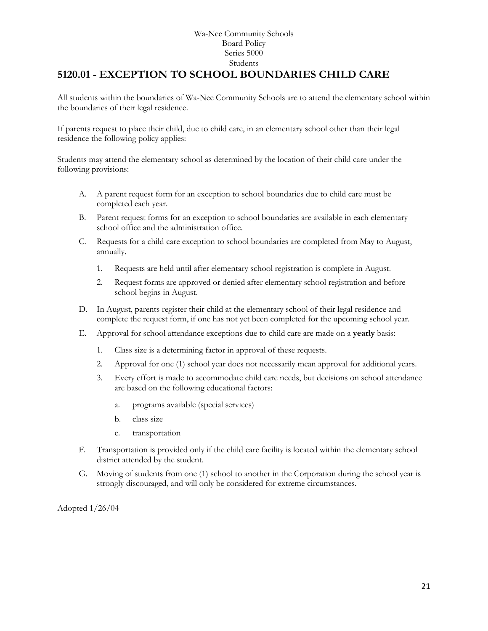# <span id="page-20-0"></span>**5120.01 - EXCEPTION TO SCHOOL BOUNDARIES CHILD CARE**

All students within the boundaries of Wa-Nee Community Schools are to attend the elementary school within the boundaries of their legal residence.

If parents request to place their child, due to child care, in an elementary school other than their legal residence the following policy applies:

Students may attend the elementary school as determined by the location of their child care under the following provisions:

- A. A parent request form for an exception to school boundaries due to child care must be completed each year.
- B. Parent request forms for an exception to school boundaries are available in each elementary school office and the administration office.
- C. Requests for a child care exception to school boundaries are completed from May to August, annually.
	- 1. Requests are held until after elementary school registration is complete in August.
	- 2. Request forms are approved or denied after elementary school registration and before school begins in August.
- D. In August, parents register their child at the elementary school of their legal residence and complete the request form, if one has not yet been completed for the upcoming school year.
- E. Approval for school attendance exceptions due to child care are made on a **yearly** basis:
	- 1. Class size is a determining factor in approval of these requests.
	- 2. Approval for one (1) school year does not necessarily mean approval for additional years.
	- 3. Every effort is made to accommodate child care needs, but decisions on school attendance are based on the following educational factors:
		- a. programs available (special services)
		- b. class size
		- c. transportation
- F. Transportation is provided only if the child care facility is located within the elementary school district attended by the student.
- G. Moving of students from one (1) school to another in the Corporation during the school year is strongly discouraged, and will only be considered for extreme circumstances.

Adopted 1/26/04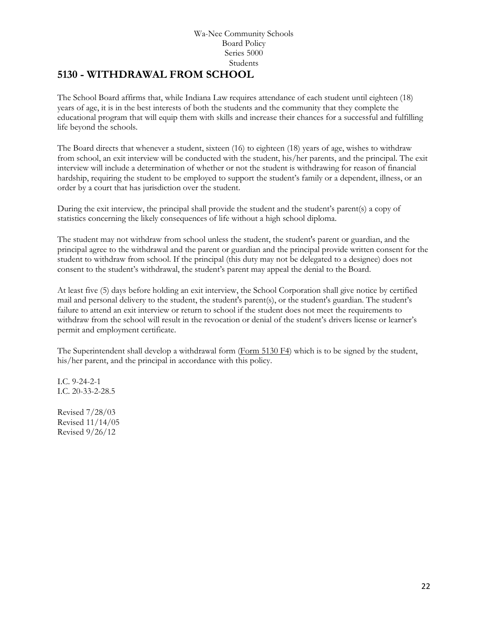## <span id="page-21-0"></span>**[5130](http://www.neola.com/wanee-in/search/ag/ag5130.htm) - WITHDRAWAL FROM SCHOOL**

The School Board affirms that, while Indiana Law requires attendance of each student until eighteen (18) years of age, it is in the best interests of both the students and the community that they complete the educational program that will equip them with skills and increase their chances for a successful and fulfilling life beyond the schools.

The Board directs that whenever a student, sixteen (16) to eighteen (18) years of age, wishes to withdraw from school, an exit interview will be conducted with the student, his/her parents, and the principal. The exit interview will include a determination of whether or not the student is withdrawing for reason of financial hardship, requiring the student to be employed to support the student's family or a dependent, illness, or an order by a court that has jurisdiction over the student.

During the exit interview, the principal shall provide the student and the student's parent(s) a copy of statistics concerning the likely consequences of life without a high school diploma.

The student may not withdraw from school unless the student, the student's parent or guardian, and the principal agree to the withdrawal and the parent or guardian and the principal provide written consent for the student to withdraw from school. If the principal (this duty may not be delegated to a designee) does not consent to the student's withdrawal, the student's parent may appeal the denial to the Board.

At least five (5) days before holding an exit interview, the School Corporation shall give notice by certified mail and personal delivery to the student, the student's parent(s), or the student's guardian. The student's failure to attend an exit interview or return to school if the student does not meet the requirements to withdraw from the school will result in the revocation or denial of the student's drivers license or learner's permit and employment certificate.

The Superintendent shall develop a withdrawal form [\(Form 5130 F4\)](http://www.neola.com/wanee-in/search/forms/fm5130F4.pdf) which is to be signed by the student, his/her parent, and the principal in accordance with this policy.

I.C. 9-24-2-1 I.C. 20-33-2-28.5

Revised 7/28/03 Revised 11/14/05 Revised 9/26/12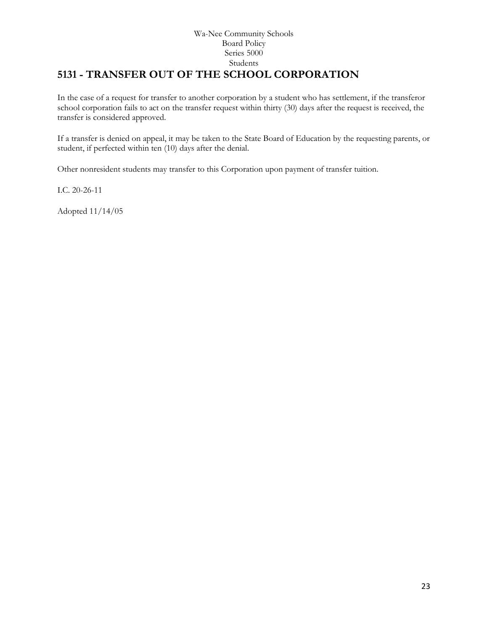## Wa-Nee Community Schools Board Policy Series 5000 Students **5131 - TRANSFER OUT OF THE SCHOOL CORPORATION**

<span id="page-22-0"></span>In the case of a request for transfer to another corporation by a student who has settlement, if the transferor school corporation fails to act on the transfer request within thirty (30) days after the request is received, the transfer is considered approved.

If a transfer is denied on appeal, it may be taken to the State Board of Education by the requesting parents, or student, if perfected within ten (10) days after the denial.

Other nonresident students may transfer to this Corporation upon payment of transfer tuition.

I.C. 20-26-11

Adopted 11/14/05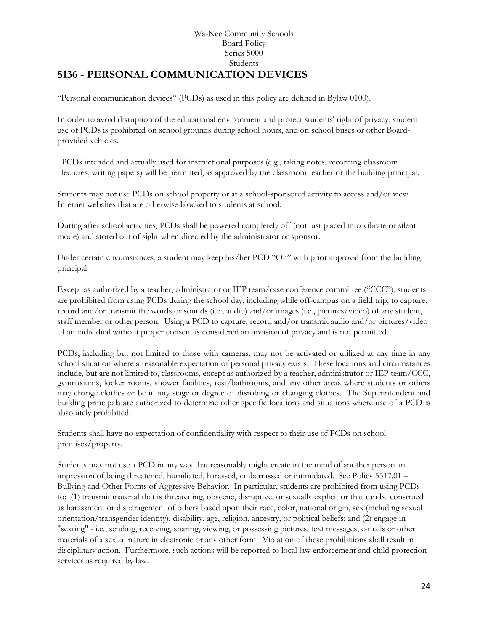## Wa-Nee Community Schools Board Policy Series 5000 Students **[5136](http://www.neola.com/wanee-in/search/ag/ag5136.htm) - PERSONAL COMMUNICATION DEVICES**

<span id="page-23-0"></span>"Personal communication devices" (PCDs) as used in this policy are defined in Bylaw 0100).

In order to avoid disruption of the educational environment and protect students' right of privacy, student use of PCDs is prohibited on school grounds during school hours, and on school buses or other Boardprovided vehicles.

PCDs intended and actually used for instructional purposes (e.g., taking notes, recording classroom lectures, writing papers) will be permitted, as approved by the classroom teacher or the building principal.

Students may not use PCDs on school property or at a school-sponsored activity to access and/or view Internet websites that are otherwise blocked to students at school.

During after school activities, PCDs shall be powered completely off (not just placed into vibrate or silent mode) and stored out of sight when directed by the administrator or sponsor.

Under certain circumstances, a student may keep his/her PCD "On" with prior approval from the building principal.

Except as authorized by a teacher, administrator or IEP team/case conference committee ("CCC"), students are prohibited from using PCDs during the school day, including while off-campus on a field trip, to capture, record and/or transmit the words or sounds (i.e., audio) and/or images (i.e., pictures/video) of any student, staff member or other person. Using a PCD to capture, record and/or transmit audio and/or pictures/video of an individual without proper consent is considered an invasion of privacy and is not permitted.

PCDs, including but not limited to those with cameras, may not be activated or utilized at any time in any school situation where a reasonable expectation of personal privacy exists. These locations and circumstances include, but are not limited to, classrooms, except as authorized by a teacher, administrator or IEP team/CCC, gymnasiums, locker rooms, shower facilities, rest/bathrooms, and any other areas where students or others may change clothes or be in any stage or degree of disrobing or changing clothes. The Superintendent and building principals are authorized to determine other specific locations and situations where use of a PCD is absolutely prohibited.

Students shall have no expectation of confidentiality with respect to their use of PCDs on school premises/property.

Students may not use a PCD in any way that reasonably might create in the mind of another person an impression of being threatened, humiliated, harassed, embarrassed or intimidated. See Policy 5517.01 – Bullying and Other Forms of Aggressive Behavior. In particular, students are prohibited from using PCDs to: (1) transmit material that is threatening, obscene, disruptive, or sexually explicit or that can be construed as harassment or disparagement of others based upon their race, color, national origin, sex (including sexual orientation/transgender identity), disability, age, religion, ancestry, or political beliefs; and (2) engage in "sexting" - i.e., sending, receiving, sharing, viewing, or possessing pictures, text messages, e-mails or other materials of a sexual nature in electronic or any other form. Violation of these prohibitions shall result in disciplinary action. Furthermore, such actions will be reported to local law enforcement and child protection services as required by law.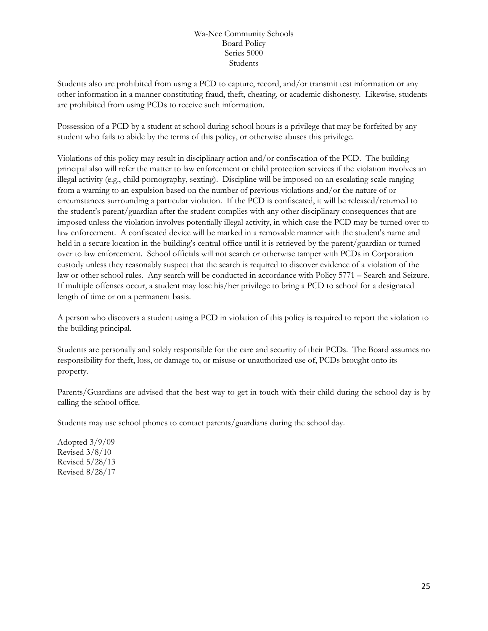Students also are prohibited from using a PCD to capture, record, and/or transmit test information or any other information in a manner constituting fraud, theft, cheating, or academic dishonesty. Likewise, students are prohibited from using PCDs to receive such information.

Possession of a PCD by a student at school during school hours is a privilege that may be forfeited by any student who fails to abide by the terms of this policy, or otherwise abuses this privilege.

Violations of this policy may result in disciplinary action and/or confiscation of the PCD. The building principal also will refer the matter to law enforcement or child protection services if the violation involves an illegal activity (e.g., child pornography, sexting). Discipline will be imposed on an escalating scale ranging from a warning to an expulsion based on the number of previous violations and/or the nature of or circumstances surrounding a particular violation. If the PCD is confiscated, it will be released/returned to the student's parent/guardian after the student complies with any other disciplinary consequences that are imposed unless the violation involves potentially illegal activity, in which case the PCD may be turned over to law enforcement. A confiscated device will be marked in a removable manner with the student's name and held in a secure location in the building's central office until it is retrieved by the parent/guardian or turned over to law enforcement. School officials will not search or otherwise tamper with PCDs in Corporation custody unless they reasonably suspect that the search is required to discover evidence of a violation of the law or other school rules. Any search will be conducted in accordance with Policy 5771 – Search and Seizure. If multiple offenses occur, a student may lose his/her privilege to bring a PCD to school for a designated length of time or on a permanent basis.

A person who discovers a student using a PCD in violation of this policy is required to report the violation to the building principal.

Students are personally and solely responsible for the care and security of their PCDs. The Board assumes no responsibility for theft, loss, or damage to, or misuse or unauthorized use of, PCDs brought onto its property.

Parents/Guardians are advised that the best way to get in touch with their child during the school day is by calling the school office.

Students may use school phones to contact parents/guardians during the school day.

Adopted 3/9/09 Revised 3/8/10 Revised 5/28/13 Revised 8/28/17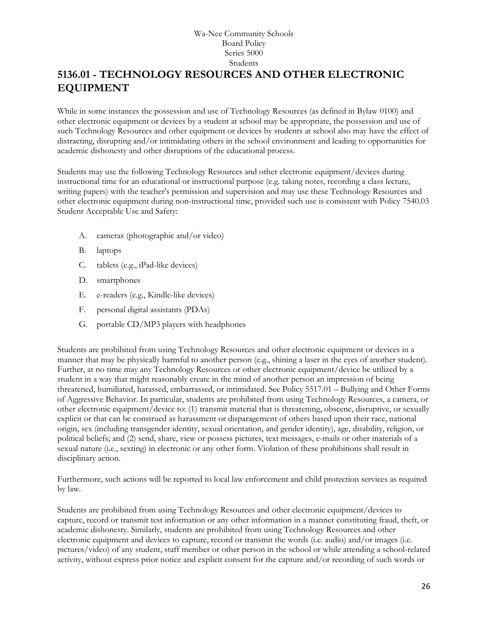# <span id="page-25-0"></span>**5136.01 - TECHNOLOGY RESOURCES AND OTHER ELECTRONIC EQUIPMENT**

While in some instances the possession and use of Technology Resources (as defined in Bylaw 0100) and other electronic equipment or devices by a student at school may be appropriate, the possession and use of such Technology Resources and other equipment or devices by students at school also may have the effect of distracting, disrupting and/or intimidating others in the school environment and leading to opportunities for academic dishonesty and other disruptions of the educational process.

Students may use the following Technology Resources and other electronic equipment/devices during instructional time for an educational or instructional purpose (e.g. taking notes, recording a class lecture, writing papers) with the teacher's permission and supervision and may use these Technology Resources and other electronic equipment during non-instructional time, provided such use is consistent with Policy 7540.03 Student Acceptable Use and Safety:

- A. cameras (photographic and/or video)
- B. laptops
- C. tablets (e.g., iPad-like devices)
- D. smartphones
- E. e-readers (e.g., Kindle-like devices)
- F. personal digital assistants (PDAs)
- G. portable CD/MP3 players with headphones

Students are prohibited from using Technology Resources and other electronic equipment or devices in a manner that may be physically harmful to another person (e.g., shining a laser in the eyes of another student). Further, at no time may any Technology Resources or other electronic equipment/device be utilized by a student in a way that might reasonably create in the mind of another person an impression of being threatened, humiliated, harassed, embarrassed, or intimidated. See Policy 5517.01 – Bullying and Other Forms of Aggressive Behavior. In particular, students are prohibited from using Technology Resources, a camera, or other electronic equipment/device to: (1) transmit material that is threatening, obscene, disruptive, or sexually explicit or that can be construed as harassment or disparagement of others based upon their race, national origin, sex (including transgender identity, sexual orientation, and gender identity), age, disability, religion, or political beliefs; and (2) send, share, view or possess pictures, text messages, e-mails or other materials of a sexual nature (i.e., sexting) in electronic or any other form. Violation of these prohibitions shall result in disciplinary action.

Furthermore, such actions will be reported to local law enforcement and child protection services as required by law.

Students are prohibited from using Technology Resources and other electronic equipment/devices to capture, record or transmit test information or any other information in a manner constituting fraud, theft, or academic dishonesty. Similarly, students are prohibited from using Technology Resources and other electronic equipment and devices to capture, record or transmit the words (i.e. audio) and/or images (i.e. pictures/video) of any student, staff member or other person in the school or while attending a school-related activity, without express prior notice and explicit consent for the capture and/or recording of such words or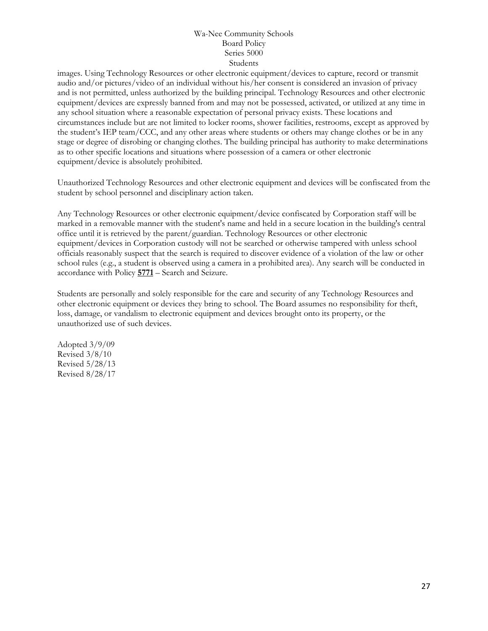images. Using Technology Resources or other electronic equipment/devices to capture, record or transmit audio and/or pictures/video of an individual without his/her consent is considered an invasion of privacy and is not permitted, unless authorized by the building principal. Technology Resources and other electronic equipment/devices are expressly banned from and may not be possessed, activated, or utilized at any time in any school situation where a reasonable expectation of personal privacy exists. These locations and circumstances include but are not limited to locker rooms, shower facilities, restrooms, except as approved by the student's IEP team/CCC, and any other areas where students or others may change clothes or be in any stage or degree of disrobing or changing clothes. The building principal has authority to make determinations as to other specific locations and situations where possession of a camera or other electronic equipment/device is absolutely prohibited.

Unauthorized Technology Resources and other electronic equipment and devices will be confiscated from the student by school personnel and disciplinary action taken.

Any Technology Resources or other electronic equipment/device confiscated by Corporation staff will be marked in a removable manner with the student's name and held in a secure location in the building's central office until it is retrieved by the parent/guardian. Technology Resources or other electronic equipment/devices in Corporation custody will not be searched or otherwise tampered with unless school officials reasonably suspect that the search is required to discover evidence of a violation of the law or other school rules (e.g., a student is observed using a camera in a prohibited area). Any search will be conducted in accordance with Policy **[5771](http://www.neola.com/wanee-in/search/policies/po5771.htm)** – Search and Seizure.

Students are personally and solely responsible for the care and security of any Technology Resources and other electronic equipment or devices they bring to school. The Board assumes no responsibility for theft, loss, damage, or vandalism to electronic equipment and devices brought onto its property, or the unauthorized use of such devices.

Adopted 3/9/09 Revised 3/8/10 Revised 5/28/13 Revised 8/28/17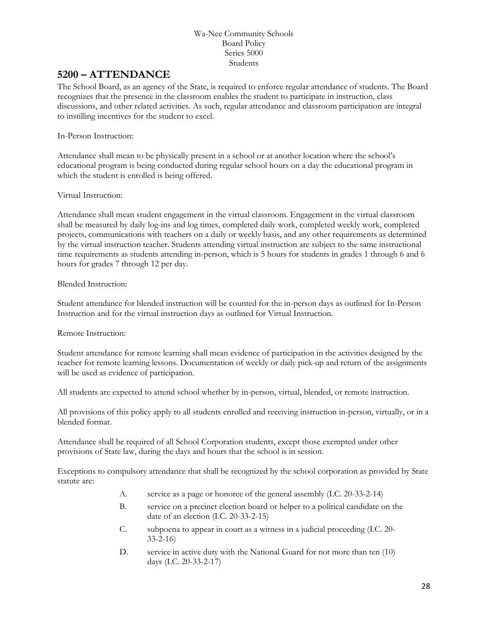## <span id="page-27-0"></span>**[5200](http://www.neola.com/wanee-in/search/ag/ag5200.htm) – ATTENDANCE**

The School Board, as an agency of the State, is required to enforce regular attendance of students. The Board recognizes that the presence in the classroom enables the student to participate in instruction, class discussions, and other related activities. As such, regular attendance and classroom participation are integral to instilling incentives for the student to excel.

## In-Person Instruction:

Attendance shall mean to be physically present in a school or at another location where the school's educational program is being conducted during regular school hours on a day the educational program in which the student is enrolled is being offered.

## Virtual Instruction:

Attendance shall mean student engagement in the virtual classroom. Engagement in the virtual classroom shall be measured by daily log-ins and log times, completed daily work, completed weekly work, completed projects, communications with teachers on a daily or weekly basis, and any other requirements as determined by the virtual instruction teacher. Students attending virtual instruction are subject to the same instructional time requirements as students attending in-person, which is 5 hours for students in grades 1 through 6 and 6 hours for grades 7 through 12 per day.

## Blended Instruction:

Student attendance for blended instruction will be counted for the in-person days as outlined for In-Person Instruction and for the virtual instruction days as outlined for Virtual Instruction.

Remote Instruction:

Student attendance for remote learning shall mean evidence of participation in the activities designed by the teacher for remote learning lessons. Documentation of weekly or daily pick-up and return of the assignments will be used as evidence of participation.

All students are expected to attend school whether by in-person, virtual, blended, or remote instruction.

All provisions of this policy apply to all students enrolled and receiving instruction in-person, virtually, or in a blended format.

Attendance shall be required of all School Corporation students, except those exempted under other provisions of State law, during the days and hours that the school is in session.

Exceptions to compulsory attendance that shall be recognized by the school corporation as provided by State statute are:

- A. service as a page or honoree of the general assembly (I.C. 20-33-2-14)
- B. service on a precinct election board or helper to a political candidate on the date of an election (I.C. 20-33-2-15)
- C. subpoena to appear in court as a witness in a judicial proceeding (I.C. 20- 33-2-16)
- D. service in active duty with the National Guard for not more than ten (10) days (I.C. 20-33-2-17)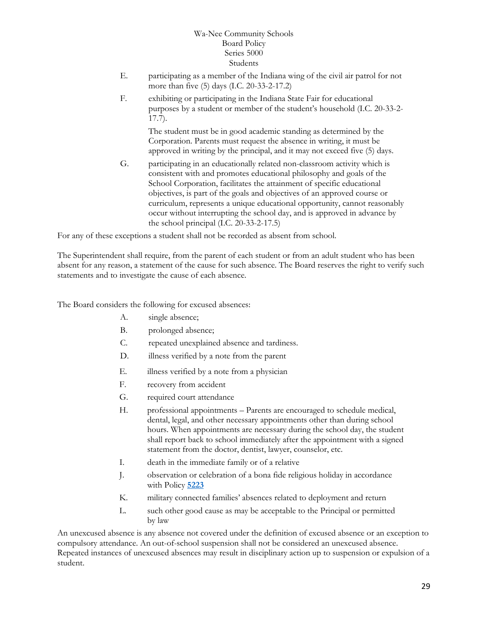- E. participating as a member of the Indiana wing of the civil air patrol for not more than five (5) days (I.C. 20-33-2-17.2)
- F. exhibiting or participating in the Indiana State Fair for educational purposes by a student or member of the student's household (I.C. 20-33-2- 17.7).

The student must be in good academic standing as determined by the Corporation. Parents must request the absence in writing, it must be approved in writing by the principal, and it may not exceed five (5) days.

G. participating in an educationally related non-classroom activity which is consistent with and promotes educational philosophy and goals of the School Corporation, facilitates the attainment of specific educational objectives, is part of the goals and objectives of an approved course or curriculum, represents a unique educational opportunity, cannot reasonably occur without interrupting the school day, and is approved in advance by the school principal (I.C. 20-33-2-17.5)

For any of these exceptions a student shall not be recorded as absent from school.

The Superintendent shall require, from the parent of each student or from an adult student who has been absent for any reason, a statement of the cause for such absence. The Board reserves the right to verify such statements and to investigate the cause of each absence.

The Board considers the following for excused absences:

- A. single absence;
- B. prolonged absence;
- C. repeated unexplained absence and tardiness.
- D. illness verified by a note from the parent
- E. illness verified by a note from a physician
- F. recovery from accident
- G. required court attendance
- H. professional appointments Parents are encouraged to schedule medical, dental, legal, and other necessary appointments other than during school hours. When appointments are necessary during the school day, the student shall report back to school immediately after the appointment with a signed statement from the doctor, dentist, lawyer, counselor, etc.
- I. death in the immediate family or of a relative
- J. observation or celebration of a bona fide religious holiday in accordance with Policy **[5223](http://www.neola.com/wanee-in/search/policies/po5223.htm)**
- K. military connected families' absences related to deployment and return
- L. such other good cause as may be acceptable to the Principal or permitted by law

An unexcused absence is any absence not covered under the definition of excused absence or an exception to compulsory attendance. An out-of-school suspension shall not be considered an unexcused absence. Repeated instances of unexcused absences may result in disciplinary action up to suspension or expulsion of a student.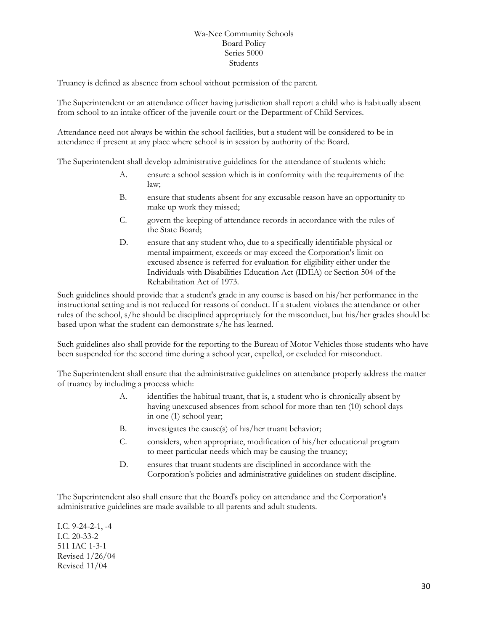Truancy is defined as absence from school without permission of the parent.

The Superintendent or an attendance officer having jurisdiction shall report a child who is habitually absent from school to an intake officer of the juvenile court or the Department of Child Services.

Attendance need not always be within the school facilities, but a student will be considered to be in attendance if present at any place where school is in session by authority of the Board.

The Superintendent shall develop administrative guidelines for the attendance of students which:

- A. ensure a school session which is in conformity with the requirements of the law;
- B. ensure that students absent for any excusable reason have an opportunity to make up work they missed;
- C. govern the keeping of attendance records in accordance with the rules of the State Board;
- D. ensure that any student who, due to a specifically identifiable physical or mental impairment, exceeds or may exceed the Corporation's limit on excused absence is referred for evaluation for eligibility either under the Individuals with Disabilities Education Act (IDEA) or Section 504 of the Rehabilitation Act of 1973.

Such guidelines should provide that a student's grade in any course is based on his/her performance in the instructional setting and is not reduced for reasons of conduct. If a student violates the attendance or other rules of the school, s/he should be disciplined appropriately for the misconduct, but his/her grades should be based upon what the student can demonstrate s/he has learned.

Such guidelines also shall provide for the reporting to the Bureau of Motor Vehicles those students who have been suspended for the second time during a school year, expelled, or excluded for misconduct.

The Superintendent shall ensure that the administrative guidelines on attendance properly address the matter of truancy by including a process which:

- A. identifies the habitual truant, that is, a student who is chronically absent by having unexcused absences from school for more than ten (10) school days in one (1) school year;
- B. investigates the cause(s) of his/her truant behavior;
- C. considers, when appropriate, modification of his/her educational program to meet particular needs which may be causing the truancy;
- D. ensures that truant students are disciplined in accordance with the Corporation's policies and administrative guidelines on student discipline.

The Superintendent also shall ensure that the Board's policy on attendance and the Corporation's administrative guidelines are made available to all parents and adult students.

I.C. 9-24-2-1, -4 I.C. 20-33-2 511 IAC 1-3-1 Revised 1/26/04 Revised 11/04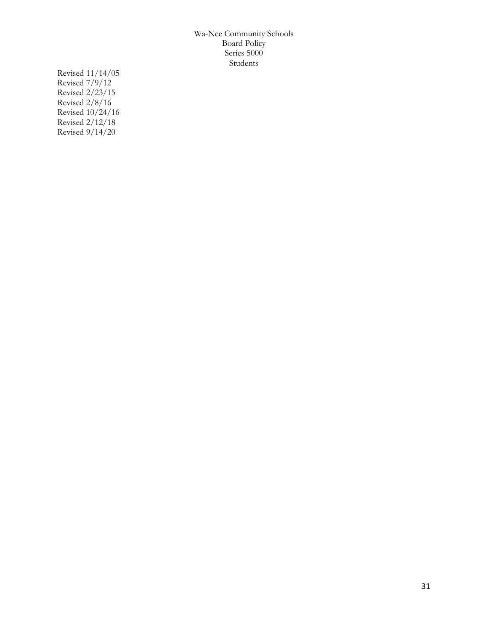Revised 11/14/05 Revised 7/9/12 Revised 2/23/15 Revised 2/8/16 Revised 10/24/16 Revised 2/12/18 Revised 9/14/20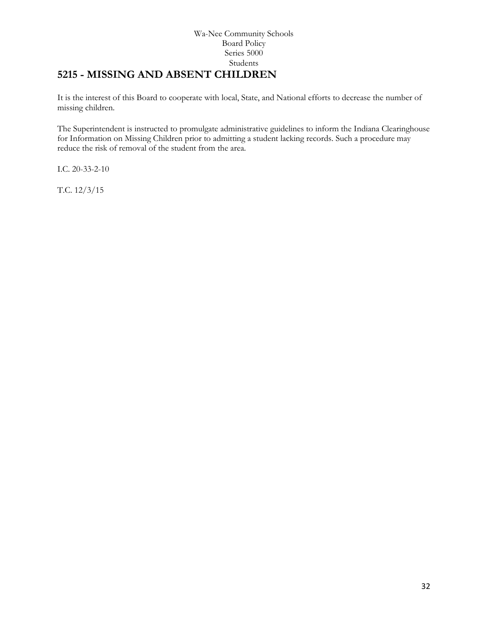# <span id="page-31-0"></span>**[5215](http://www.neola.com/wanee-in/search/ag/ag5215.htm) - MISSING AND ABSENT CHILDREN**

It is the interest of this Board to cooperate with local, State, and National efforts to decrease the number of missing children.

The Superintendent is instructed to promulgate administrative guidelines to inform the Indiana Clearinghouse for Information on Missing Children prior to admitting a student lacking records. Such a procedure may reduce the risk of removal of the student from the area.

I.C. 20-33-2-10

T.C. 12/3/15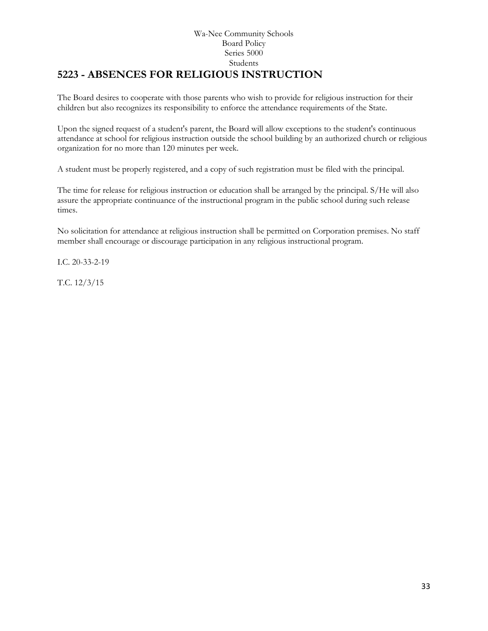## Wa-Nee Community Schools Board Policy Series 5000 Students **5223 - ABSENCES FOR RELIGIOUS INSTRUCTION**

<span id="page-32-0"></span>The Board desires to cooperate with those parents who wish to provide for religious instruction for their children but also recognizes its responsibility to enforce the attendance requirements of the State.

Upon the signed request of a student's parent, the Board will allow exceptions to the student's continuous attendance at school for religious instruction outside the school building by an authorized church or religious organization for no more than 120 minutes per week.

A student must be properly registered, and a copy of such registration must be filed with the principal.

The time for release for religious instruction or education shall be arranged by the principal. S/He will also assure the appropriate continuance of the instructional program in the public school during such release times.

No solicitation for attendance at religious instruction shall be permitted on Corporation premises. No staff member shall encourage or discourage participation in any religious instructional program.

I.C. 20-33-2-19

T.C. 12/3/15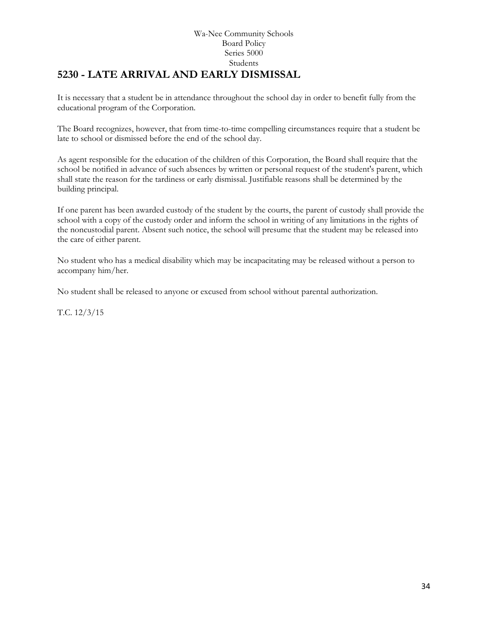## Wa-Nee Community Schools Board Policy Series 5000 Students **[5230](http://www.neola.com/wanee-in/search/ag/ag5230.htm) - LATE ARRIVAL AND EARLY DISMISSAL**

<span id="page-33-0"></span>It is necessary that a student be in attendance throughout the school day in order to benefit fully from the educational program of the Corporation.

The Board recognizes, however, that from time-to-time compelling circumstances require that a student be late to school or dismissed before the end of the school day.

As agent responsible for the education of the children of this Corporation, the Board shall require that the school be notified in advance of such absences by written or personal request of the student's parent, which shall state the reason for the tardiness or early dismissal. Justifiable reasons shall be determined by the building principal.

If one parent has been awarded custody of the student by the courts, the parent of custody shall provide the school with a copy of the custody order and inform the school in writing of any limitations in the rights of the noncustodial parent. Absent such notice, the school will presume that the student may be released into the care of either parent.

No student who has a medical disability which may be incapacitating may be released without a person to accompany him/her.

No student shall be released to anyone or excused from school without parental authorization.

T.C. 12/3/15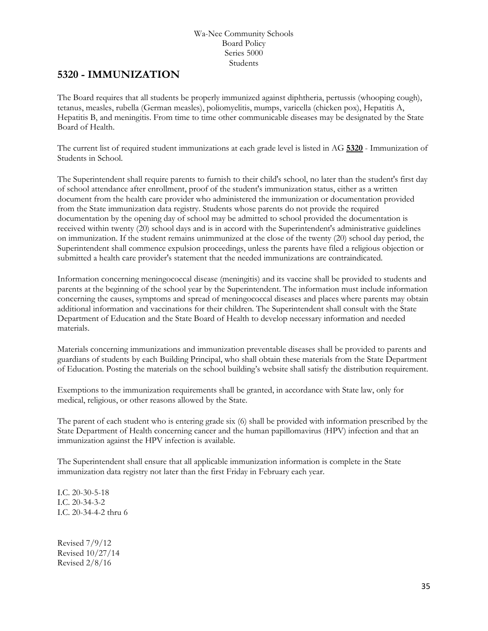# <span id="page-34-0"></span>**5[320](http://www.neola.com/wanee-in/search/ag/ag5320.htm) - IMMUNIZATION**

The Board requires that all students be properly immunized against diphtheria, pertussis (whooping cough), tetanus, measles, rubella (German measles), poliomyelitis, mumps, varicella (chicken pox), Hepatitis A, Hepatitis B, and meningitis. From time to time other communicable diseases may be designated by the State Board of Health.

The current list of required student immunizations at each grade level is listed in AG **[5320](http://www.neola.com/wanee-in/search/ag/ag5320.htm)** - Immunization of Students in School.

The Superintendent shall require parents to furnish to their child's school, no later than the student's first day of school attendance after enrollment, proof of the student's immunization status, either as a written document from the health care provider who administered the immunization or documentation provided from the State immunization data registry. Students whose parents do not provide the required documentation by the opening day of school may be admitted to school provided the documentation is received within twenty (20) school days and is in accord with the Superintendent's administrative guidelines on immunization. If the student remains unimmunized at the close of the twenty (20) school day period, the Superintendent shall commence expulsion proceedings, unless the parents have filed a religious objection or submitted a health care provider's statement that the needed immunizations are contraindicated.

Information concerning meningococcal disease (meningitis) and its vaccine shall be provided to students and parents at the beginning of the school year by the Superintendent. The information must include information concerning the causes, symptoms and spread of meningococcal diseases and places where parents may obtain additional information and vaccinations for their children. The Superintendent shall consult with the State Department of Education and the State Board of Health to develop necessary information and needed materials.

Materials concerning immunizations and immunization preventable diseases shall be provided to parents and guardians of students by each Building Principal, who shall obtain these materials from the State Department of Education. Posting the materials on the school building's website shall satisfy the distribution requirement.

Exemptions to the immunization requirements shall be granted, in accordance with State law, only for medical, religious, or other reasons allowed by the State.

The parent of each student who is entering grade six (6) shall be provided with information prescribed by the State Department of Health concerning cancer and the human papillomavirus (HPV) infection and that an immunization against the HPV infection is available.

The Superintendent shall ensure that all applicable immunization information is complete in the State immunization data registry not later than the first Friday in February each year.

I.C. 20-30-5-18 I.C. 20-34-3-2 I.C. 20-34-4-2 thru 6

Revised 7/9/12 Revised 10/27/14 Revised 2/8/16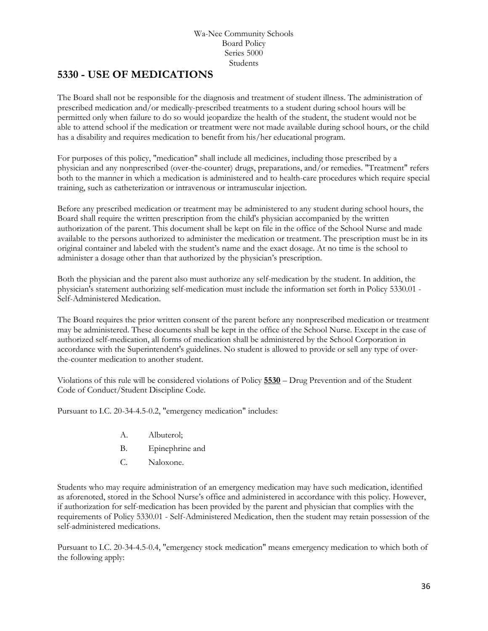# <span id="page-35-0"></span>**[5330](http://www.neola.com/wanee-in/search/ag/ag5330.htm) - USE OF MEDICATIONS**

The Board shall not be responsible for the diagnosis and treatment of student illness. The administration of prescribed medication and/or medically-prescribed treatments to a student during school hours will be permitted only when failure to do so would jeopardize the health of the student, the student would not be able to attend school if the medication or treatment were not made available during school hours, or the child has a disability and requires medication to benefit from his/her educational program.

For purposes of this policy, "medication" shall include all medicines, including those prescribed by a physician and any nonprescribed (over-the-counter) drugs, preparations, and/or remedies. "Treatment" refers both to the manner in which a medication is administered and to health-care procedures which require special training, such as catheterization or intravenous or intramuscular injection.

Before any prescribed medication or treatment may be administered to any student during school hours, the Board shall require the written prescription from the child's physician accompanied by the written authorization of the parent. This document shall be kept on file in the office of the School Nurse and made available to the persons authorized to administer the medication or treatment. The prescription must be in its original container and labeled with the student's name and the exact dosage. At no time is the school to administer a dosage other than that authorized by the physician's prescription.

Both the physician and the parent also must authorize any self-medication by the student. In addition, the physician's statement authorizing self-medication must include the information set forth in Policy 5330.01 - Self-Administered Medication.

The Board requires the prior written consent of the parent before any nonprescribed medication or treatment may be administered. These documents shall be kept in the office of the School Nurse. Except in the case of authorized self-medication, all forms of medication shall be administered by the School Corporation in accordance with the Superintendent's guidelines. No student is allowed to provide or sell any type of overthe-counter medication to another student.

Violations of this rule will be considered violations of Policy **[5530](http://www.neola.com/wanee-in/search/policies/po5530.htm)** – Drug Prevention and of the Student Code of Conduct/Student Discipline Code.

Pursuant to I.C. 20-34-4.5-0.2, "emergency medication" includes:

- A. Albuterol;
- B. Epinephrine and
- C. Naloxone.

Students who may require administration of an emergency medication may have such medication, identified as aforenoted, stored in the School Nurse's office and administered in accordance with this policy. However, if authorization for self-medication has been provided by the parent and physician that complies with the requirements of Policy 5330.01 - Self-Administered Medication, then the student may retain possession of the self-administered medications.

Pursuant to I.C. 20-34-4.5-0.4, "emergency stock medication" means emergency medication to which both of the following apply: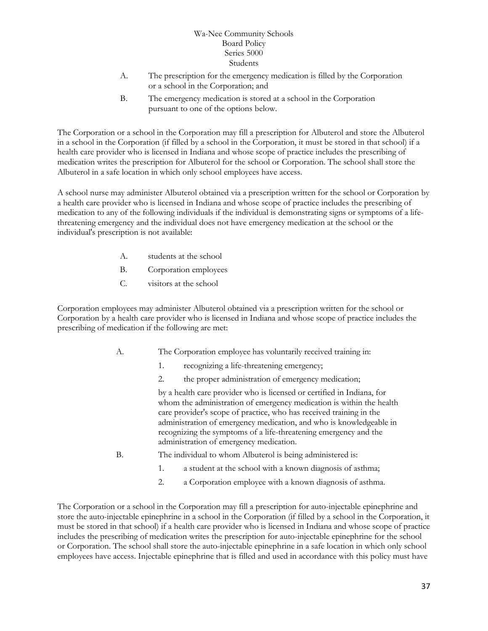- A. The prescription for the emergency medication is filled by the Corporation or a school in the Corporation; and
- B. The emergency medication is stored at a school in the Corporation pursuant to one of the options below.

The Corporation or a school in the Corporation may fill a prescription for Albuterol and store the Albuterol in a school in the Corporation (if filled by a school in the Corporation, it must be stored in that school) if a health care provider who is licensed in Indiana and whose scope of practice includes the prescribing of medication writes the prescription for Albuterol for the school or Corporation. The school shall store the Albuterol in a safe location in which only school employees have access.

A school nurse may administer Albuterol obtained via a prescription written for the school or Corporation by a health care provider who is licensed in Indiana and whose scope of practice includes the prescribing of medication to any of the following individuals if the individual is demonstrating signs or symptoms of a lifethreatening emergency and the individual does not have emergency medication at the school or the individual's prescription is not available:

- A. students at the school
- B. Corporation employees
- C. visitors at the school

Corporation employees may administer Albuterol obtained via a prescription written for the school or Corporation by a health care provider who is licensed in Indiana and whose scope of practice includes the prescribing of medication if the following are met:

- A. The Corporation employee has voluntarily received training in:
	- 1. recognizing a life-threatening emergency;
	- 2. the proper administration of emergency medication;

by a health care provider who is licensed or certified in Indiana, for whom the administration of emergency medication is within the health care provider's scope of practice, who has received training in the administration of emergency medication, and who is knowledgeable in recognizing the symptoms of a life-threatening emergency and the administration of emergency medication.

- B. The individual to whom Albuterol is being administered is:
	- 1. a student at the school with a known diagnosis of asthma;
	- 2. a Corporation employee with a known diagnosis of asthma.

The Corporation or a school in the Corporation may fill a prescription for auto-injectable epinephrine and store the auto-injectable epinephrine in a school in the Corporation (if filled by a school in the Corporation, it must be stored in that school) if a health care provider who is licensed in Indiana and whose scope of practice includes the prescribing of medication writes the prescription for auto-injectable epinephrine for the school or Corporation. The school shall store the auto-injectable epinephrine in a safe location in which only school employees have access. Injectable epinephrine that is filled and used in accordance with this policy must have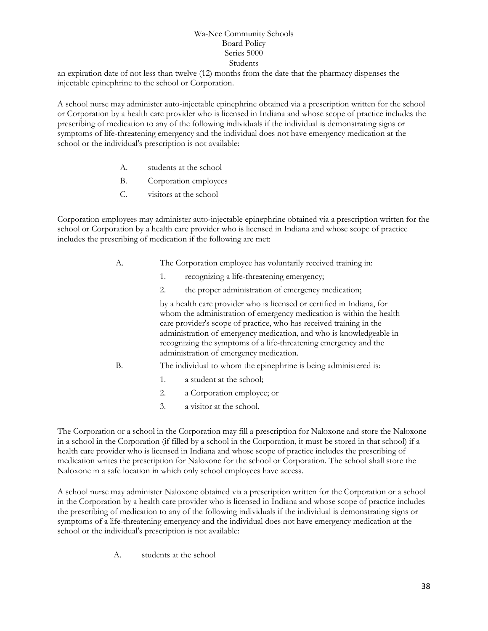an expiration date of not less than twelve (12) months from the date that the pharmacy dispenses the injectable epinephrine to the school or Corporation.

A school nurse may administer auto-injectable epinephrine obtained via a prescription written for the school or Corporation by a health care provider who is licensed in Indiana and whose scope of practice includes the prescribing of medication to any of the following individuals if the individual is demonstrating signs or symptoms of life-threatening emergency and the individual does not have emergency medication at the school or the individual's prescription is not available:

- A. students at the school
- B. Corporation employees
- C. visitors at the school

Corporation employees may administer auto-injectable epinephrine obtained via a prescription written for the school or Corporation by a health care provider who is licensed in Indiana and whose scope of practice includes the prescribing of medication if the following are met:

- A. The Corporation employee has voluntarily received training in:
	- 1. recognizing a life-threatening emergency;
	- 2. the proper administration of emergency medication;

by a health care provider who is licensed or certified in Indiana, for whom the administration of emergency medication is within the health care provider's scope of practice, who has received training in the administration of emergency medication, and who is knowledgeable in recognizing the symptoms of a life-threatening emergency and the administration of emergency medication.

- B. The individual to whom the epinephrine is being administered is:
	- 1. a student at the school;
	- 2. a Corporation employee; or
	- 3. a visitor at the school.

The Corporation or a school in the Corporation may fill a prescription for Naloxone and store the Naloxone in a school in the Corporation (if filled by a school in the Corporation, it must be stored in that school) if a health care provider who is licensed in Indiana and whose scope of practice includes the prescribing of medication writes the prescription for Naloxone for the school or Corporation. The school shall store the Naloxone in a safe location in which only school employees have access.

A school nurse may administer Naloxone obtained via a prescription written for the Corporation or a school in the Corporation by a health care provider who is licensed in Indiana and whose scope of practice includes the prescribing of medication to any of the following individuals if the individual is demonstrating signs or symptoms of a life-threatening emergency and the individual does not have emergency medication at the school or the individual's prescription is not available:

A. students at the school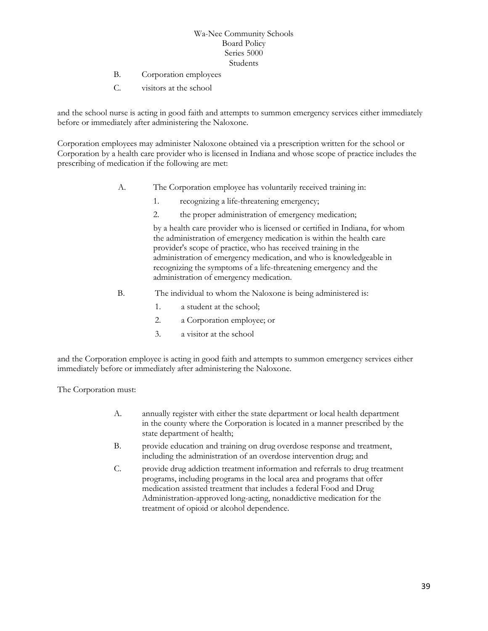- B. Corporation employees
- C. visitors at the school

and the school nurse is acting in good faith and attempts to summon emergency services either immediately before or immediately after administering the Naloxone.

Corporation employees may administer Naloxone obtained via a prescription written for the school or Corporation by a health care provider who is licensed in Indiana and whose scope of practice includes the prescribing of medication if the following are met:

- A. The Corporation employee has voluntarily received training in:
	- 1. recognizing a life-threatening emergency;
	- 2. the proper administration of emergency medication;

by a health care provider who is licensed or certified in Indiana, for whom the administration of emergency medication is within the health care provider's scope of practice, who has received training in the administration of emergency medication, and who is knowledgeable in recognizing the symptoms of a life-threatening emergency and the administration of emergency medication.

- B. The individual to whom the Naloxone is being administered is:
	- 1. a student at the school;
	- 2. a Corporation employee; or
	- 3. a visitor at the school

and the Corporation employee is acting in good faith and attempts to summon emergency services either immediately before or immediately after administering the Naloxone.

The Corporation must:

- A. annually register with either the state department or local health department in the county where the Corporation is located in a manner prescribed by the state department of health;
- B. provide education and training on drug overdose response and treatment, including the administration of an overdose intervention drug; and
- C. provide drug addiction treatment information and referrals to drug treatment programs, including programs in the local area and programs that offer medication assisted treatment that includes a federal Food and Drug Administration-approved long-acting, nonaddictive medication for the treatment of opioid or alcohol dependence.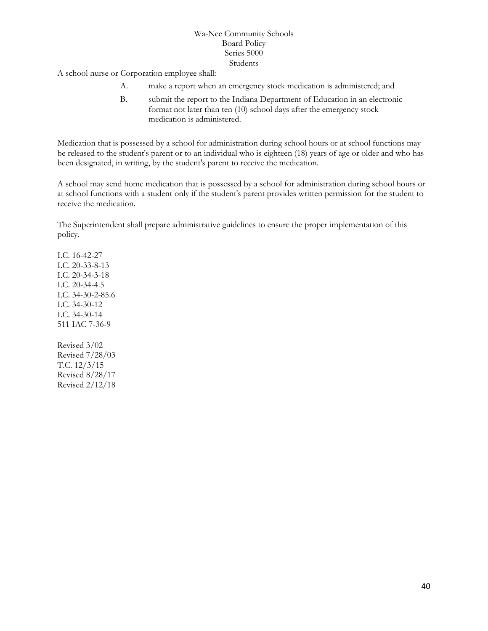A school nurse or Corporation employee shall:

- A. make a report when an emergency stock medication is administered; and
- B. submit the report to the Indiana Department of Education in an electronic format not later than ten (10) school days after the emergency stock medication is administered.

Medication that is possessed by a school for administration during school hours or at school functions may be released to the student's parent or to an individual who is eighteen (18) years of age or older and who has been designated, in writing, by the student's parent to receive the medication.

A school may send home medication that is possessed by a school for administration during school hours or at school functions with a student only if the student's parent provides written permission for the student to receive the medication.

The Superintendent shall prepare administrative guidelines to ensure the proper implementation of this policy.

I.C. 16-42-27 I.C. 20-33-8-13 I.C. 20-34-3-18 I.C. 20-34-4.5 I.C. 34-30-2-85.6 I.C. 34-30-12 I.C. 34-30-14 511 IAC 7-36-9

Revised 3/02 Revised 7/28/03 T.C. 12/3/15 Revised 8/28/17 Revised 2/12/18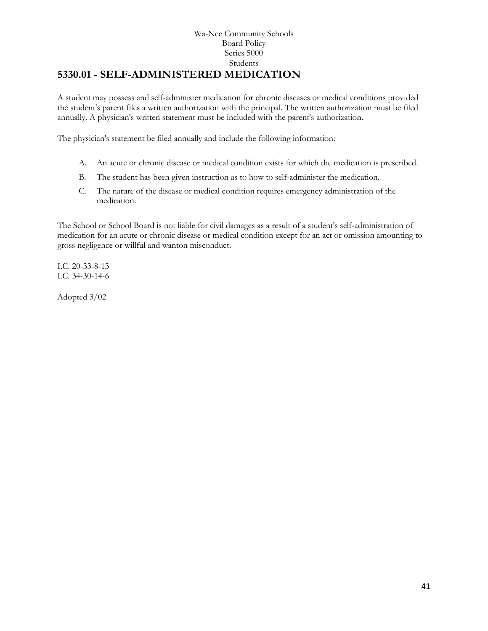### Wa-Nee Community Schools Board Policy Series 5000 Students **5330.01 - SELF-ADMINISTERED MEDICATION**

A student may possess and self-administer medication for chronic diseases or medical conditions provided the student's parent files a written authorization with the principal. The written authorization must be filed annually. A physician's written statement must be included with the parent's authorization.

The physician's statement be filed annually and include the following information:

- A. An acute or chronic disease or medical condition exists for which the medication is prescribed.
- B. The student has been given instruction as to how to self-administer the medication.
- C. The nature of the disease or medical condition requires emergency administration of the medication.

The School or School Board is not liable for civil damages as a result of a student's self-administration of medication for an acute or chronic disease or medical condition except for an act or omission amounting to gross negligence or willful and wanton misconduct.

I.C. 20-33-8-13 I.C. 34-30-14-6

Adopted 3/02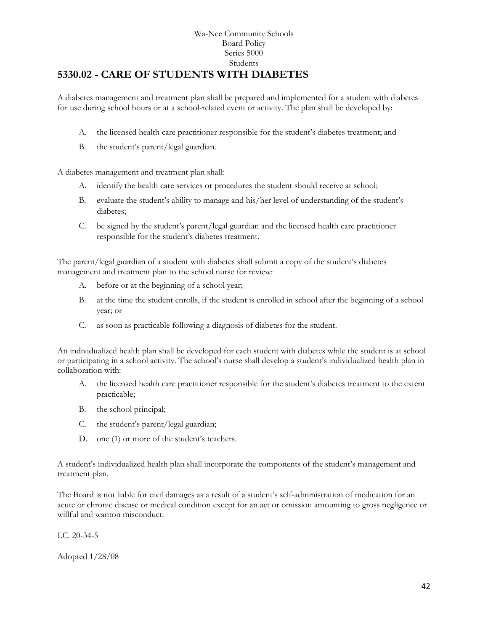### Wa-Nee Community Schools Board Policy Series 5000 Students **[5330.02](http://www.neola.com/wanee-in/search/ag/ag5330.02.htm) - CARE OF STUDENTS WITH DIABETES**

A diabetes management and treatment plan shall be prepared and implemented for a student with diabetes for use during school hours or at a school-related event or activity. The plan shall be developed by:

- A. the licensed health care practitioner responsible for the student's diabetes treatment; and
- B. the student's parent/legal guardian.

A diabetes management and treatment plan shall:

- A. identify the health care services or procedures the student should receive at school;
- B. evaluate the student's ability to manage and his/her level of understanding of the student's diabetes;
- C. be signed by the student's parent/legal guardian and the licensed health care practitioner responsible for the student's diabetes treatment.

The parent/legal guardian of a student with diabetes shall submit a copy of the student's diabetes management and treatment plan to the school nurse for review:

- A. before or at the beginning of a school year;
- B. at the time the student enrolls, if the student is enrolled in school after the beginning of a school year; or
- C. as soon as practicable following a diagnosis of diabetes for the student.

An individualized health plan shall be developed for each student with diabetes while the student is at school or participating in a school activity. The school's nurse shall develop a student's individualized health plan in collaboration with:

- A. the licensed health care practitioner responsible for the student's diabetes treatment to the extent practicable;
- B. the school principal;
- C. the student's parent/legal guardian;
- D. one (1) or more of the student's teachers.

A student's individualized health plan shall incorporate the components of the student's management and treatment plan.

The Board is not liable for civil damages as a result of a student's self-administration of medication for an acute or chronic disease or medical condition except for an act or omission amounting to gross negligence or willful and wanton misconduct.

I.C. 20-34-5

Adopted 1/28/08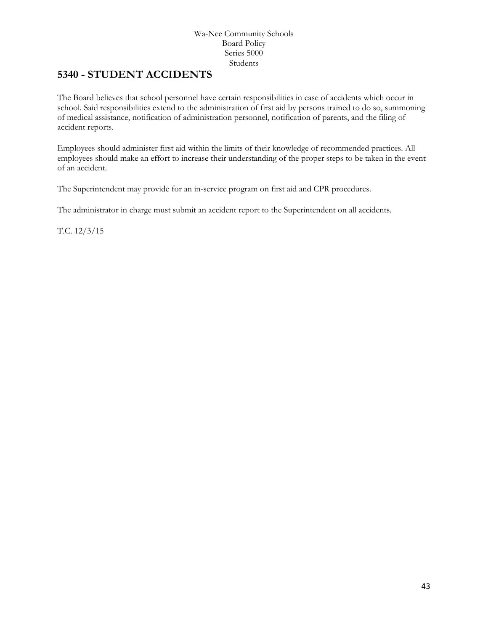## **5340 - STUDENT ACCIDENTS**

The Board believes that school personnel have certain responsibilities in case of accidents which occur in school. Said responsibilities extend to the administration of first aid by persons trained to do so, summoning of medical assistance, notification of administration personnel, notification of parents, and the filing of accident reports.

Employees should administer first aid within the limits of their knowledge of recommended practices. All employees should make an effort to increase their understanding of the proper steps to be taken in the event of an accident.

The Superintendent may provide for an in-service program on first aid and CPR procedures.

The administrator in charge must submit an accident report to the Superintendent on all accidents.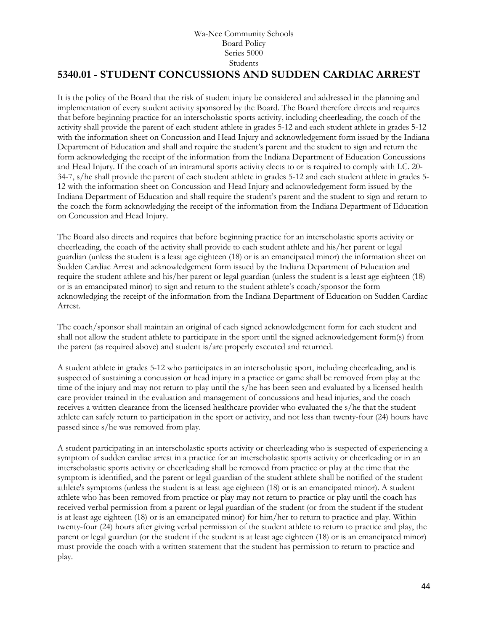## **[5340.01](http://www.neola.com/wanee-in/search/ag/ag5340.01.htm) - STUDENT CONCUSSIONS AND SUDDEN CARDIAC ARREST**

It is the policy of the Board that the risk of student injury be considered and addressed in the planning and implementation of every student activity sponsored by the Board. The Board therefore directs and requires that before beginning practice for an interscholastic sports activity, including cheerleading, the coach of the activity shall provide the parent of each student athlete in grades 5-12 and each student athlete in grades 5-12 with the information sheet on Concussion and Head Injury and acknowledgement form issued by the Indiana Department of Education and shall and require the student's parent and the student to sign and return the form acknowledging the receipt of the information from the Indiana Department of Education Concussions and Head Injury. If the coach of an intramural sports activity elects to or is required to comply with I.C. 20- 34-7, s/he shall provide the parent of each student athlete in grades 5-12 and each student athlete in grades 5- 12 with the information sheet on Concussion and Head Injury and acknowledgement form issued by the Indiana Department of Education and shall require the student's parent and the student to sign and return to the coach the form acknowledging the receipt of the information from the Indiana Department of Education on Concussion and Head Injury.

The Board also directs and requires that before beginning practice for an interscholastic sports activity or cheerleading, the coach of the activity shall provide to each student athlete and his/her parent or legal guardian (unless the student is a least age eighteen (18) or is an emancipated minor) the information sheet on Sudden Cardiac Arrest and acknowledgement form issued by the Indiana Department of Education and require the student athlete and his/her parent or legal guardian (unless the student is a least age eighteen (18) or is an emancipated minor) to sign and return to the student athlete's coach/sponsor the form acknowledging the receipt of the information from the Indiana Department of Education on Sudden Cardiac Arrest.

The coach/sponsor shall maintain an original of each signed acknowledgement form for each student and shall not allow the student athlete to participate in the sport until the signed acknowledgement form(s) from the parent (as required above) and student is/are properly executed and returned.

A student athlete in grades 5-12 who participates in an interscholastic sport, including cheerleading, and is suspected of sustaining a concussion or head injury in a practice or game shall be removed from play at the time of the injury and may not return to play until the s/he has been seen and evaluated by a licensed health care provider trained in the evaluation and management of concussions and head injuries, and the coach receives a written clearance from the licensed healthcare provider who evaluated the s/he that the student athlete can safely return to participation in the sport or activity, and not less than twenty-four (24) hours have passed since s/he was removed from play.

A student participating in an interscholastic sports activity or cheerleading who is suspected of experiencing a symptom of sudden cardiac arrest in a practice for an interscholastic sports activity or cheerleading or in an interscholastic sports activity or cheerleading shall be removed from practice or play at the time that the symptom is identified, and the parent or legal guardian of the student athlete shall be notified of the student athlete's symptoms (unless the student is at least age eighteen (18) or is an emancipated minor). A student athlete who has been removed from practice or play may not return to practice or play until the coach has received verbal permission from a parent or legal guardian of the student (or from the student if the student is at least age eighteen (18) or is an emancipated minor) for him/her to return to practice and play. Within twenty-four (24) hours after giving verbal permission of the student athlete to return to practice and play, the parent or legal guardian (or the student if the student is at least age eighteen (18) or is an emancipated minor) must provide the coach with a written statement that the student has permission to return to practice and play.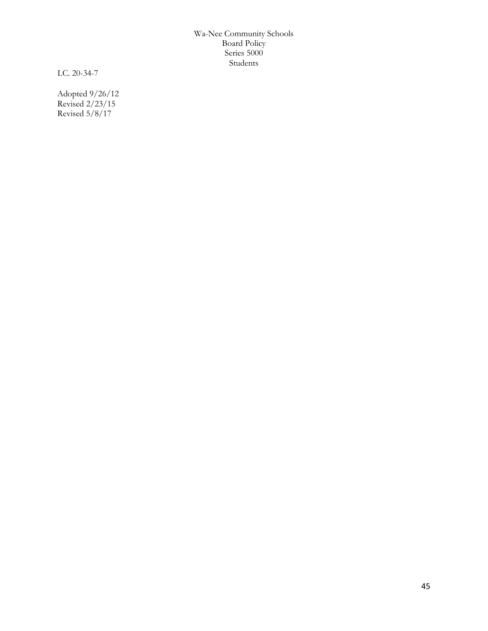I.C. 20-34-7

Adopted 9/26/12 Revised 2/23/15 Revised 5/8/17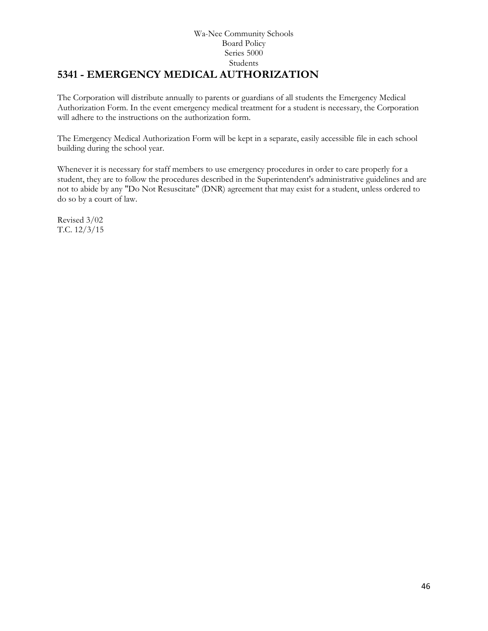### Wa-Nee Community Schools Board Policy Series 5000 Students **5341 - EMERGENCY MEDICAL AUTHORIZATION**

The Corporation will distribute annually to parents or guardians of all students the Emergency Medical Authorization Form. In the event emergency medical treatment for a student is necessary, the Corporation will adhere to the instructions on the authorization form.

The Emergency Medical Authorization Form will be kept in a separate, easily accessible file in each school building during the school year.

Whenever it is necessary for staff members to use emergency procedures in order to care properly for a student, they are to follow the procedures described in the Superintendent's administrative guidelines and are not to abide by any "Do Not Resuscitate" (DNR) agreement that may exist for a student, unless ordered to do so by a court of law.

Revised 3/02 T.C. 12/3/15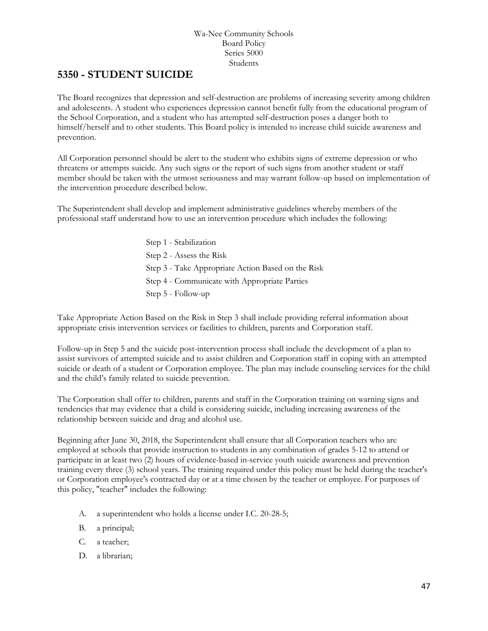## **[5350](http://www.neola.com/wanee-in/search/ag/ag5350.htm) - STUDENT SUICIDE**

The Board recognizes that depression and self-destruction are problems of increasing severity among children and adolescents. A student who experiences depression cannot benefit fully from the educational program of the School Corporation, and a student who has attempted self-destruction poses a danger both to himself/herself and to other students. This Board policy is intended to increase child suicide awareness and prevention.

All Corporation personnel should be alert to the student who exhibits signs of extreme depression or who threatens or attempts suicide. Any such signs or the report of such signs from another student or staff member should be taken with the utmost seriousness and may warrant follow-up based on implementation of the intervention procedure described below.

The Superintendent shall develop and implement administrative guidelines whereby members of the professional staff understand how to use an intervention procedure which includes the following:

> Step 1 - Stabilization Step 2 - Assess the Risk Step 3 - Take Appropriate Action Based on the Risk Step 4 - Communicate with Appropriate Parties Step 5 - Follow-up

Take Appropriate Action Based on the Risk in Step 3 shall include providing referral information about appropriate crisis intervention services or facilities to children, parents and Corporation staff.

Follow-up in Step 5 and the suicide post-intervention process shall include the development of a plan to assist survivors of attempted suicide and to assist children and Corporation staff in coping with an attempted suicide or death of a student or Corporation employee. The plan may include counseling services for the child and the child's family related to suicide prevention.

The Corporation shall offer to children, parents and staff in the Corporation training on warning signs and tendencies that may evidence that a child is considering suicide, including increasing awareness of the relationship between suicide and drug and alcohol use.

Beginning after June 30, 2018, the Superintendent shall ensure that all Corporation teachers who are employed at schools that provide instruction to students in any combination of grades 5-12 to attend or participate in at least two (2) hours of evidence-based in-service youth suicide awareness and prevention training every three (3) school years. The training required under this policy must be held during the teacher's or Corporation employee's contracted day or at a time chosen by the teacher or employee. For purposes of this policy, "teacher" includes the following:

- A. a superintendent who holds a license under I.C. 20-28-5;
- B. a principal;
- C. a teacher;
- D. a librarian;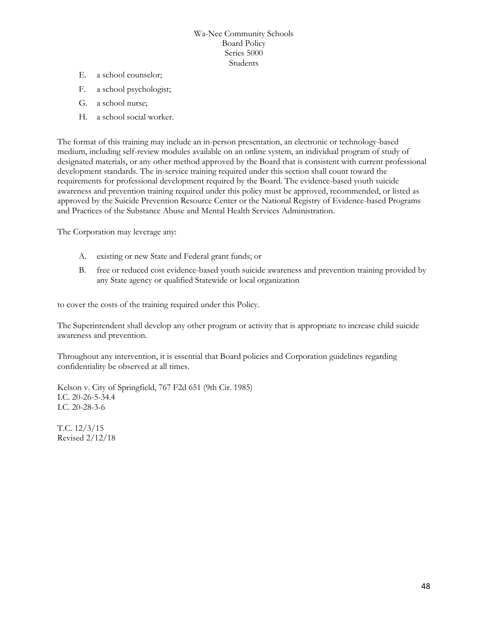- E. a school counselor;
- F. a school psychologist;
- G. a school nurse;
- H. a school social worker.

The format of this training may include an in-person presentation, an electronic or technology-based medium, including self-review modules available on an online system, an individual program of study of designated materials, or any other method approved by the Board that is consistent with current professional development standards. The in-service training required under this section shall count toward the requirements for professional development required by the Board. The evidence-based youth suicide awareness and prevention training required under this policy must be approved, recommended, or listed as approved by the Suicide Prevention Resource Center or the National Registry of Evidence-based Programs and Practices of the Substance Abuse and Mental Health Services Administration.

The Corporation may leverage any:

- A. existing or new State and Federal grant funds; or
- B. free or reduced cost evidence-based youth suicide awareness and prevention training provided by any State agency or qualified Statewide or local organization

to cover the costs of the training required under this Policy.

The Superintendent shall develop any other program or activity that is appropriate to increase child suicide awareness and prevention.

Throughout any intervention, it is essential that Board policies and Corporation guidelines regarding confidentiality be observed at all times.

Kelson v. City of Springfield, 767 F2d 651 (9th Cir. 1985) I.C. 20-26-5-34.4 I.C. 20-28-3-6

T.C. 12/3/15 Revised 2/12/18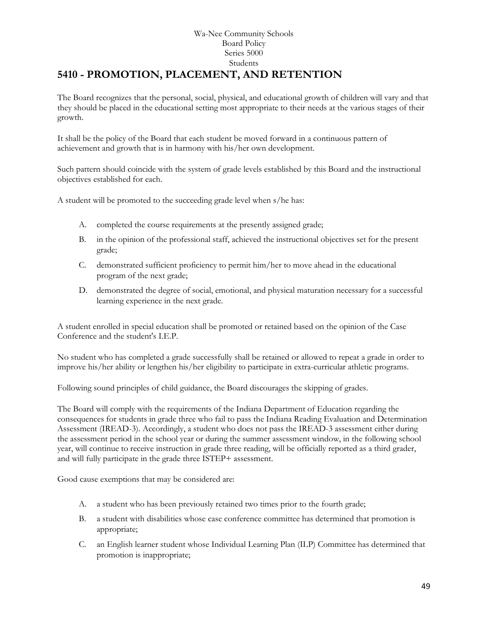### Wa-Nee Community Schools Board Policy Series 5000 Students **[5410](http://www.neola.com/wanee-in/search/ag/ag5410.htm) - PROMOTION, PLACEMENT, AND RETENTION**

The Board recognizes that the personal, social, physical, and educational growth of children will vary and that they should be placed in the educational setting most appropriate to their needs at the various stages of their growth.

It shall be the policy of the Board that each student be moved forward in a continuous pattern of achievement and growth that is in harmony with his/her own development.

Such pattern should coincide with the system of grade levels established by this Board and the instructional objectives established for each.

A student will be promoted to the succeeding grade level when s/he has:

- A. completed the course requirements at the presently assigned grade;
- B. in the opinion of the professional staff, achieved the instructional objectives set for the present grade;
- C. demonstrated sufficient proficiency to permit him/her to move ahead in the educational program of the next grade;
- D. demonstrated the degree of social, emotional, and physical maturation necessary for a successful learning experience in the next grade.

A student enrolled in special education shall be promoted or retained based on the opinion of the Case Conference and the student's I.E.P.

No student who has completed a grade successfully shall be retained or allowed to repeat a grade in order to improve his/her ability or lengthen his/her eligibility to participate in extra-curricular athletic programs.

Following sound principles of child guidance, the Board discourages the skipping of grades.

The Board will comply with the requirements of the Indiana Department of Education regarding the consequences for students in grade three who fail to pass the Indiana Reading Evaluation and Determination Assessment (IREAD-3). Accordingly, a student who does not pass the IREAD-3 assessment either during the assessment period in the school year or during the summer assessment window, in the following school year, will continue to receive instruction in grade three reading, will be officially reported as a third grader, and will fully participate in the grade three ISTEP+ assessment.

Good cause exemptions that may be considered are:

- A. a student who has been previously retained two times prior to the fourth grade;
- B. a student with disabilities whose case conference committee has determined that promotion is appropriate;
- C. an English learner student whose Individual Learning Plan (ILP) Committee has determined that promotion is inappropriate;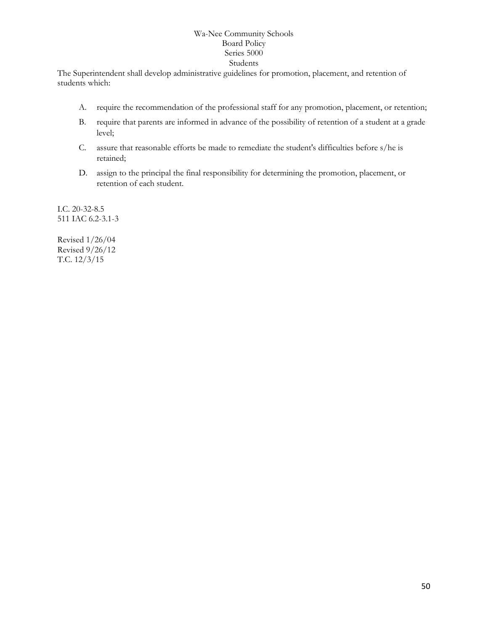The Superintendent shall develop administrative guidelines for promotion, placement, and retention of students which:

- A. require the recommendation of the professional staff for any promotion, placement, or retention;
- B. require that parents are informed in advance of the possibility of retention of a student at a grade level;
- C. assure that reasonable efforts be made to remediate the student's difficulties before s/he is retained;
- D. assign to the principal the final responsibility for determining the promotion, placement, or retention of each student.

I.C. 20-32-8.5 511 IAC 6.2-3.1-3

Revised 1/26/04 Revised 9/26/12 T.C. 12/3/15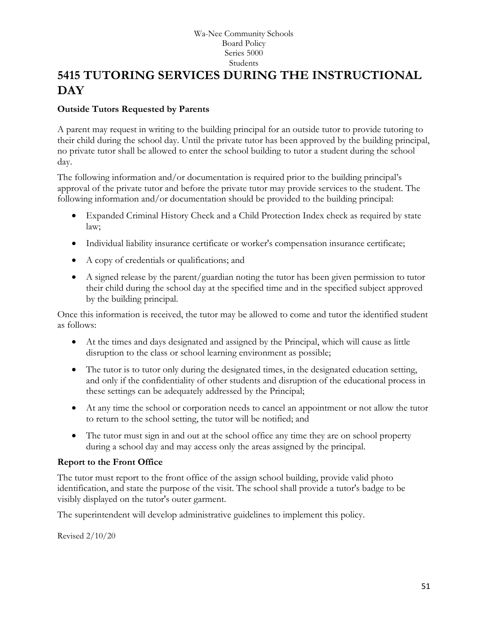# **5415 TUTORING SERVICES DURING THE INSTRUCTIONAL DAY**

### **Outside Tutors Requested by Parents**

A parent may request in writing to the building principal for an outside tutor to provide tutoring to their child during the school day. Until the private tutor has been approved by the building principal, no private tutor shall be allowed to enter the school building to tutor a student during the school day.

The following information and/or documentation is required prior to the building principal's approval of the private tutor and before the private tutor may provide services to the student. The following information and/or documentation should be provided to the building principal:

- Expanded Criminal History Check and a Child Protection Index check as required by state law;
- Individual liability insurance certificate or worker's compensation insurance certificate;
- A copy of credentials or qualifications; and
- A signed release by the parent/guardian noting the tutor has been given permission to tutor their child during the school day at the specified time and in the specified subject approved by the building principal.

Once this information is received, the tutor may be allowed to come and tutor the identified student as follows:

- At the times and days designated and assigned by the Principal, which will cause as little disruption to the class or school learning environment as possible;
- The tutor is to tutor only during the designated times, in the designated education setting, and only if the confidentiality of other students and disruption of the educational process in these settings can be adequately addressed by the Principal;
- At any time the school or corporation needs to cancel an appointment or not allow the tutor to return to the school setting, the tutor will be notified; and
- The tutor must sign in and out at the school office any time they are on school property during a school day and may access only the areas assigned by the principal.

### **Report to the Front Office**

The tutor must report to the front office of the assign school building, provide valid photo identification, and state the purpose of the visit. The school shall provide a tutor's badge to be visibly displayed on the tutor's outer garment.

The superintendent will develop administrative guidelines to implement this policy.

Revised 2/10/20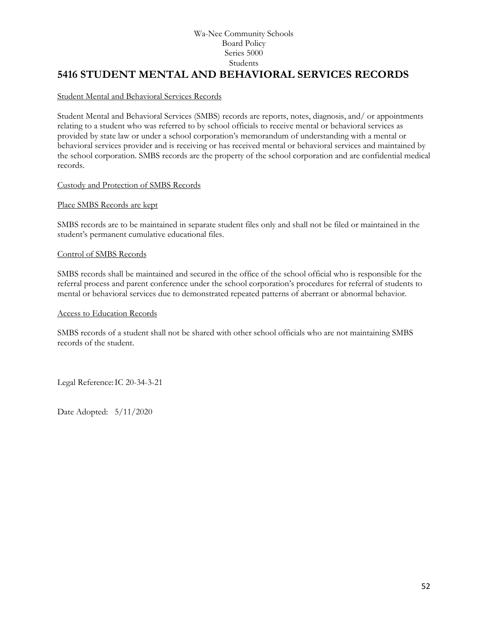### **5416 STUDENT MENTAL AND BEHAVIORAL SERVICES RECORDS**

### Student Mental and Behavioral Services Records

Student Mental and Behavioral Services (SMBS) records are reports, notes, diagnosis, and/ or appointments relating to a student who was referred to by school officials to receive mental or behavioral services as provided by state law or under a school corporation's memorandum of understanding with a mental or behavioral services provider and is receiving or has received mental or behavioral services and maintained by the school corporation. SMBS records are the property of the school corporation and are confidential medical records.

### Custody and Protection of SMBS Records

#### Place SMBS Records are kept

SMBS records are to be maintained in separate student files only and shall not be filed or maintained in the student's permanent cumulative educational files.

#### Control of SMBS Records

SMBS records shall be maintained and secured in the office of the school official who is responsible for the referral process and parent conference under the school corporation's procedures for referral of students to mental or behavioral services due to demonstrated repeated patterns of aberrant or abnormal behavior.

#### Access to Education Records

SMBS records of a student shall not be shared with other school officials who are not maintaining SMBS records of the student.

Legal Reference:IC 20-34-3-21

Date Adopted: 5/11/2020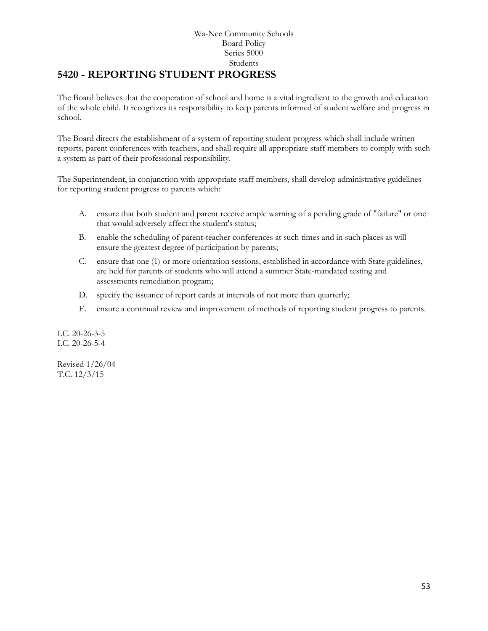## **5420 - REPORTING STUDENT PROGRESS**

The Board believes that the cooperation of school and home is a vital ingredient to the growth and education of the whole child. It recognizes its responsibility to keep parents informed of student welfare and progress in school.

The Board directs the establishment of a system of reporting student progress which shall include written reports, parent conferences with teachers, and shall require all appropriate staff members to comply with such a system as part of their professional responsibility.

The Superintendent, in conjunction with appropriate staff members, shall develop administrative guidelines for reporting student progress to parents which:

- A. ensure that both student and parent receive ample warning of a pending grade of "failure" or one that would adversely affect the student's status;
- B. enable the scheduling of parent-teacher conferences at such times and in such places as will ensure the greatest degree of participation by parents;
- C. ensure that one (1) or more orientation sessions, established in accordance with State guidelines, are held for parents of students who will attend a summer State-mandated testing and assessments remediation program;
- D. specify the issuance of report cards at intervals of not more than quarterly;
- E. ensure a continual review and improvement of methods of reporting student progress to parents.

I.C. 20-26-3-5 I.C. 20-26-5-4

Revised 1/26/04 T.C. 12/3/15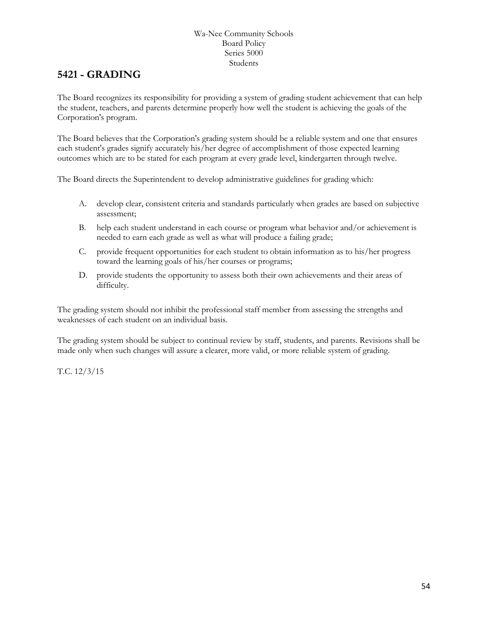## **5421 - GRADING**

The Board recognizes its responsibility for providing a system of grading student achievement that can help the student, teachers, and parents determine properly how well the student is achieving the goals of the Corporation's program.

The Board believes that the Corporation's grading system should be a reliable system and one that ensures each student's grades signify accurately his/her degree of accomplishment of those expected learning outcomes which are to be stated for each program at every grade level, kindergarten through twelve.

The Board directs the Superintendent to develop administrative guidelines for grading which:

- A. develop clear, consistent criteria and standards particularly when grades are based on subjective assessment;
- B. help each student understand in each course or program what behavior and/or achievement is needed to earn each grade as well as what will produce a failing grade;
- C. provide frequent opportunities for each student to obtain information as to his/her progress toward the learning goals of his/her courses or programs;
- D. provide students the opportunity to assess both their own achievements and their areas of difficulty.

The grading system should not inhibit the professional staff member from assessing the strengths and weaknesses of each student on an individual basis.

The grading system should be subject to continual review by staff, students, and parents. Revisions shall be made only when such changes will assure a clearer, more valid, or more reliable system of grading.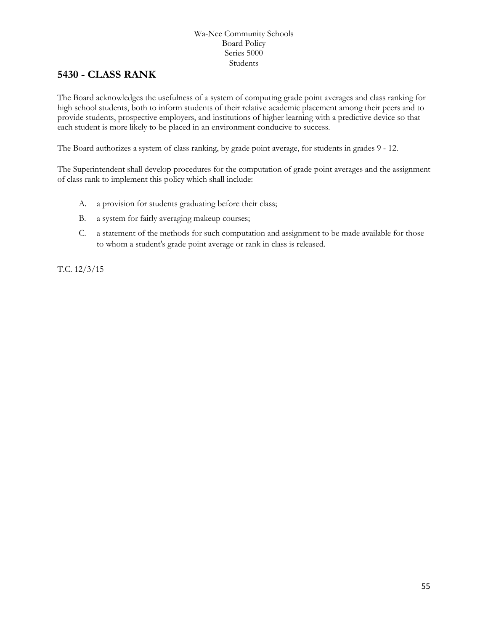### **[5430](http://www.neola.com/wanee-in/search/ag/ag5430.htm) - CLASS RANK**

The Board acknowledges the usefulness of a system of computing grade point averages and class ranking for high school students, both to inform students of their relative academic placement among their peers and to provide students, prospective employers, and institutions of higher learning with a predictive device so that each student is more likely to be placed in an environment conducive to success.

The Board authorizes a system of class ranking, by grade point average, for students in grades 9 - 12.

The Superintendent shall develop procedures for the computation of grade point averages and the assignment of class rank to implement this policy which shall include:

- A. a provision for students graduating before their class;
- B. a system for fairly averaging makeup courses;
- C. a statement of the methods for such computation and assignment to be made available for those to whom a student's grade point average or rank in class is released.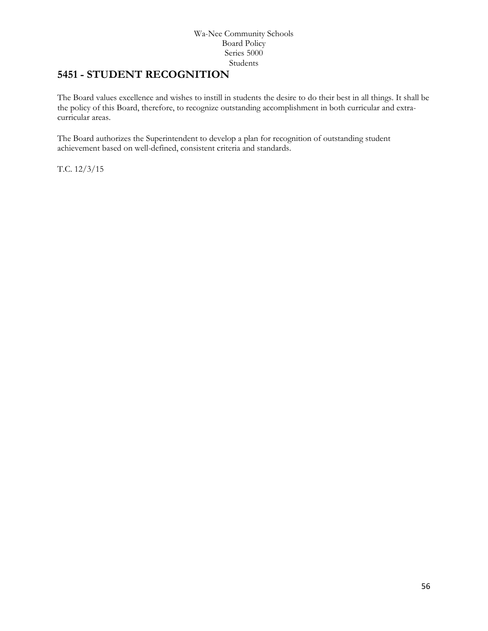## **5451 - STUDENT RECOGNITION**

The Board values excellence and wishes to instill in students the desire to do their best in all things. It shall be the policy of this Board, therefore, to recognize outstanding accomplishment in both curricular and extracurricular areas.

The Board authorizes the Superintendent to develop a plan for recognition of outstanding student achievement based on well-defined, consistent criteria and standards.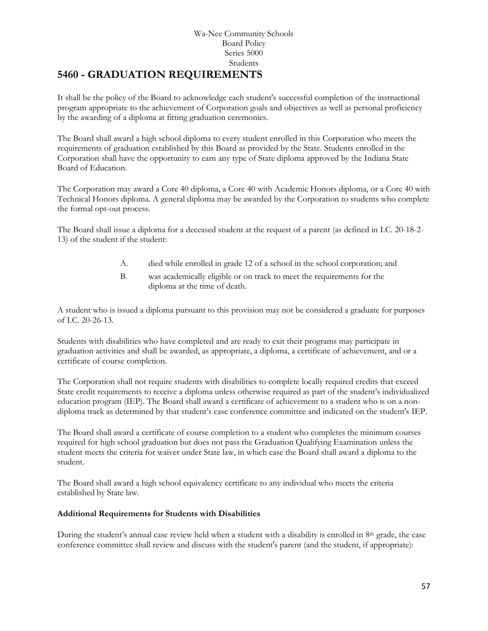## **[5460](http://www.neola.com/wanee-in/search/ag/ag5460.htm) - GRADUATION REQUIREMENTS**

It shall be the policy of the Board to acknowledge each student's successful completion of the instructional program appropriate to the achievement of Corporation goals and objectives as well as personal proficiency by the awarding of a diploma at fitting graduation ceremonies.

The Board shall award a high school diploma to every student enrolled in this Corporation who meets the requirements of graduation established by this Board as provided by the State. Students enrolled in the Corporation shall have the opportunity to earn any type of State diploma approved by the Indiana State Board of Education.

The Corporation may award a Core 40 diploma, a Core 40 with Academic Honors diploma, or a Core 40 with Technical Honors diploma. A general diploma may be awarded by the Corporation to students who complete the formal opt-out process.

The Board shall issue a diploma for a deceased student at the request of a parent (as defined in I.C. 20-18-2- 13) of the student if the student:

- A. died while enrolled in grade 12 of a school in the school corporation; and
- B. was academically eligible or on track to meet the requirements for the diploma at the time of death.

A student who is issued a diploma pursuant to this provision may not be considered a graduate for purposes of I.C. 20-26-13.

Students with disabilities who have completed and are ready to exit their programs may participate in graduation activities and shall be awarded, as appropriate, a diploma, a certificate of achievement, and or a certificate of course completion.

The Corporation shall not require students with disabilities to complete locally required credits that exceed State credit requirements to receive a diploma unless otherwise required as part of the student's individualized education program (IEP). The Board shall award a certificate of achievement to a student who is on a nondiploma track as determined by that student's case conference committee and indicated on the student's IEP.

The Board shall award a certificate of course completion to a student who completes the minimum courses required for high school graduation but does not pass the Graduation Qualifying Examination unless the student meets the criteria for waiver under State law, in which case the Board shall award a diploma to the student.

The Board shall award a high school equivalency certificate to any individual who meets the criteria established by State law.

### **Additional Requirements for Students with Disabilities**

During the student's annual case review held when a student with a disability is enrolled in 8th grade, the case conference committee shall review and discuss with the student's parent (and the student, if appropriate):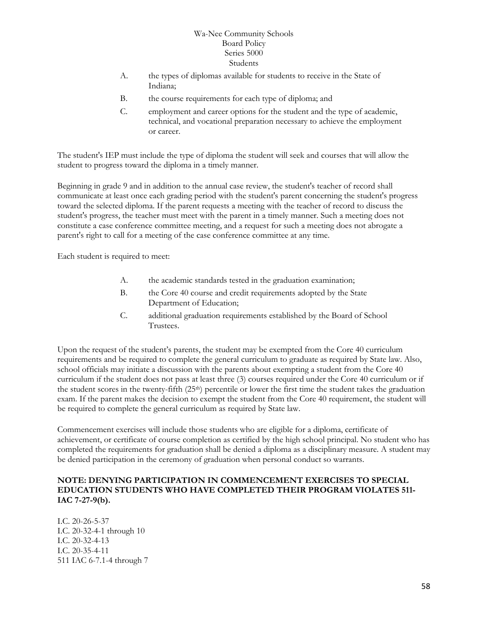- A. the types of diplomas available for students to receive in the State of Indiana;
- B. the course requirements for each type of diploma; and
- C. employment and career options for the student and the type of academic, technical, and vocational preparation necessary to achieve the employment or career.

The student's IEP must include the type of diploma the student will seek and courses that will allow the student to progress toward the diploma in a timely manner.

Beginning in grade 9 and in addition to the annual case review, the student's teacher of record shall communicate at least once each grading period with the student's parent concerning the student's progress toward the selected diploma. If the parent requests a meeting with the teacher of record to discuss the student's progress, the teacher must meet with the parent in a timely manner. Such a meeting does not constitute a case conference committee meeting, and a request for such a meeting does not abrogate a parent's right to call for a meeting of the case conference committee at any time.

Each student is required to meet:

- A. the academic standards tested in the graduation examination;
- B. the Core 40 course and credit requirements adopted by the State Department of Education;
- C. additional graduation requirements established by the Board of School Trustees.

Upon the request of the student's parents, the student may be exempted from the Core 40 curriculum requirements and be required to complete the general curriculum to graduate as required by State law. Also, school officials may initiate a discussion with the parents about exempting a student from the Core 40 curriculum if the student does not pass at least three (3) courses required under the Core 40 curriculum or if the student scores in the twenty-fifth (25th) percentile or lower the first time the student takes the graduation exam. If the parent makes the decision to exempt the student from the Core 40 requirement, the student will be required to complete the general curriculum as required by State law.

Commencement exercises will include those students who are eligible for a diploma, certificate of achievement, or certificate of course completion as certified by the high school principal. No student who has completed the requirements for graduation shall be denied a diploma as a disciplinary measure. A student may be denied participation in the ceremony of graduation when personal conduct so warrants.

### **NOTE: DENYING PARTICIPATION IN COMMENCEMENT EXERCISES TO SPECIAL EDUCATION STUDENTS WHO HAVE COMPLETED THEIR PROGRAM VIOLATES 511- IAC 7-27-9(b).**

I.C. 20-26-5-37 I.C. 20-32-4-1 through 10 I.C. 20-32-4-13 I.C. 20-35-4-11 511 IAC 6-7.1-4 through 7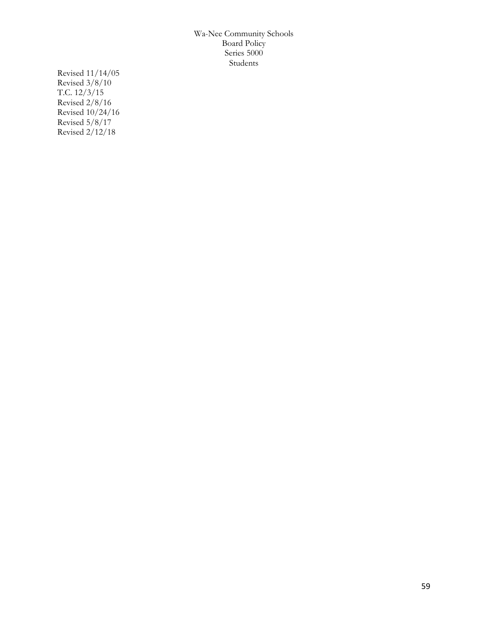Revised 11/14/05 Revised 3/8/10 T.C. 12/3/15 Revised 2/8/16 Revised 10/24/16 Revised 5/8/17 Revised 2/12/18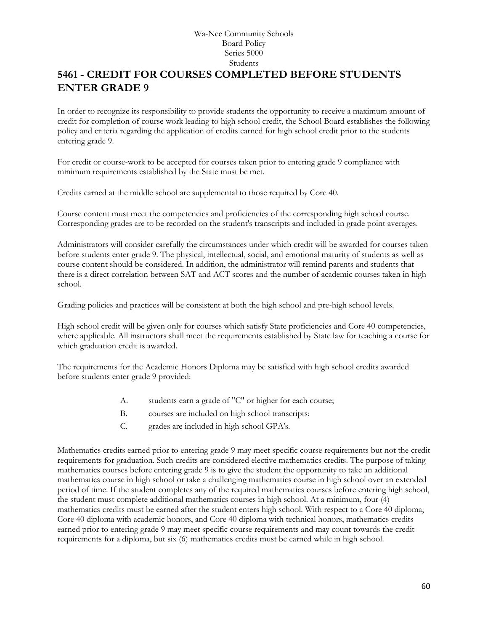## **5461 - CREDIT FOR COURSES COMPLETED BEFORE STUDENTS ENTER GRADE 9**

In order to recognize its responsibility to provide students the opportunity to receive a maximum amount of credit for completion of course work leading to high school credit, the School Board establishes the following policy and criteria regarding the application of credits earned for high school credit prior to the students entering grade 9.

For credit or course-work to be accepted for courses taken prior to entering grade 9 compliance with minimum requirements established by the State must be met.

Credits earned at the middle school are supplemental to those required by Core 40.

Course content must meet the competencies and proficiencies of the corresponding high school course. Corresponding grades are to be recorded on the student's transcripts and included in grade point averages.

Administrators will consider carefully the circumstances under which credit will be awarded for courses taken before students enter grade 9. The physical, intellectual, social, and emotional maturity of students as well as course content should be considered. In addition, the administrator will remind parents and students that there is a direct correlation between SAT and ACT scores and the number of academic courses taken in high school.

Grading policies and practices will be consistent at both the high school and pre-high school levels.

High school credit will be given only for courses which satisfy State proficiencies and Core 40 competencies, where applicable. All instructors shall meet the requirements established by State law for teaching a course for which graduation credit is awarded.

The requirements for the Academic Honors Diploma may be satisfied with high school credits awarded before students enter grade 9 provided:

- A. students earn a grade of "C" or higher for each course;
- B. courses are included on high school transcripts;
- C. grades are included in high school GPA's.

Mathematics credits earned prior to entering grade 9 may meet specific course requirements but not the credit requirements for graduation. Such credits are considered elective mathematics credits. The purpose of taking mathematics courses before entering grade 9 is to give the student the opportunity to take an additional mathematics course in high school or take a challenging mathematics course in high school over an extended period of time. If the student completes any of the required mathematics courses before entering high school, the student must complete additional mathematics courses in high school. At a minimum, four (4) mathematics credits must be earned after the student enters high school. With respect to a Core 40 diploma, Core 40 diploma with academic honors, and Core 40 diploma with technical honors, mathematics credits earned prior to entering grade 9 may meet specific course requirements and may count towards the credit requirements for a diploma, but six (6) mathematics credits must be earned while in high school.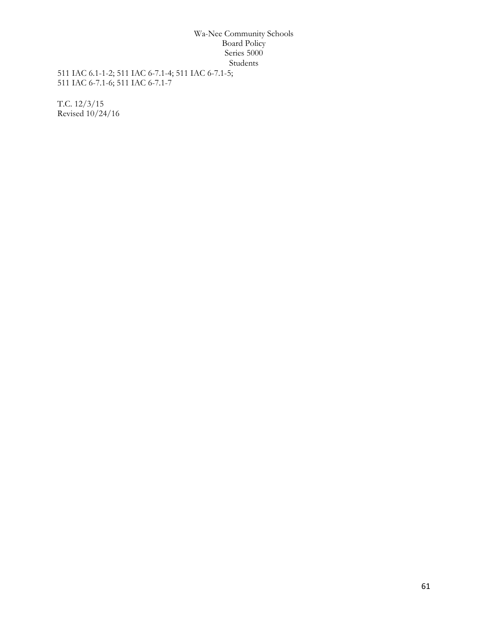511 IAC 6.1-1-2; 511 IAC 6-7.1-4; 511 IAC 6-7.1-5; 511 IAC 6-7.1-6; 511 IAC 6-7.1-7

T.C. 12/3/15 Revised 10/24/16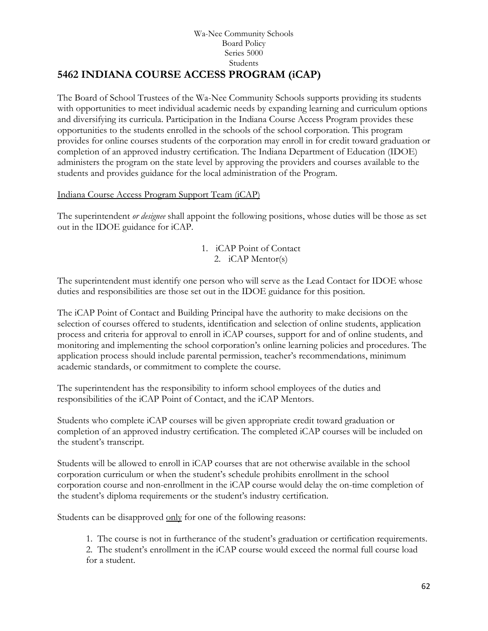#### Wa-Nee Community Schools Board Policy Series 5000 Students **5462 INDIANA COURSE ACCESS PROGRAM (iCAP)**

The Board of School Trustees of the Wa-Nee Community Schools supports providing its students with opportunities to meet individual academic needs by expanding learning and curriculum options and diversifying its curricula. Participation in the Indiana Course Access Program provides these opportunities to the students enrolled in the schools of the school corporation. This program provides for online courses students of the corporation may enroll in for credit toward graduation or completion of an approved industry certification. The Indiana Department of Education (IDOE) administers the program on the state level by approving the providers and courses available to the students and provides guidance for the local administration of the Program.

### Indiana Course Access Program Support Team (iCAP)

The superintendent *or designee* shall appoint the following positions, whose duties will be those as set out in the IDOE guidance for iCAP.

### 1. iCAP Point of Contact 2. iCAP Mentor(s)

The superintendent must identify one person who will serve as the Lead Contact for IDOE whose duties and responsibilities are those set out in the IDOE guidance for this position.

The iCAP Point of Contact and Building Principal have the authority to make decisions on the selection of courses offered to students, identification and selection of online students, application process and criteria for approval to enroll in iCAP courses, support for and of online students, and monitoring and implementing the school corporation's online learning policies and procedures. The application process should include parental permission, teacher's recommendations, minimum academic standards, or commitment to complete the course.

The superintendent has the responsibility to inform school employees of the duties and responsibilities of the iCAP Point of Contact, and the iCAP Mentors.

Students who complete iCAP courses will be given appropriate credit toward graduation or completion of an approved industry certification. The completed iCAP courses will be included on the student's transcript.

Students will be allowed to enroll in iCAP courses that are not otherwise available in the school corporation curriculum or when the student's schedule prohibits enrollment in the school corporation course and non-enrollment in the iCAP course would delay the on-time completion of the student's diploma requirements or the student's industry certification.

Students can be disapproved only for one of the following reasons:

1. The course is not in furtherance of the student's graduation or certification requirements.

2. The student's enrollment in the iCAP course would exceed the normal full course load for a student.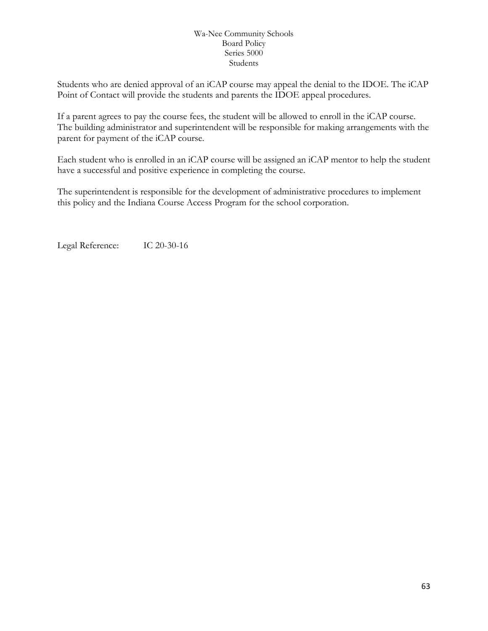Students who are denied approval of an iCAP course may appeal the denial to the IDOE. The iCAP Point of Contact will provide the students and parents the IDOE appeal procedures.

If a parent agrees to pay the course fees, the student will be allowed to enroll in the iCAP course. The building administrator and superintendent will be responsible for making arrangements with the parent for payment of the iCAP course.

Each student who is enrolled in an iCAP course will be assigned an iCAP mentor to help the student have a successful and positive experience in completing the course.

The superintendent is responsible for the development of administrative procedures to implement this policy and the Indiana Course Access Program for the school corporation.

Legal Reference: IC 20-30-16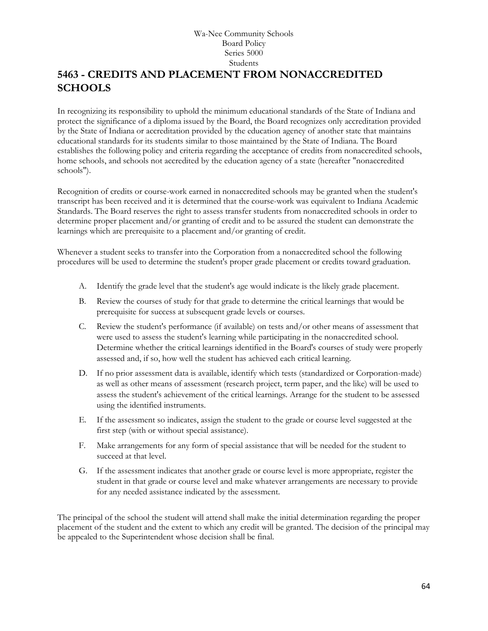## **[5463](http://www.neola.com/wanee-in/search/ag/ag5463.htm) - CREDITS AND PLACEMENT FROM NONACCREDITED SCHOOLS**

In recognizing its responsibility to uphold the minimum educational standards of the State of Indiana and protect the significance of a diploma issued by the Board, the Board recognizes only accreditation provided by the State of Indiana or accreditation provided by the education agency of another state that maintains educational standards for its students similar to those maintained by the State of Indiana. The Board establishes the following policy and criteria regarding the acceptance of credits from nonaccredited schools, home schools, and schools not accredited by the education agency of a state (hereafter "nonaccredited schools").

Recognition of credits or course-work earned in nonaccredited schools may be granted when the student's transcript has been received and it is determined that the course-work was equivalent to Indiana Academic Standards. The Board reserves the right to assess transfer students from nonaccredited schools in order to determine proper placement and/or granting of credit and to be assured the student can demonstrate the learnings which are prerequisite to a placement and/or granting of credit.

Whenever a student seeks to transfer into the Corporation from a nonaccredited school the following procedures will be used to determine the student's proper grade placement or credits toward graduation.

- A. Identify the grade level that the student's age would indicate is the likely grade placement.
- B. Review the courses of study for that grade to determine the critical learnings that would be prerequisite for success at subsequent grade levels or courses.
- C. Review the student's performance (if available) on tests and/or other means of assessment that were used to assess the student's learning while participating in the nonaccredited school. Determine whether the critical learnings identified in the Board's courses of study were properly assessed and, if so, how well the student has achieved each critical learning.
- D. If no prior assessment data is available, identify which tests (standardized or Corporation-made) as well as other means of assessment (research project, term paper, and the like) will be used to assess the student's achievement of the critical learnings. Arrange for the student to be assessed using the identified instruments.
- E. If the assessment so indicates, assign the student to the grade or course level suggested at the first step (with or without special assistance).
- F. Make arrangements for any form of special assistance that will be needed for the student to succeed at that level.
- G. If the assessment indicates that another grade or course level is more appropriate, register the student in that grade or course level and make whatever arrangements are necessary to provide for any needed assistance indicated by the assessment.

The principal of the school the student will attend shall make the initial determination regarding the proper placement of the student and the extent to which any credit will be granted. The decision of the principal may be appealed to the Superintendent whose decision shall be final.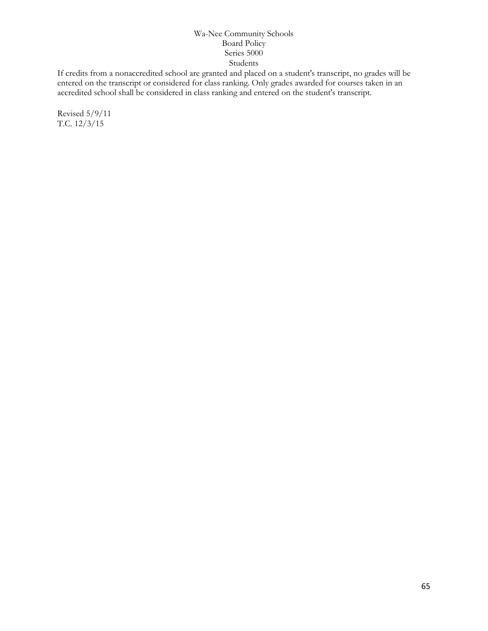If credits from a nonaccredited school are granted and placed on a student's transcript, no grades will be entered on the transcript or considered for class ranking. Only grades awarded for courses taken in an accredited school shall be considered in class ranking and entered on the student's transcript.

Revised 5/9/11 T.C. 12/3/15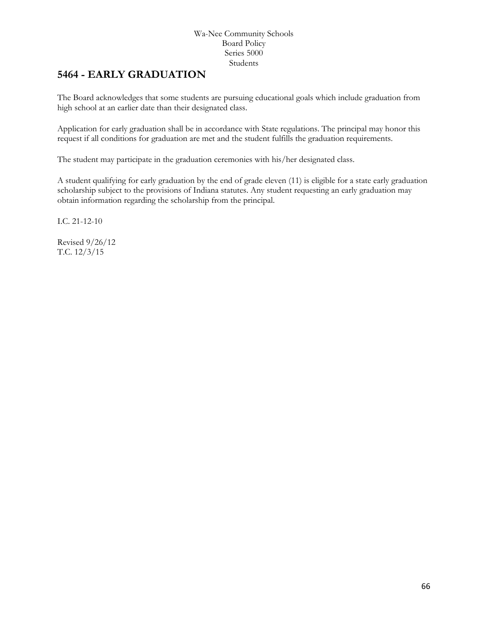## **5464 - EARLY GRADUATION**

The Board acknowledges that some students are pursuing educational goals which include graduation from high school at an earlier date than their designated class.

Application for early graduation shall be in accordance with State regulations. The principal may honor this request if all conditions for graduation are met and the student fulfills the graduation requirements.

The student may participate in the graduation ceremonies with his/her designated class.

A student qualifying for early graduation by the end of grade eleven (11) is eligible for a state early graduation scholarship subject to the provisions of Indiana statutes. Any student requesting an early graduation may obtain information regarding the scholarship from the principal.

I.C. 21-12-10

Revised 9/26/12 T.C. 12/3/15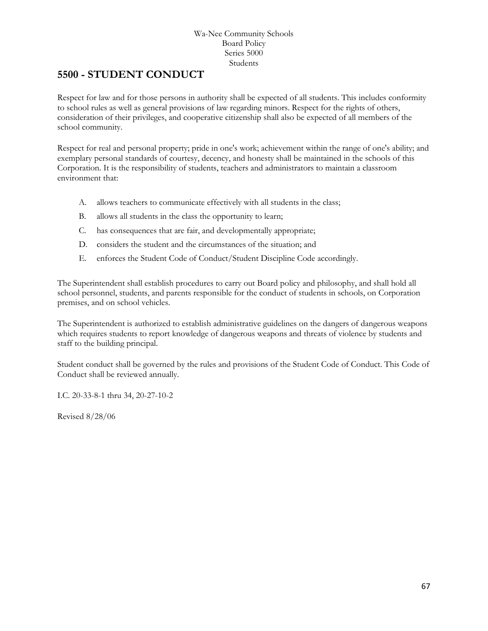### **5500 - STUDENT CONDUCT**

Respect for law and for those persons in authority shall be expected of all students. This includes conformity to school rules as well as general provisions of law regarding minors. Respect for the rights of others, consideration of their privileges, and cooperative citizenship shall also be expected of all members of the school community.

Respect for real and personal property; pride in one's work; achievement within the range of one's ability; and exemplary personal standards of courtesy, decency, and honesty shall be maintained in the schools of this Corporation. It is the responsibility of students, teachers and administrators to maintain a classroom environment that:

- A. allows teachers to communicate effectively with all students in the class;
- B. allows all students in the class the opportunity to learn;
- C. has consequences that are fair, and developmentally appropriate;
- D. considers the student and the circumstances of the situation; and
- E. enforces the Student Code of Conduct/Student Discipline Code accordingly.

The Superintendent shall establish procedures to carry out Board policy and philosophy, and shall hold all school personnel, students, and parents responsible for the conduct of students in schools, on Corporation premises, and on school vehicles.

The Superintendent is authorized to establish administrative guidelines on the dangers of dangerous weapons which requires students to report knowledge of dangerous weapons and threats of violence by students and staff to the building principal.

Student conduct shall be governed by the rules and provisions of the Student Code of Conduct. This Code of Conduct shall be reviewed annually.

I.C. 20-33-8-1 thru 34, 20-27-10-2

Revised 8/28/06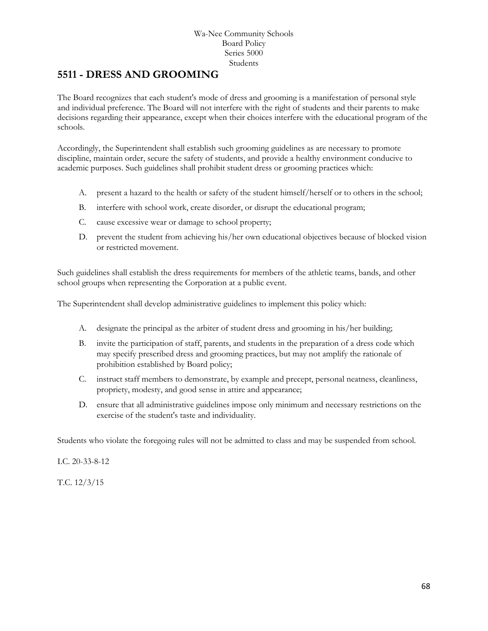### **[5511](http://www.neola.com/wanee-in/search/ag/ag5511.htm) - DRESS AND GROOMING**

The Board recognizes that each student's mode of dress and grooming is a manifestation of personal style and individual preference. The Board will not interfere with the right of students and their parents to make decisions regarding their appearance, except when their choices interfere with the educational program of the schools.

Accordingly, the Superintendent shall establish such grooming guidelines as are necessary to promote discipline, maintain order, secure the safety of students, and provide a healthy environment conducive to academic purposes. Such guidelines shall prohibit student dress or grooming practices which:

- A. present a hazard to the health or safety of the student himself/herself or to others in the school;
- B. interfere with school work, create disorder, or disrupt the educational program;
- C. cause excessive wear or damage to school property;
- D. prevent the student from achieving his/her own educational objectives because of blocked vision or restricted movement.

Such guidelines shall establish the dress requirements for members of the athletic teams, bands, and other school groups when representing the Corporation at a public event.

The Superintendent shall develop administrative guidelines to implement this policy which:

- A. designate the principal as the arbiter of student dress and grooming in his/her building;
- B. invite the participation of staff, parents, and students in the preparation of a dress code which may specify prescribed dress and grooming practices, but may not amplify the rationale of prohibition established by Board policy;
- C. instruct staff members to demonstrate, by example and precept, personal neatness, cleanliness, propriety, modesty, and good sense in attire and appearance;
- D. ensure that all administrative guidelines impose only minimum and necessary restrictions on the exercise of the student's taste and individuality.

Students who violate the foregoing rules will not be admitted to class and may be suspended from school.

I.C. 20-33-8-12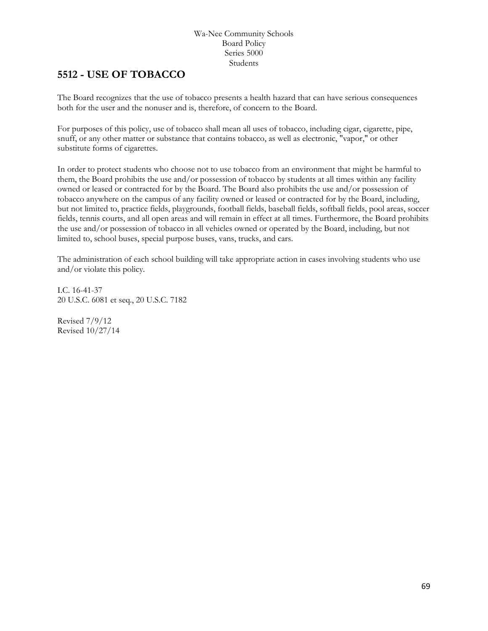## **5512 - USE OF TOBACCO**

The Board recognizes that the use of tobacco presents a health hazard that can have serious consequences both for the user and the nonuser and is, therefore, of concern to the Board.

For purposes of this policy, use of tobacco shall mean all uses of tobacco, including cigar, cigarette, pipe, snuff, or any other matter or substance that contains tobacco, as well as electronic, "vapor," or other substitute forms of cigarettes.

In order to protect students who choose not to use tobacco from an environment that might be harmful to them, the Board prohibits the use and/or possession of tobacco by students at all times within any facility owned or leased or contracted for by the Board. The Board also prohibits the use and/or possession of tobacco anywhere on the campus of any facility owned or leased or contracted for by the Board, including, but not limited to, practice fields, playgrounds, football fields, baseball fields, softball fields, pool areas, soccer fields, tennis courts, and all open areas and will remain in effect at all times. Furthermore, the Board prohibits the use and/or possession of tobacco in all vehicles owned or operated by the Board, including, but not limited to, school buses, special purpose buses, vans, trucks, and cars.

The administration of each school building will take appropriate action in cases involving students who use and/or violate this policy.

I.C. 16-41-37 20 U.S.C. 6081 et seq., 20 U.S.C. 7182

Revised 7/9/12 Revised 10/27/14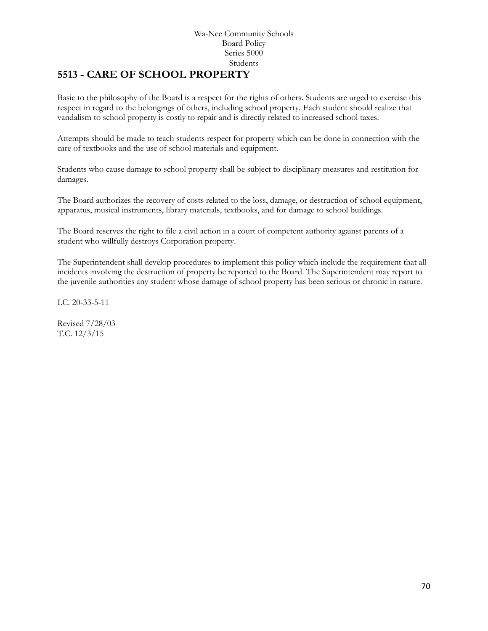## **[5513](http://www.neola.com/wanee-in/search/ag/ag5513.htm) - CARE OF SCHOOL PROPERTY**

Basic to the philosophy of the Board is a respect for the rights of others. Students are urged to exercise this respect in regard to the belongings of others, including school property. Each student should realize that vandalism to school property is costly to repair and is directly related to increased school taxes.

Attempts should be made to teach students respect for property which can be done in connection with the care of textbooks and the use of school materials and equipment.

Students who cause damage to school property shall be subject to disciplinary measures and restitution for damages.

The Board authorizes the recovery of costs related to the loss, damage, or destruction of school equipment, apparatus, musical instruments, library materials, textbooks, and for damage to school buildings.

The Board reserves the right to file a civil action in a court of competent authority against parents of a student who willfully destroys Corporation property.

The Superintendent shall develop procedures to implement this policy which include the requirement that all incidents involving the destruction of property be reported to the Board. The Superintendent may report to the juvenile authorities any student whose damage of school property has been serious or chronic in nature.

I.C. 20-33-5-11

Revised 7/28/03 T.C. 12/3/15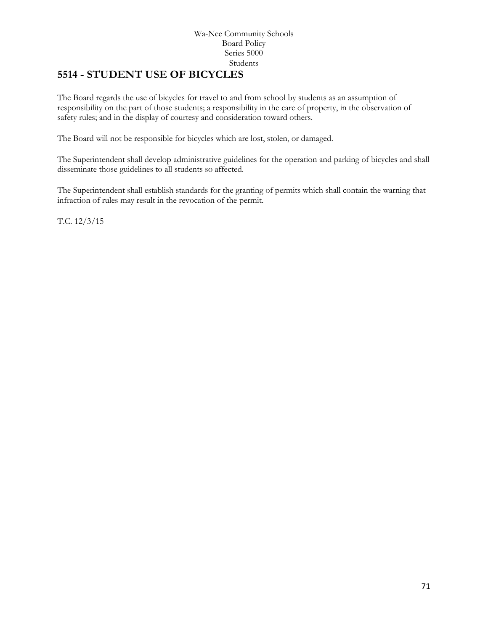### **5514 - STUDENT USE OF BICYCLES**

The Board regards the use of bicycles for travel to and from school by students as an assumption of responsibility on the part of those students; a responsibility in the care of property, in the observation of safety rules; and in the display of courtesy and consideration toward others.

The Board will not be responsible for bicycles which are lost, stolen, or damaged.

The Superintendent shall develop administrative guidelines for the operation and parking of bicycles and shall disseminate those guidelines to all students so affected.

The Superintendent shall establish standards for the granting of permits which shall contain the warning that infraction of rules may result in the revocation of the permit.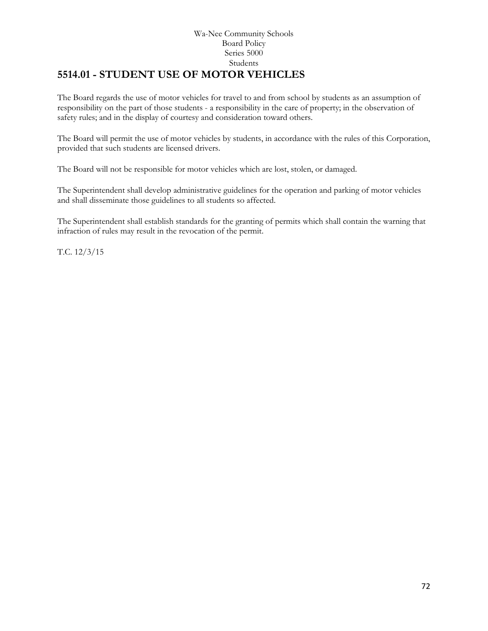### Wa-Nee Community Schools Board Policy Series 5000 Students **5514.01 - STUDENT USE OF MOTOR VEHICLES**

The Board regards the use of motor vehicles for travel to and from school by students as an assumption of responsibility on the part of those students - a responsibility in the care of property; in the observation of safety rules; and in the display of courtesy and consideration toward others.

The Board will permit the use of motor vehicles by students, in accordance with the rules of this Corporation, provided that such students are licensed drivers.

The Board will not be responsible for motor vehicles which are lost, stolen, or damaged.

The Superintendent shall develop administrative guidelines for the operation and parking of motor vehicles and shall disseminate those guidelines to all students so affected.

The Superintendent shall establish standards for the granting of permits which shall contain the warning that infraction of rules may result in the revocation of the permit.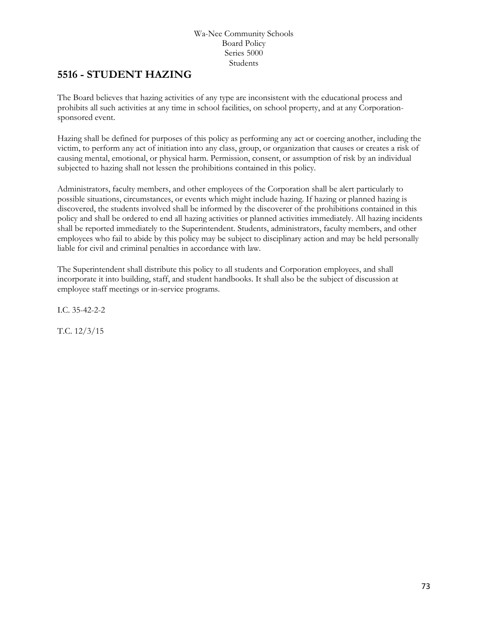## **5516 - STUDENT HAZING**

The Board believes that hazing activities of any type are inconsistent with the educational process and prohibits all such activities at any time in school facilities, on school property, and at any Corporationsponsored event.

Hazing shall be defined for purposes of this policy as performing any act or coercing another, including the victim, to perform any act of initiation into any class, group, or organization that causes or creates a risk of causing mental, emotional, or physical harm. Permission, consent, or assumption of risk by an individual subjected to hazing shall not lessen the prohibitions contained in this policy.

Administrators, faculty members, and other employees of the Corporation shall be alert particularly to possible situations, circumstances, or events which might include hazing. If hazing or planned hazing is discovered, the students involved shall be informed by the discoverer of the prohibitions contained in this policy and shall be ordered to end all hazing activities or planned activities immediately. All hazing incidents shall be reported immediately to the Superintendent. Students, administrators, faculty members, and other employees who fail to abide by this policy may be subject to disciplinary action and may be held personally liable for civil and criminal penalties in accordance with law.

The Superintendent shall distribute this policy to all students and Corporation employees, and shall incorporate it into building, staff, and student handbooks. It shall also be the subject of discussion at employee staff meetings or in-service programs.

I.C. 35-42-2-2

T.C. 12/3/15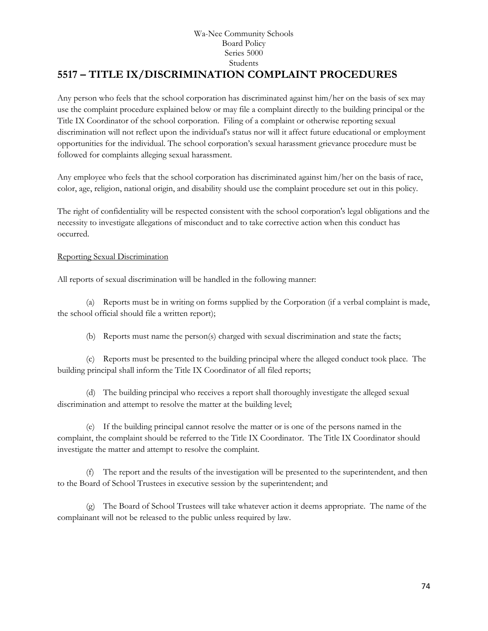# **[5517](http://www.neola.com/wanee-in/search/ag/ag5517.htm) – TITLE IX/DISCRIMINATION COMPLAINT PROCEDURES**

Any person who feels that the school corporation has discriminated against him/her on the basis of sex may use the complaint procedure explained below or may file a complaint directly to the building principal or the Title IX Coordinator of the school corporation. Filing of a complaint or otherwise reporting sexual discrimination will not reflect upon the individual's status nor will it affect future educational or employment opportunities for the individual. The school corporation's sexual harassment grievance procedure must be followed for complaints alleging sexual harassment.

Any employee who feels that the school corporation has discriminated against him/her on the basis of race, color, age, religion, national origin, and disability should use the complaint procedure set out in this policy.

The right of confidentiality will be respected consistent with the school corporation's legal obligations and the necessity to investigate allegations of misconduct and to take corrective action when this conduct has occurred.

## Reporting Sexual Discrimination

All reports of sexual discrimination will be handled in the following manner:

(a) Reports must be in writing on forms supplied by the Corporation (if a verbal complaint is made, the school official should file a written report);

(b) Reports must name the person(s) charged with sexual discrimination and state the facts;

(c) Reports must be presented to the building principal where the alleged conduct took place. The building principal shall inform the Title IX Coordinator of all filed reports;

(d) The building principal who receives a report shall thoroughly investigate the alleged sexual discrimination and attempt to resolve the matter at the building level;

(e) If the building principal cannot resolve the matter or is one of the persons named in the complaint, the complaint should be referred to the Title IX Coordinator. The Title IX Coordinator should investigate the matter and attempt to resolve the complaint.

(f) The report and the results of the investigation will be presented to the superintendent, and then to the Board of School Trustees in executive session by the superintendent; and

(g) The Board of School Trustees will take whatever action it deems appropriate. The name of the complainant will not be released to the public unless required by law.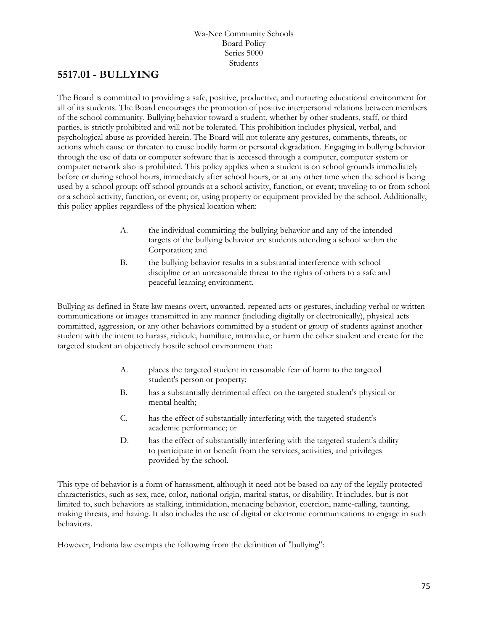## **[5517.01](http://www.neola.com/wanee-in/search/ag/ag5517.01.htm) - BULLYING**

The Board is committed to providing a safe, positive, productive, and nurturing educational environment for all of its students. The Board encourages the promotion of positive interpersonal relations between members of the school community. Bullying behavior toward a student, whether by other students, staff, or third parties, is strictly prohibited and will not be tolerated. This prohibition includes physical, verbal, and psychological abuse as provided herein. The Board will not tolerate any gestures, comments, threats, or actions which cause or threaten to cause bodily harm or personal degradation. Engaging in bullying behavior through the use of data or computer software that is accessed through a computer, computer system or computer network also is prohibited. This policy applies when a student is on school grounds immediately before or during school hours, immediately after school hours, or at any other time when the school is being used by a school group; off school grounds at a school activity, function, or event; traveling to or from school or a school activity, function, or event; or, using property or equipment provided by the school. Additionally, this policy applies regardless of the physical location when:

- A. the individual committing the bullying behavior and any of the intended targets of the bullying behavior are students attending a school within the Corporation; and
- B. the bullying behavior results in a substantial interference with school discipline or an unreasonable threat to the rights of others to a safe and peaceful learning environment.

Bullying as defined in State law means overt, unwanted, repeated acts or gestures, including verbal or written communications or images transmitted in any manner (including digitally or electronically), physical acts committed, aggression, or any other behaviors committed by a student or group of students against another student with the intent to harass, ridicule, humiliate, intimidate, or harm the other student and create for the targeted student an objectively hostile school environment that:

- A. places the targeted student in reasonable fear of harm to the targeted student's person or property;
- B. has a substantially detrimental effect on the targeted student's physical or mental health;
- C. has the effect of substantially interfering with the targeted student's academic performance; or
- D. has the effect of substantially interfering with the targeted student's ability to participate in or benefit from the services, activities, and privileges provided by the school.

This type of behavior is a form of harassment, although it need not be based on any of the legally protected characteristics, such as sex, race, color, national origin, marital status, or disability. It includes, but is not limited to, such behaviors as stalking, intimidation, menacing behavior, coercion, name-calling, taunting, making threats, and hazing. It also includes the use of digital or electronic communications to engage in such behaviors.

However, Indiana law exempts the following from the definition of "bullying":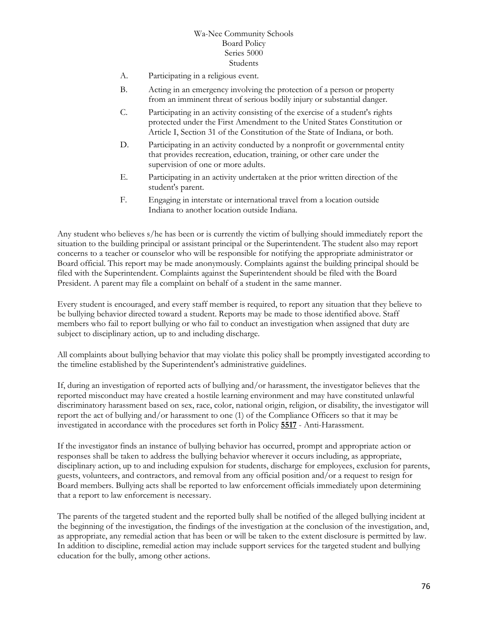- A. Participating in a religious event.
- B. Acting in an emergency involving the protection of a person or property from an imminent threat of serious bodily injury or substantial danger.
- C. Participating in an activity consisting of the exercise of a student's rights protected under the First Amendment to the United States Constitution or Article I, Section 31 of the Constitution of the State of Indiana, or both.
- D. Participating in an activity conducted by a nonprofit or governmental entity that provides recreation, education, training, or other care under the supervision of one or more adults.
- E. Participating in an activity undertaken at the prior written direction of the student's parent.
- F. Engaging in interstate or international travel from a location outside Indiana to another location outside Indiana.

Any student who believes s/he has been or is currently the victim of bullying should immediately report the situation to the building principal or assistant principal or the Superintendent. The student also may report concerns to a teacher or counselor who will be responsible for notifying the appropriate administrator or Board official. This report may be made anonymously. Complaints against the building principal should be filed with the Superintendent. Complaints against the Superintendent should be filed with the Board President. A parent may file a complaint on behalf of a student in the same manner.

Every student is encouraged, and every staff member is required, to report any situation that they believe to be bullying behavior directed toward a student. Reports may be made to those identified above. Staff members who fail to report bullying or who fail to conduct an investigation when assigned that duty are subject to disciplinary action, up to and including discharge.

All complaints about bullying behavior that may violate this policy shall be promptly investigated according to the timeline established by the Superintendent's administrative guidelines.

If, during an investigation of reported acts of bullying and/or harassment, the investigator believes that the reported misconduct may have created a hostile learning environment and may have constituted unlawful discriminatory harassment based on sex, race, color, national origin, religion, or disability, the investigator will report the act of bullying and/or harassment to one (1) of the Compliance Officers so that it may be investigated in accordance with the procedures set forth in Policy **[5517](http://www.neola.com/wanee-in/search/policies/po5517.htm)** - Anti-Harassment.

If the investigator finds an instance of bullying behavior has occurred, prompt and appropriate action or responses shall be taken to address the bullying behavior wherever it occurs including, as appropriate, disciplinary action, up to and including expulsion for students, discharge for employees, exclusion for parents, guests, volunteers, and contractors, and removal from any official position and/or a request to resign for Board members. Bullying acts shall be reported to law enforcement officials immediately upon determining that a report to law enforcement is necessary.

The parents of the targeted student and the reported bully shall be notified of the alleged bullying incident at the beginning of the investigation, the findings of the investigation at the conclusion of the investigation, and, as appropriate, any remedial action that has been or will be taken to the extent disclosure is permitted by law. In addition to discipline, remedial action may include support services for the targeted student and bullying education for the bully, among other actions.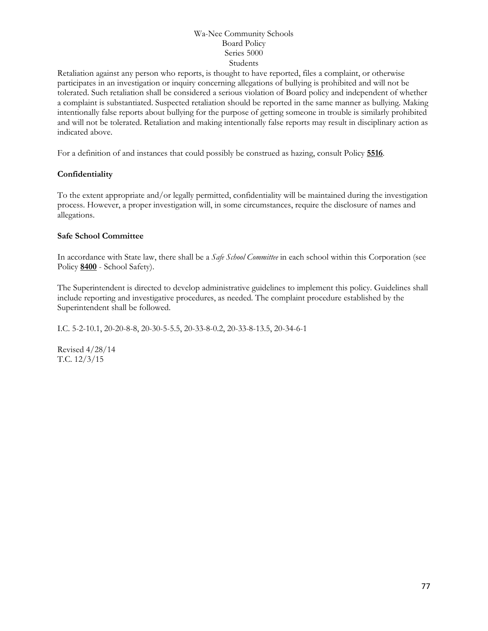Retaliation against any person who reports, is thought to have reported, files a complaint, or otherwise participates in an investigation or inquiry concerning allegations of bullying is prohibited and will not be tolerated. Such retaliation shall be considered a serious violation of Board policy and independent of whether a complaint is substantiated. Suspected retaliation should be reported in the same manner as bullying. Making intentionally false reports about bullying for the purpose of getting someone in trouble is similarly prohibited and will not be tolerated. Retaliation and making intentionally false reports may result in disciplinary action as indicated above.

For a definition of and instances that could possibly be construed as hazing, consult Policy **[5516](http://www.neola.com/wanee-in/search/policies/po5516.htm)**.

## **Confidentiality**

To the extent appropriate and/or legally permitted, confidentiality will be maintained during the investigation process. However, a proper investigation will, in some circumstances, require the disclosure of names and allegations.

#### **Safe School Committee**

In accordance with State law, there shall be a *Safe School Committee* in each school within this Corporation (see Policy **[8400](http://www.neola.com/wanee-in/search/policies/po8400.htm)** - School Safety).

The Superintendent is directed to develop administrative guidelines to implement this policy. Guidelines shall include reporting and investigative procedures, as needed. The complaint procedure established by the Superintendent shall be followed.

I.C. 5-2-10.1, 20-20-8-8, 20-30-5-5.5, 20-33-8-0.2, 20-33-8-13.5, 20-34-6-1

Revised 4/28/14 T.C. 12/3/15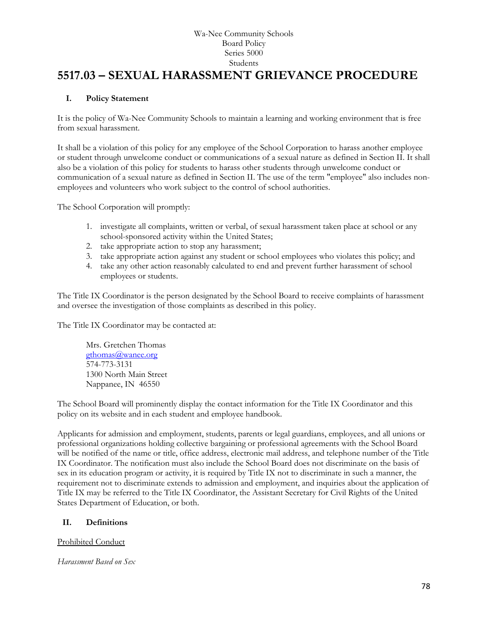# **5517.03 – SEXUAL HARASSMENT GRIEVANCE PROCEDURE**

## **I. Policy Statement**

It is the policy of Wa-Nee Community Schools to maintain a learning and working environment that is free from sexual harassment.

It shall be a violation of this policy for any employee of the School Corporation to harass another employee or student through unwelcome conduct or communications of a sexual nature as defined in Section II. It shall also be a violation of this policy for students to harass other students through unwelcome conduct or communication of a sexual nature as defined in Section II. The use of the term "employee" also includes nonemployees and volunteers who work subject to the control of school authorities.

The School Corporation will promptly:

- 1. investigate all complaints, written or verbal, of sexual harassment taken place at school or any school-sponsored activity within the United States;
- 2. take appropriate action to stop any harassment;
- 3. take appropriate action against any student or school employees who violates this policy; and
- 4. take any other action reasonably calculated to end and prevent further harassment of school employees or students.

The Title IX Coordinator is the person designated by the School Board to receive complaints of harassment and oversee the investigation of those complaints as described in this policy.

The Title IX Coordinator may be contacted at:

Mrs. Gretchen Thomas [gthomas@wanee.org](mailto:gthomas@wanee.org) 574-773-3131 1300 North Main Street Nappanee, IN 46550

The School Board will prominently display the contact information for the Title IX Coordinator and this policy on its website and in each student and employee handbook.

Applicants for admission and employment, students, parents or legal guardians, employees, and all unions or professional organizations holding collective bargaining or professional agreements with the School Board will be notified of the name or title, office address, electronic mail address, and telephone number of the Title IX Coordinator. The notification must also include the School Board does not discriminate on the basis of sex in its education program or activity, it is required by Title IX not to discriminate in such a manner, the requirement not to discriminate extends to admission and employment, and inquiries about the application of Title IX may be referred to the Title IX Coordinator, the Assistant Secretary for Civil Rights of the United States Department of Education, or both.

#### **II. Definitions**

Prohibited Conduct

*Harassment Based on Sex*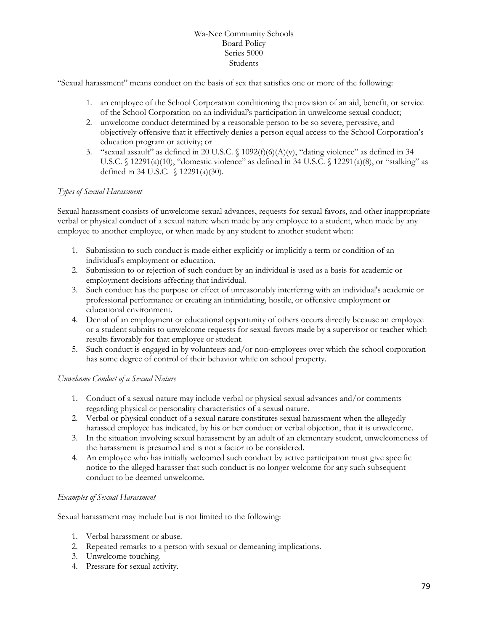"Sexual harassment" means conduct on the basis of sex that satisfies one or more of the following:

- 1. an employee of the School Corporation conditioning the provision of an aid, benefit, or service of the School Corporation on an individual's participation in unwelcome sexual conduct;
- 2. unwelcome conduct determined by a reasonable person to be so severe, pervasive, and objectively offensive that it effectively denies a person equal access to the School Corporation's education program or activity; or
- 3. "sexual assault" as defined in 20 U.S.C.  $\{1092(f)(6)(A)(v), "dating violence" as defined in 34$ U.S.C.  $\{(12291(a)(10),\text{``domestic violence''} \text{ as defined in 34 U.S.C. } \{(12291(a)(8),\text{ or ``stalking''} \text{ as } \text{``statking''} \text{ as } \text{``statking''} \text{ as } \text{``statking''} \text{ as } \text{``statking''} \text{ as } \text{``statking''} \text{ as } \text{``statking''} \text{ as } \text{``statating''} \text{ as } \text{``statating''} \text{ as } \text{``statating''} \text{ as } \text{``statating''} \text{ as } \text{``statating''} \text{ as } \text{``statating''} \$ defined in 34 U.S.C. § 12291(a)(30).

#### *Types of Sexual Harassment*

Sexual harassment consists of unwelcome sexual advances, requests for sexual favors, and other inappropriate verbal or physical conduct of a sexual nature when made by any employee to a student, when made by any employee to another employee, or when made by any student to another student when:

- 1. Submission to such conduct is made either explicitly or implicitly a term or condition of an individual's employment or education.
- 2. Submission to or rejection of such conduct by an individual is used as a basis for academic or employment decisions affecting that individual.
- 3. Such conduct has the purpose or effect of unreasonably interfering with an individual's academic or professional performance or creating an intimidating, hostile, or offensive employment or educational environment.
- 4. Denial of an employment or educational opportunity of others occurs directly because an employee or a student submits to unwelcome requests for sexual favors made by a supervisor or teacher which results favorably for that employee or student.
- 5. Such conduct is engaged in by volunteers and/or non-employees over which the school corporation has some degree of control of their behavior while on school property.

#### *Unwelcome Conduct of a Sexual Nature*

- 1. Conduct of a sexual nature may include verbal or physical sexual advances and/or comments regarding physical or personality characteristics of a sexual nature.
- 2. Verbal or physical conduct of a sexual nature constitutes sexual harassment when the allegedly harassed employee has indicated, by his or her conduct or verbal objection, that it is unwelcome.
- 3. In the situation involving sexual harassment by an adult of an elementary student, unwelcomeness of the harassment is presumed and is not a factor to be considered.
- 4. An employee who has initially welcomed such conduct by active participation must give specific notice to the alleged harasser that such conduct is no longer welcome for any such subsequent conduct to be deemed unwelcome.

#### *Examples of Sexual Harassment*

Sexual harassment may include but is not limited to the following:

- 1. Verbal harassment or abuse.
- 2. Repeated remarks to a person with sexual or demeaning implications.
- 3. Unwelcome touching.
- 4. Pressure for sexual activity.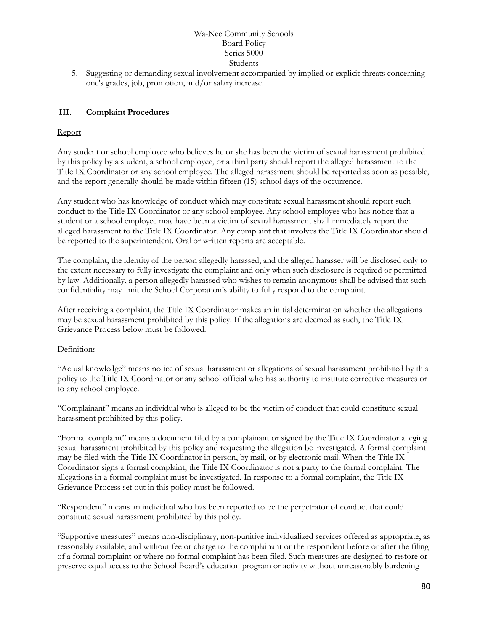5. Suggesting or demanding sexual involvement accompanied by implied or explicit threats concerning one's grades, job, promotion, and/or salary increase.

## **III. Complaint Procedures**

#### Report

Any student or school employee who believes he or she has been the victim of sexual harassment prohibited by this policy by a student, a school employee, or a third party should report the alleged harassment to the Title IX Coordinator or any school employee. The alleged harassment should be reported as soon as possible, and the report generally should be made within fifteen (15) school days of the occurrence.

Any student who has knowledge of conduct which may constitute sexual harassment should report such conduct to the Title IX Coordinator or any school employee. Any school employee who has notice that a student or a school employee may have been a victim of sexual harassment shall immediately report the alleged harassment to the Title IX Coordinator. Any complaint that involves the Title IX Coordinator should be reported to the superintendent. Oral or written reports are acceptable.

The complaint, the identity of the person allegedly harassed, and the alleged harasser will be disclosed only to the extent necessary to fully investigate the complaint and only when such disclosure is required or permitted by law. Additionally, a person allegedly harassed who wishes to remain anonymous shall be advised that such confidentiality may limit the School Corporation's ability to fully respond to the complaint.

After receiving a complaint, the Title IX Coordinator makes an initial determination whether the allegations may be sexual harassment prohibited by this policy. If the allegations are deemed as such, the Title IX Grievance Process below must be followed.

#### **Definitions**

"Actual knowledge" means notice of sexual harassment or allegations of sexual harassment prohibited by this policy to the Title IX Coordinator or any school official who has authority to institute corrective measures or to any school employee.

"Complainant" means an individual who is alleged to be the victim of conduct that could constitute sexual harassment prohibited by this policy.

"Formal complaint" means a document filed by a complainant or signed by the Title IX Coordinator alleging sexual harassment prohibited by this policy and requesting the allegation be investigated. A formal complaint may be filed with the Title IX Coordinator in person, by mail, or by electronic mail. When the Title IX Coordinator signs a formal complaint, the Title IX Coordinator is not a party to the formal complaint. The allegations in a formal complaint must be investigated. In response to a formal complaint, the Title IX Grievance Process set out in this policy must be followed.

"Respondent" means an individual who has been reported to be the perpetrator of conduct that could constitute sexual harassment prohibited by this policy.

"Supportive measures" means non-disciplinary, non-punitive individualized services offered as appropriate, as reasonably available, and without fee or charge to the complainant or the respondent before or after the filing of a formal complaint or where no formal complaint has been filed. Such measures are designed to restore or preserve equal access to the School Board's education program or activity without unreasonably burdening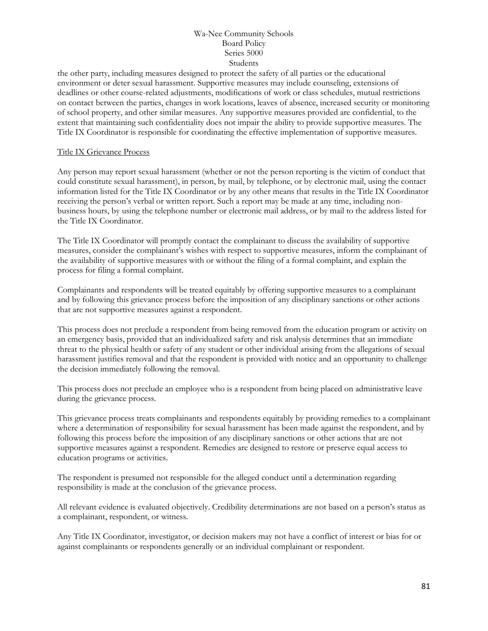the other party, including measures designed to protect the safety of all parties or the educational environment or deter sexual harassment. Supportive measures may include counseling, extensions of deadlines or other course-related adjustments, modifications of work or class schedules, mutual restrictions on contact between the parties, changes in work locations, leaves of absence, increased security or monitoring of school property, and other similar measures. Any supportive measures provided are confidential, to the extent that maintaining such confidentiality does not impair the ability to provide supportive measures. The Title IX Coordinator is responsible for coordinating the effective implementation of supportive measures.

#### Title IX Grievance Process

Any person may report sexual harassment (whether or not the person reporting is the victim of conduct that could constitute sexual harassment), in person, by mail, by telephone, or by electronic mail, using the contact information listed for the Title IX Coordinator or by any other means that results in the Title IX Coordinator receiving the person's verbal or written report. Such a report may be made at any time, including nonbusiness hours, by using the telephone number or electronic mail address, or by mail to the address listed for the Title IX Coordinator.

The Title IX Coordinator will promptly contact the complainant to discuss the availability of supportive measures, consider the complainant's wishes with respect to supportive measures, inform the complainant of the availability of supportive measures with or without the filing of a formal complaint, and explain the process for filing a formal complaint.

Complainants and respondents will be treated equitably by offering supportive measures to a complainant and by following this grievance process before the imposition of any disciplinary sanctions or other actions that are not supportive measures against a respondent.

This process does not preclude a respondent from being removed from the education program or activity on an emergency basis, provided that an individualized safety and risk analysis determines that an immediate threat to the physical health or safety of any student or other individual arising from the allegations of sexual harassment justifies removal and that the respondent is provided with notice and an opportunity to challenge the decision immediately following the removal.

This process does not preclude an employee who is a respondent from being placed on administrative leave during the grievance process.

This grievance process treats complainants and respondents equitably by providing remedies to a complainant where a determination of responsibility for sexual harassment has been made against the respondent, and by following this process before the imposition of any disciplinary sanctions or other actions that are not supportive measures against a respondent. Remedies are designed to restore or preserve equal access to education programs or activities.

The respondent is presumed not responsible for the alleged conduct until a determination regarding responsibility is made at the conclusion of the grievance process.

All relevant evidence is evaluated objectively. Credibility determinations are not based on a person's status as a complainant, respondent, or witness.

Any Title IX Coordinator, investigator, or decision makers may not have a conflict of interest or bias for or against complainants or respondents generally or an individual complainant or respondent.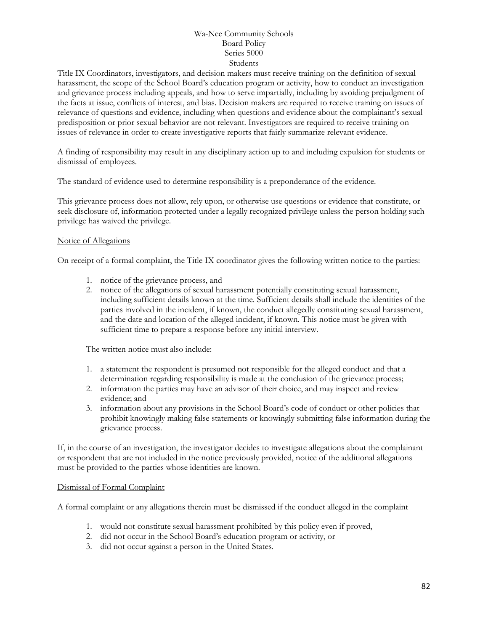Title IX Coordinators, investigators, and decision makers must receive training on the definition of sexual harassment, the scope of the School Board's education program or activity, how to conduct an investigation and grievance process including appeals, and how to serve impartially, including by avoiding prejudgment of the facts at issue, conflicts of interest, and bias. Decision makers are required to receive training on issues of relevance of questions and evidence, including when questions and evidence about the complainant's sexual predisposition or prior sexual behavior are not relevant. Investigators are required to receive training on issues of relevance in order to create investigative reports that fairly summarize relevant evidence.

A finding of responsibility may result in any disciplinary action up to and including expulsion for students or dismissal of employees.

The standard of evidence used to determine responsibility is a preponderance of the evidence.

This grievance process does not allow, rely upon, or otherwise use questions or evidence that constitute, or seek disclosure of, information protected under a legally recognized privilege unless the person holding such privilege has waived the privilege.

#### Notice of Allegations

On receipt of a formal complaint, the Title IX coordinator gives the following written notice to the parties:

- 1. notice of the grievance process, and
- 2. notice of the allegations of sexual harassment potentially constituting sexual harassment, including sufficient details known at the time. Sufficient details shall include the identities of the parties involved in the incident, if known, the conduct allegedly constituting sexual harassment, and the date and location of the alleged incident, if known. This notice must be given with sufficient time to prepare a response before any initial interview.

The written notice must also include:

- 1. a statement the respondent is presumed not responsible for the alleged conduct and that a determination regarding responsibility is made at the conclusion of the grievance process;
- 2. information the parties may have an advisor of their choice, and may inspect and review evidence; and
- 3. information about any provisions in the School Board's code of conduct or other policies that prohibit knowingly making false statements or knowingly submitting false information during the grievance process.

If, in the course of an investigation, the investigator decides to investigate allegations about the complainant or respondent that are not included in the notice previously provided, notice of the additional allegations must be provided to the parties whose identities are known.

#### Dismissal of Formal Complaint

A formal complaint or any allegations therein must be dismissed if the conduct alleged in the complaint

- 1. would not constitute sexual harassment prohibited by this policy even if proved,
- 2. did not occur in the School Board's education program or activity, or
- 3. did not occur against a person in the United States.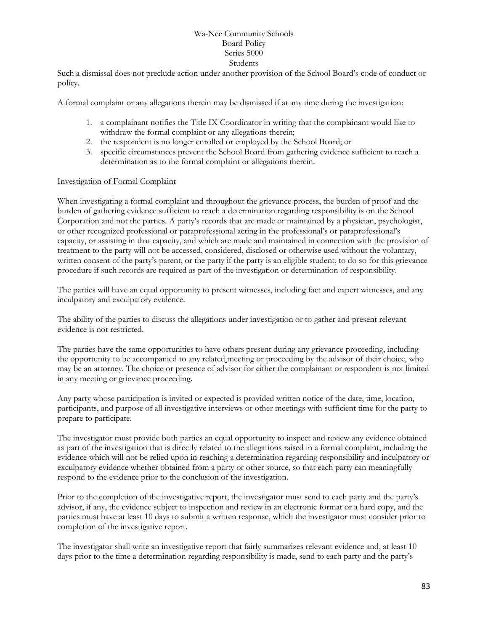Such a dismissal does not preclude action under another provision of the School Board's code of conduct or policy.

A formal complaint or any allegations therein may be dismissed if at any time during the investigation:

- 1. a complainant notifies the Title IX Coordinator in writing that the complainant would like to withdraw the formal complaint or any allegations therein;
- 2. the respondent is no longer enrolled or employed by the School Board; or
- 3. specific circumstances prevent the School Board from gathering evidence sufficient to reach a determination as to the formal complaint or allegations therein.

#### Investigation of Formal Complaint

When investigating a formal complaint and throughout the grievance process, the burden of proof and the burden of gathering evidence sufficient to reach a determination regarding responsibility is on the School Corporation and not the parties. A party's records that are made or maintained by a physician, psychologist, or other recognized professional or paraprofessional acting in the professional's or paraprofessional's capacity, or assisting in that capacity, and which are made and maintained in connection with the provision of treatment to the party will not be accessed, considered, disclosed or otherwise used without the voluntary, written consent of the party's parent, or the party if the party is an eligible student, to do so for this grievance procedure if such records are required as part of the investigation or determination of responsibility.

The parties will have an equal opportunity to present witnesses, including fact and expert witnesses, and any inculpatory and exculpatory evidence.

The ability of the parties to discuss the allegations under investigation or to gather and present relevant evidence is not restricted.

The parties have the same opportunities to have others present during any grievance proceeding, including the opportunity to be accompanied to any related meeting or proceeding by the advisor of their choice, who may be an attorney. The choice or presence of advisor for either the complainant or respondent is not limited in any meeting or grievance proceeding.

Any party whose participation is invited or expected is provided written notice of the date, time, location, participants, and purpose of all investigative interviews or other meetings with sufficient time for the party to prepare to participate.

The investigator must provide both parties an equal opportunity to inspect and review any evidence obtained as part of the investigation that is directly related to the allegations raised in a formal complaint, including the evidence which will not be relied upon in reaching a determination regarding responsibility and inculpatory or exculpatory evidence whether obtained from a party or other source, so that each party can meaningfully respond to the evidence prior to the conclusion of the investigation.

Prior to the completion of the investigative report, the investigator must send to each party and the party's advisor, if any, the evidence subject to inspection and review in an electronic format or a hard copy, and the parties must have at least 10 days to submit a written response, which the investigator must consider prior to completion of the investigative report.

The investigator shall write an investigative report that fairly summarizes relevant evidence and, at least 10 days prior to the time a determination regarding responsibility is made, send to each party and the party's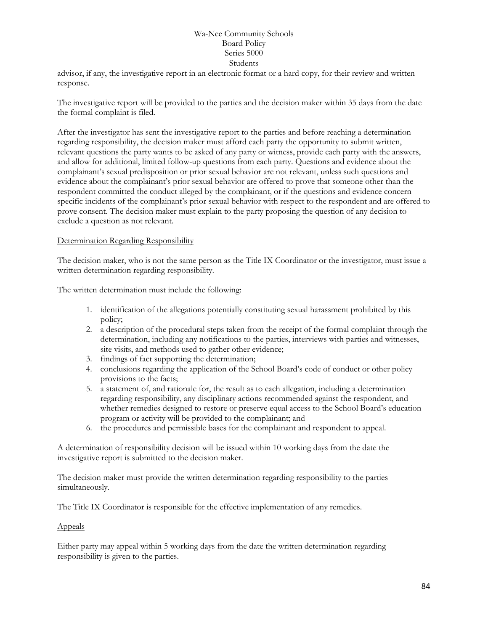advisor, if any, the investigative report in an electronic format or a hard copy, for their review and written response.

The investigative report will be provided to the parties and the decision maker within 35 days from the date the formal complaint is filed.

After the investigator has sent the investigative report to the parties and before reaching a determination regarding responsibility, the decision maker must afford each party the opportunity to submit written, relevant questions the party wants to be asked of any party or witness, provide each party with the answers, and allow for additional, limited follow-up questions from each party. Questions and evidence about the complainant's sexual predisposition or prior sexual behavior are not relevant, unless such questions and evidence about the complainant's prior sexual behavior are offered to prove that someone other than the respondent committed the conduct alleged by the complainant, or if the questions and evidence concern specific incidents of the complainant's prior sexual behavior with respect to the respondent and are offered to prove consent. The decision maker must explain to the party proposing the question of any decision to exclude a question as not relevant.

#### Determination Regarding Responsibility

The decision maker, who is not the same person as the Title IX Coordinator or the investigator, must issue a written determination regarding responsibility.

The written determination must include the following:

- 1. identification of the allegations potentially constituting sexual harassment prohibited by this policy;
- 2. a description of the procedural steps taken from the receipt of the formal complaint through the determination, including any notifications to the parties, interviews with parties and witnesses, site visits, and methods used to gather other evidence;
- 3. findings of fact supporting the determination;
- 4. conclusions regarding the application of the School Board's code of conduct or other policy provisions to the facts;
- 5. a statement of, and rationale for, the result as to each allegation, including a determination regarding responsibility, any disciplinary actions recommended against the respondent, and whether remedies designed to restore or preserve equal access to the School Board's education program or activity will be provided to the complainant; and
- 6. the procedures and permissible bases for the complainant and respondent to appeal.

A determination of responsibility decision will be issued within 10 working days from the date the investigative report is submitted to the decision maker.

The decision maker must provide the written determination regarding responsibility to the parties simultaneously.

The Title IX Coordinator is responsible for the effective implementation of any remedies.

#### Appeals

Either party may appeal within 5 working days from the date the written determination regarding responsibility is given to the parties.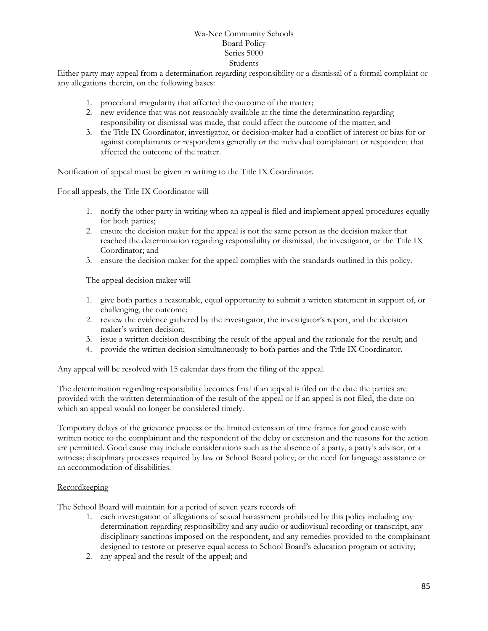Either party may appeal from a determination regarding responsibility or a dismissal of a formal complaint or any allegations therein, on the following bases:

- 1. procedural irregularity that affected the outcome of the matter;
- 2. new evidence that was not reasonably available at the time the determination regarding responsibility or dismissal was made, that could affect the outcome of the matter; and
- 3. the Title IX Coordinator, investigator, or decision-maker had a conflict of interest or bias for or against complainants or respondents generally or the individual complainant or respondent that affected the outcome of the matter.

Notification of appeal must be given in writing to the Title IX Coordinator.

For all appeals, the Title IX Coordinator will

- 1. notify the other party in writing when an appeal is filed and implement appeal procedures equally for both parties;
- 2. ensure the decision maker for the appeal is not the same person as the decision maker that reached the determination regarding responsibility or dismissal, the investigator, or the Title IX Coordinator; and
- 3. ensure the decision maker for the appeal complies with the standards outlined in this policy.

The appeal decision maker will

- 1. give both parties a reasonable, equal opportunity to submit a written statement in support of, or challenging, the outcome;
- 2. review the evidence gathered by the investigator, the investigator's report, and the decision maker's written decision;
- 3. issue a written decision describing the result of the appeal and the rationale for the result; and
- 4. provide the written decision simultaneously to both parties and the Title IX Coordinator.

Any appeal will be resolved with 15 calendar days from the filing of the appeal.

The determination regarding responsibility becomes final if an appeal is filed on the date the parties are provided with the written determination of the result of the appeal or if an appeal is not filed, the date on which an appeal would no longer be considered timely.

Temporary delays of the grievance process or the limited extension of time frames for good cause with written notice to the complainant and the respondent of the delay or extension and the reasons for the action are permitted. Good cause may include considerations such as the absence of a party, a party's advisor, or a witness; disciplinary processes required by law or School Board policy; or the need for language assistance or an accommodation of disabilities.

#### **Recordkeeping**

The School Board will maintain for a period of seven years records of:

- 1. each investigation of allegations of sexual harassment prohibited by this policy including any determination regarding responsibility and any audio or audiovisual recording or transcript, any disciplinary sanctions imposed on the respondent, and any remedies provided to the complainant designed to restore or preserve equal access to School Board's education program or activity;
- 2. any appeal and the result of the appeal; and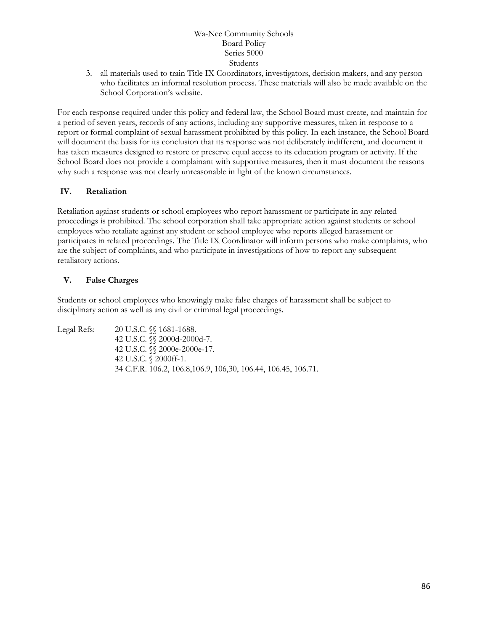3. all materials used to train Title IX Coordinators, investigators, decision makers, and any person who facilitates an informal resolution process. These materials will also be made available on the School Corporation's website.

For each response required under this policy and federal law, the School Board must create, and maintain for a period of seven years, records of any actions, including any supportive measures, taken in response to a report or formal complaint of sexual harassment prohibited by this policy. In each instance, the School Board will document the basis for its conclusion that its response was not deliberately indifferent, and document it has taken measures designed to restore or preserve equal access to its education program or activity. If the School Board does not provide a complainant with supportive measures, then it must document the reasons why such a response was not clearly unreasonable in light of the known circumstances.

## **IV. Retaliation**

Retaliation against students or school employees who report harassment or participate in any related proceedings is prohibited. The school corporation shall take appropriate action against students or school employees who retaliate against any student or school employee who reports alleged harassment or participates in related proceedings. The Title IX Coordinator will inform persons who make complaints, who are the subject of complaints, and who participate in investigations of how to report any subsequent retaliatory actions.

## **V. False Charges**

Students or school employees who knowingly make false charges of harassment shall be subject to disciplinary action as well as any civil or criminal legal proceedings.

Legal Refs: 20 U.S.C. §§ 1681-1688. 42 U.S.C. §§ 2000d-2000d-7. 42 U.S.C. §§ 2000e-2000e-17. 42 U.S.C. § 2000ff-1. 34 C.F.R. 106.2, 106.8,106.9, 106,30, 106.44, 106.45, 106.71.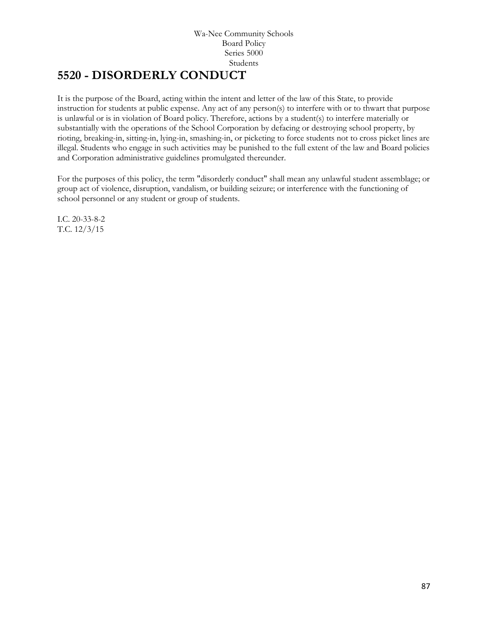# **5520 - DISORDERLY CONDUCT**

It is the purpose of the Board, acting within the intent and letter of the law of this State, to provide instruction for students at public expense. Any act of any person(s) to interfere with or to thwart that purpose is unlawful or is in violation of Board policy. Therefore, actions by a student(s) to interfere materially or substantially with the operations of the School Corporation by defacing or destroying school property, by rioting, breaking-in, sitting-in, lying-in, smashing-in, or picketing to force students not to cross picket lines are illegal. Students who engage in such activities may be punished to the full extent of the law and Board policies and Corporation administrative guidelines promulgated thereunder.

For the purposes of this policy, the term "disorderly conduct" shall mean any unlawful student assemblage; or group act of violence, disruption, vandalism, or building seizure; or interference with the functioning of school personnel or any student or group of students.

I.C. 20-33-8-2 T.C. 12/3/15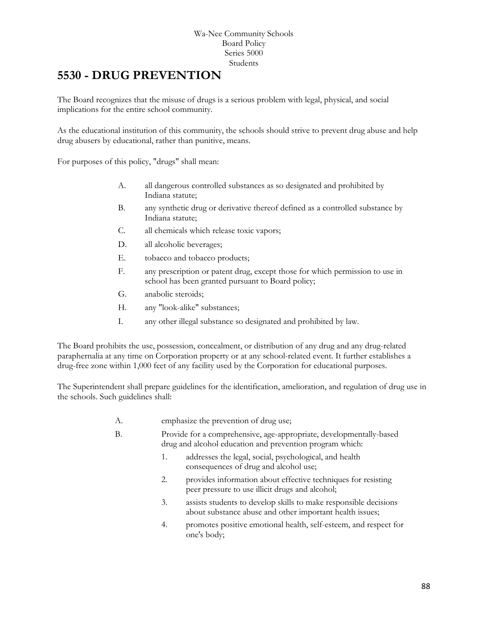# **[5530](http://www.neola.com/wanee-in/search/ag/ag5530.htm) - DRUG PREVENTION**

The Board recognizes that the misuse of drugs is a serious problem with legal, physical, and social implications for the entire school community.

As the educational institution of this community, the schools should strive to prevent drug abuse and help drug abusers by educational, rather than punitive, means.

For purposes of this policy, "drugs" shall mean:

- A. all dangerous controlled substances as so designated and prohibited by Indiana statute;
- B. any synthetic drug or derivative thereof defined as a controlled substance by Indiana statute;
- C. all chemicals which release toxic vapors;
- D. all alcoholic beverages;
- E. tobacco and tobacco products;
- F. any prescription or patent drug, except those for which permission to use in school has been granted pursuant to Board policy;
- G. anabolic steroids;
- H. any "look-alike" substances;
- I. any other illegal substance so designated and prohibited by law.

The Board prohibits the use, possession, concealment, or distribution of any drug and any drug-related paraphernalia at any time on Corporation property or at any school-related event. It further establishes a drug-free zone within 1,000 feet of any facility used by the Corporation for educational purposes.

The Superintendent shall prepare guidelines for the identification, amelioration, and regulation of drug use in the schools. Such guidelines shall:

- A. emphasize the prevention of drug use;
- B. Provide for a comprehensive, age-appropriate, developmentally-based drug and alcohol education and prevention program which:
	- 1. addresses the legal, social, psychological, and health consequences of drug and alcohol use;
	- 2. provides information about effective techniques for resisting peer pressure to use illicit drugs and alcohol;
	- 3. assists students to develop skills to make responsible decisions about substance abuse and other important health issues;
	- 4. promotes positive emotional health, self-esteem, and respect for one's body;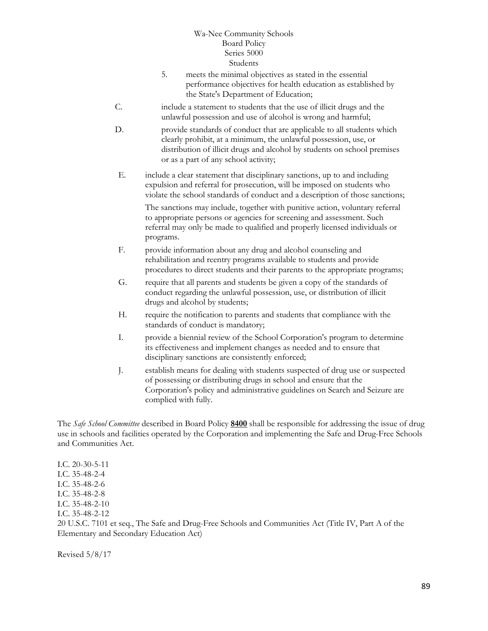- 5. meets the minimal objectives as stated in the essential performance objectives for health education as established by the State's Department of Education;
- C. include a statement to students that the use of illicit drugs and the unlawful possession and use of alcohol is wrong and harmful;
- D. provide standards of conduct that are applicable to all students which clearly prohibit, at a minimum, the unlawful possession, use, or distribution of illicit drugs and alcohol by students on school premises or as a part of any school activity;
- E. include a clear statement that disciplinary sanctions, up to and including expulsion and referral for prosecution, will be imposed on students who violate the school standards of conduct and a description of those sanctions;

The sanctions may include, together with punitive action, voluntary referral to appropriate persons or agencies for screening and assessment. Such referral may only be made to qualified and properly licensed individuals or programs.

- F. provide information about any drug and alcohol counseling and rehabilitation and reentry programs available to students and provide procedures to direct students and their parents to the appropriate programs;
- G. require that all parents and students be given a copy of the standards of conduct regarding the unlawful possession, use, or distribution of illicit drugs and alcohol by students;
- H. require the notification to parents and students that compliance with the standards of conduct is mandatory;
- I. provide a biennial review of the School Corporation's program to determine its effectiveness and implement changes as needed and to ensure that disciplinary sanctions are consistently enforced;
- J. establish means for dealing with students suspected of drug use or suspected of possessing or distributing drugs in school and ensure that the Corporation's policy and administrative guidelines on Search and Seizure are complied with fully.

The *Safe School Committee* described in Board Policy **[8400](http://www.neola.com/wanee-in/search/policies/po8400.htm)** shall be responsible for addressing the issue of drug use in schools and facilities operated by the Corporation and implementing the Safe and Drug-Free Schools and Communities Act.

I.C. 20-30-5-11 I.C. 35-48-2-4 I.C. 35-48-2-6 I.C. 35-48-2-8 I.C. 35-48-2-10 I.C. 35-48-2-12 20 U.S.C. 7101 et seq., The Safe and Drug-Free Schools and Communities Act (Title IV, Part A of the Elementary and Secondary Education Act)

Revised 5/8/17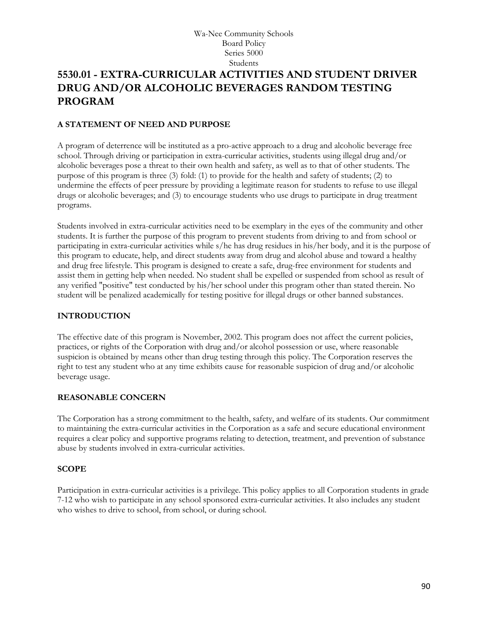# **5530.01 - EXTRA-CURRICULAR ACTIVITIES AND STUDENT DRIVER DRUG AND/OR ALCOHOLIC BEVERAGES RANDOM TESTING PROGRAM**

## **A STATEMENT OF NEED AND PURPOSE**

A program of deterrence will be instituted as a pro-active approach to a drug and alcoholic beverage free school. Through driving or participation in extra-curricular activities, students using illegal drug and/or alcoholic beverages pose a threat to their own health and safety, as well as to that of other students. The purpose of this program is three (3) fold: (1) to provide for the health and safety of students; (2) to undermine the effects of peer pressure by providing a legitimate reason for students to refuse to use illegal drugs or alcoholic beverages; and (3) to encourage students who use drugs to participate in drug treatment programs.

Students involved in extra-curricular activities need to be exemplary in the eyes of the community and other students. It is further the purpose of this program to prevent students from driving to and from school or participating in extra-curricular activities while s/he has drug residues in his/her body, and it is the purpose of this program to educate, help, and direct students away from drug and alcohol abuse and toward a healthy and drug free lifestyle. This program is designed to create a safe, drug-free environment for students and assist them in getting help when needed. No student shall be expelled or suspended from school as result of any verified "positive" test conducted by his/her school under this program other than stated therein. No student will be penalized academically for testing positive for illegal drugs or other banned substances.

## **INTRODUCTION**

The effective date of this program is November, 2002. This program does not affect the current policies, practices, or rights of the Corporation with drug and/or alcohol possession or use, where reasonable suspicion is obtained by means other than drug testing through this policy. The Corporation reserves the right to test any student who at any time exhibits cause for reasonable suspicion of drug and/or alcoholic beverage usage.

#### **REASONABLE CONCERN**

The Corporation has a strong commitment to the health, safety, and welfare of its students. Our commitment to maintaining the extra-curricular activities in the Corporation as a safe and secure educational environment requires a clear policy and supportive programs relating to detection, treatment, and prevention of substance abuse by students involved in extra-curricular activities.

#### **SCOPE**

Participation in extra-curricular activities is a privilege. This policy applies to all Corporation students in grade 7-12 who wish to participate in any school sponsored extra-curricular activities. It also includes any student who wishes to drive to school, from school, or during school.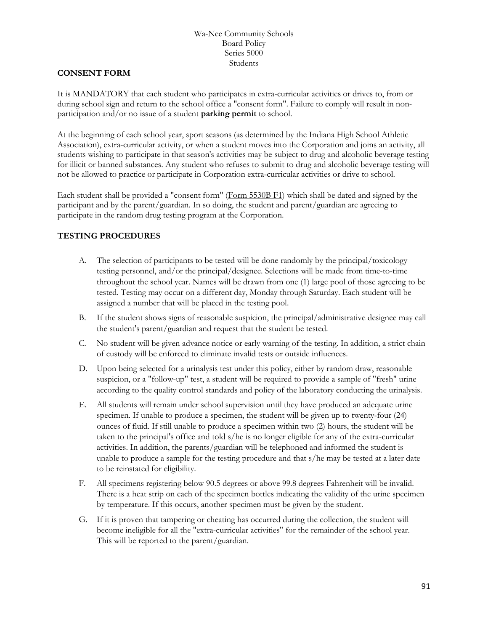#### **CONSENT FORM**

It is MANDATORY that each student who participates in extra-curricular activities or drives to, from or during school sign and return to the school office a "consent form". Failure to comply will result in nonparticipation and/or no issue of a student **parking permit** to school.

At the beginning of each school year, sport seasons (as determined by the Indiana High School Athletic Association), extra-curricular activity, or when a student moves into the Corporation and joins an activity, all students wishing to participate in that season's activities may be subject to drug and alcoholic beverage testing for illicit or banned substances. Any student who refuses to submit to drug and alcoholic beverage testing will not be allowed to practice or participate in Corporation extra-curricular activities or drive to school.

Each student shall be provided a "consent form" [\(Form 5530B F1\)](http://www.neola.com/wanee-in/search/forms/fm5530BF1.pdf) which shall be dated and signed by the participant and by the parent/guardian. In so doing, the student and parent/guardian are agreeing to participate in the random drug testing program at the Corporation.

## **TESTING PROCEDURES**

- A. The selection of participants to be tested will be done randomly by the principal/toxicology testing personnel, and/or the principal/designee. Selections will be made from time-to-time throughout the school year. Names will be drawn from one (1) large pool of those agreeing to be tested. Testing may occur on a different day, Monday through Saturday. Each student will be assigned a number that will be placed in the testing pool.
- B. If the student shows signs of reasonable suspicion, the principal/administrative designee may call the student's parent/guardian and request that the student be tested.
- C. No student will be given advance notice or early warning of the testing. In addition, a strict chain of custody will be enforced to eliminate invalid tests or outside influences.
- D. Upon being selected for a urinalysis test under this policy, either by random draw, reasonable suspicion, or a "follow-up" test, a student will be required to provide a sample of "fresh" urine according to the quality control standards and policy of the laboratory conducting the urinalysis.
- E. All students will remain under school supervision until they have produced an adequate urine specimen. If unable to produce a specimen, the student will be given up to twenty-four (24) ounces of fluid. If still unable to produce a specimen within two (2) hours, the student will be taken to the principal's office and told s/he is no longer eligible for any of the extra-curricular activities. In addition, the parents/guardian will be telephoned and informed the student is unable to produce a sample for the testing procedure and that s/he may be tested at a later date to be reinstated for eligibility.
- F. All specimens registering below 90.5 degrees or above 99.8 degrees Fahrenheit will be invalid. There is a heat strip on each of the specimen bottles indicating the validity of the urine specimen by temperature. If this occurs, another specimen must be given by the student.
- G. If it is proven that tampering or cheating has occurred during the collection, the student will become ineligible for all the "extra-curricular activities" for the remainder of the school year. This will be reported to the parent/guardian.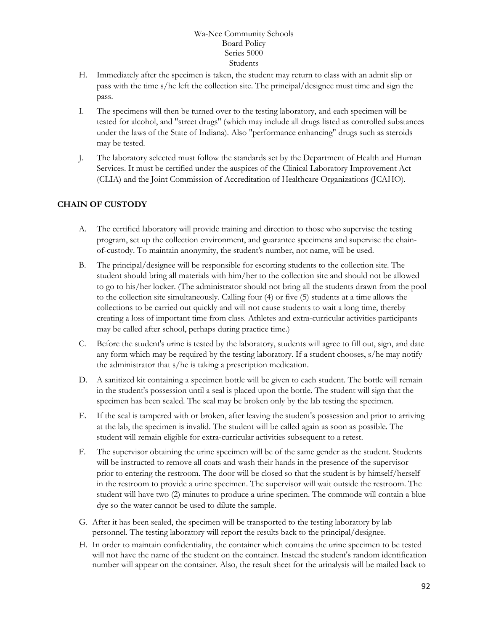- H. Immediately after the specimen is taken, the student may return to class with an admit slip or pass with the time s/he left the collection site. The principal/designee must time and sign the pass.
- I. The specimens will then be turned over to the testing laboratory, and each specimen will be tested for alcohol, and "street drugs" (which may include all drugs listed as controlled substances under the laws of the State of Indiana). Also "performance enhancing" drugs such as steroids may be tested.
- J. The laboratory selected must follow the standards set by the Department of Health and Human Services. It must be certified under the auspices of the Clinical Laboratory Improvement Act (CLIA) and the Joint Commission of Accreditation of Healthcare Organizations (JCAHO).

## **CHAIN OF CUSTODY**

- A. The certified laboratory will provide training and direction to those who supervise the testing program, set up the collection environment, and guarantee specimens and supervise the chainof-custody. To maintain anonymity, the student's number, not name, will be used.
- B. The principal/designee will be responsible for escorting students to the collection site. The student should bring all materials with him/her to the collection site and should not be allowed to go to his/her locker. (The administrator should not bring all the students drawn from the pool to the collection site simultaneously. Calling four (4) or five (5) students at a time allows the collections to be carried out quickly and will not cause students to wait a long time, thereby creating a loss of important time from class. Athletes and extra-curricular activities participants may be called after school, perhaps during practice time.)
- C. Before the student's urine is tested by the laboratory, students will agree to fill out, sign, and date any form which may be required by the testing laboratory. If a student chooses, s/he may notify the administrator that s/he is taking a prescription medication.
- D. A sanitized kit containing a specimen bottle will be given to each student. The bottle will remain in the student's possession until a seal is placed upon the bottle. The student will sign that the specimen has been sealed. The seal may be broken only by the lab testing the specimen.
- E. If the seal is tampered with or broken, after leaving the student's possession and prior to arriving at the lab, the specimen is invalid. The student will be called again as soon as possible. The student will remain eligible for extra-curricular activities subsequent to a retest.
- F. The supervisor obtaining the urine specimen will be of the same gender as the student. Students will be instructed to remove all coats and wash their hands in the presence of the supervisor prior to entering the restroom. The door will be closed so that the student is by himself/herself in the restroom to provide a urine specimen. The supervisor will wait outside the restroom. The student will have two (2) minutes to produce a urine specimen. The commode will contain a blue dye so the water cannot be used to dilute the sample.
- G. After it has been sealed, the specimen will be transported to the testing laboratory by lab personnel. The testing laboratory will report the results back to the principal/designee.
- H. In order to maintain confidentiality, the container which contains the urine specimen to be tested will not have the name of the student on the container. Instead the student's random identification number will appear on the container. Also, the result sheet for the urinalysis will be mailed back to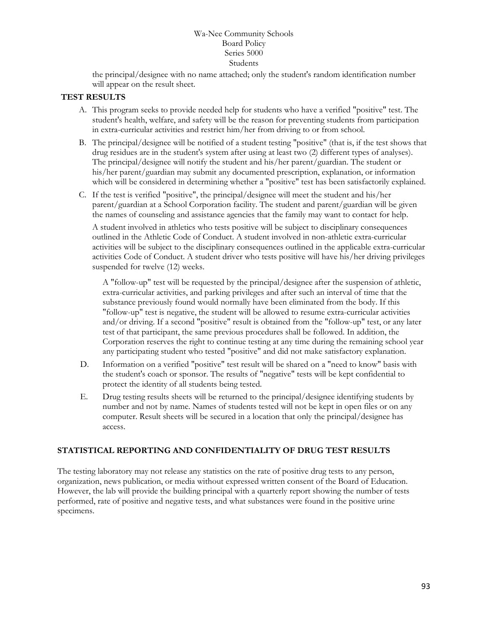the principal/designee with no name attached; only the student's random identification number will appear on the result sheet.

## **TEST RESULTS**

- A. This program seeks to provide needed help for students who have a verified "positive" test. The student's health, welfare, and safety will be the reason for preventing students from participation in extra-curricular activities and restrict him/her from driving to or from school.
- B. The principal/designee will be notified of a student testing "positive" (that is, if the test shows that drug residues are in the student's system after using at least two (2) different types of analyses). The principal/designee will notify the student and his/her parent/guardian. The student or his/her parent/guardian may submit any documented prescription, explanation, or information which will be considered in determining whether a "positive" test has been satisfactorily explained.
- C. If the test is verified "positive", the principal/designee will meet the student and his/her parent/guardian at a School Corporation facility. The student and parent/guardian will be given the names of counseling and assistance agencies that the family may want to contact for help.

A student involved in athletics who tests positive will be subject to disciplinary consequences outlined in the Athletic Code of Conduct. A student involved in non-athletic extra-curricular activities will be subject to the disciplinary consequences outlined in the applicable extra-curricular activities Code of Conduct. A student driver who tests positive will have his/her driving privileges suspended for twelve (12) weeks.

A "follow-up" test will be requested by the principal/designee after the suspension of athletic, extra-curricular activities, and parking privileges and after such an interval of time that the substance previously found would normally have been eliminated from the body. If this "follow-up" test is negative, the student will be allowed to resume extra-curricular activities and/or driving. If a second "positive" result is obtained from the "follow-up" test, or any later test of that participant, the same previous procedures shall be followed. In addition, the Corporation reserves the right to continue testing at any time during the remaining school year any participating student who tested "positive" and did not make satisfactory explanation.

- D. Information on a verified "positive" test result will be shared on a "need to know" basis with the student's coach or sponsor. The results of "negative" tests will be kept confidential to protect the identity of all students being tested.
- E. Drug testing results sheets will be returned to the principal/designee identifying students by number and not by name. Names of students tested will not be kept in open files or on any computer. Result sheets will be secured in a location that only the principal/designee has access.

#### **STATISTICAL REPORTING AND CONFIDENTIALITY OF DRUG TEST RESULTS**

The testing laboratory may not release any statistics on the rate of positive drug tests to any person, organization, news publication, or media without expressed written consent of the Board of Education. However, the lab will provide the building principal with a quarterly report showing the number of tests performed, rate of positive and negative tests, and what substances were found in the positive urine specimens.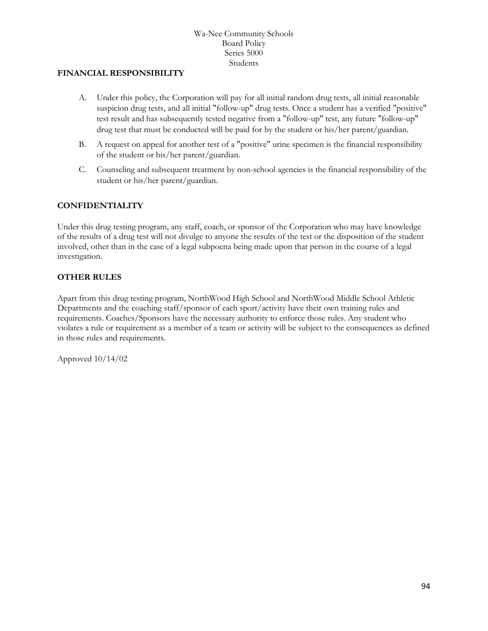#### **FINANCIAL RESPONSIBILITY**

- A. Under this policy, the Corporation will pay for all initial random drug tests, all initial reasonable suspicion drug tests, and all initial "follow-up" drug tests. Once a student has a verified "positive" test result and has subsequently tested negative from a "follow-up" test, any future "follow-up" drug test that must be conducted will be paid for by the student or his/her parent/guardian.
- B. A request on appeal for another test of a "positive" urine specimen is the financial responsibility of the student or his/her parent/guardian.
- C. Counseling and subsequent treatment by non-school agencies is the financial responsibility of the student or his/her parent/guardian.

## **CONFIDENTIALITY**

Under this drug testing program, any staff, coach, or sponsor of the Corporation who may have knowledge of the results of a drug test will not divulge to anyone the results of the test or the disposition of the student involved, other than in the case of a legal subpoena being made upon that person in the course of a legal investigation.

## **OTHER RULES**

Apart from this drug testing program, NorthWood High School and NorthWood Middle School Athletic Departments and the coaching staff/sponsor of each sport/activity have their own training rules and requirements. Coaches/Sponsors have the necessary authority to enforce those rules. Any student who violates a rule or requirement as a member of a team or activity will be subject to the consequences as defined in those rules and requirements.

Approved 10/14/02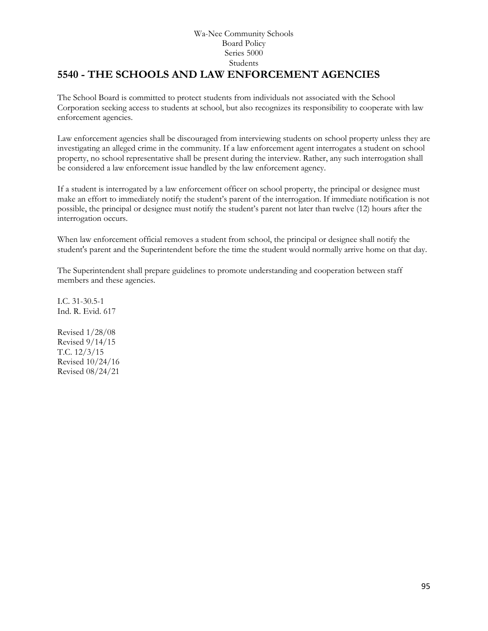# **5540 - THE SCHOOLS AND LAW ENFORCEMENT AGENCIES**

The School Board is committed to protect students from individuals not associated with the School Corporation seeking access to students at school, but also recognizes its responsibility to cooperate with law enforcement agencies.

Law enforcement agencies shall be discouraged from interviewing students on school property unless they are investigating an alleged crime in the community. If a law enforcement agent interrogates a student on school property, no school representative shall be present during the interview. Rather, any such interrogation shall be considered a law enforcement issue handled by the law enforcement agency.

If a student is interrogated by a law enforcement officer on school property, the principal or designee must make an effort to immediately notify the student's parent of the interrogation. If immediate notification is not possible, the principal or designee must notify the student's parent not later than twelve (12) hours after the interrogation occurs.

When law enforcement official removes a student from school, the principal or designee shall notify the student's parent and the Superintendent before the time the student would normally arrive home on that day.

The Superintendent shall prepare guidelines to promote understanding and cooperation between staff members and these agencies.

I.C. 31-30.5-1 Ind. R. Evid. 617

Revised 1/28/08 Revised 9/14/15 T.C. 12/3/15 Revised 10/24/16 Revised 08/24/21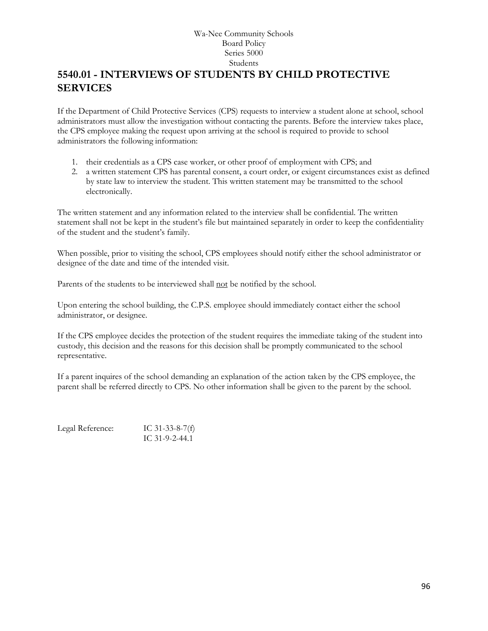# **5540.01 - INTERVIEWS OF STUDENTS BY CHILD PROTECTIVE SERVICES**

If the Department of Child Protective Services (CPS) requests to interview a student alone at school, school administrators must allow the investigation without contacting the parents. Before the interview takes place, the CPS employee making the request upon arriving at the school is required to provide to school administrators the following information:

- 1. their credentials as a CPS case worker, or other proof of employment with CPS; and
- 2. a written statement CPS has parental consent, a court order, or exigent circumstances exist as defined by state law to interview the student. This written statement may be transmitted to the school electronically.

The written statement and any information related to the interview shall be confidential. The written statement shall not be kept in the student's file but maintained separately in order to keep the confidentiality of the student and the student's family.

When possible, prior to visiting the school, CPS employees should notify either the school administrator or designee of the date and time of the intended visit.

Parents of the students to be interviewed shall not be notified by the school.

Upon entering the school building, the C.P.S. employee should immediately contact either the school administrator, or designee.

If the CPS employee decides the protection of the student requires the immediate taking of the student into custody, this decision and the reasons for this decision shall be promptly communicated to the school representative.

If a parent inquires of the school demanding an explanation of the action taken by the CPS employee, the parent shall be referred directly to CPS. No other information shall be given to the parent by the school.

Legal Reference: IC 31-33-8-7(f) IC 31-9-2-44.1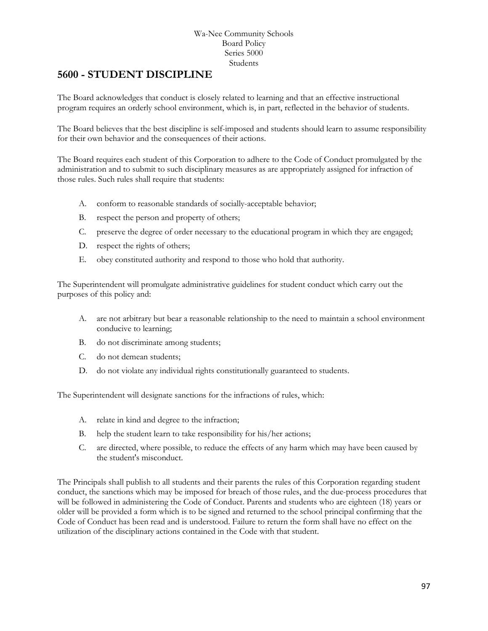## **5600 - STUDENT DISCIPLINE**

The Board acknowledges that conduct is closely related to learning and that an effective instructional program requires an orderly school environment, which is, in part, reflected in the behavior of students.

The Board believes that the best discipline is self-imposed and students should learn to assume responsibility for their own behavior and the consequences of their actions.

The Board requires each student of this Corporation to adhere to the Code of Conduct promulgated by the administration and to submit to such disciplinary measures as are appropriately assigned for infraction of those rules. Such rules shall require that students:

- A. conform to reasonable standards of socially-acceptable behavior;
- B. respect the person and property of others;
- C. preserve the degree of order necessary to the educational program in which they are engaged;
- D. respect the rights of others;
- E. obey constituted authority and respond to those who hold that authority.

The Superintendent will promulgate administrative guidelines for student conduct which carry out the purposes of this policy and:

- A. are not arbitrary but bear a reasonable relationship to the need to maintain a school environment conducive to learning;
- B. do not discriminate among students;
- C. do not demean students;
- D. do not violate any individual rights constitutionally guaranteed to students.

The Superintendent will designate sanctions for the infractions of rules, which:

- A. relate in kind and degree to the infraction;
- B. help the student learn to take responsibility for his/her actions;
- C. are directed, where possible, to reduce the effects of any harm which may have been caused by the student's misconduct.

The Principals shall publish to all students and their parents the rules of this Corporation regarding student conduct, the sanctions which may be imposed for breach of those rules, and the due-process procedures that will be followed in administering the Code of Conduct. Parents and students who are eighteen (18) years or older will be provided a form which is to be signed and returned to the school principal confirming that the Code of Conduct has been read and is understood. Failure to return the form shall have no effect on the utilization of the disciplinary actions contained in the Code with that student.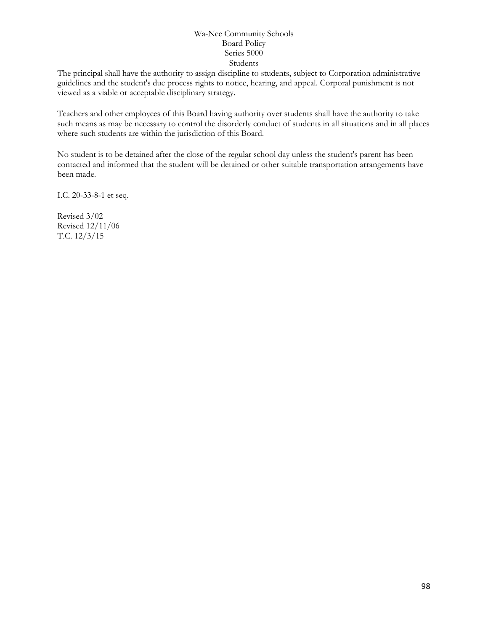The principal shall have the authority to assign discipline to students, subject to Corporation administrative guidelines and the student's due process rights to notice, hearing, and appeal. Corporal punishment is not viewed as a viable or acceptable disciplinary strategy.

Teachers and other employees of this Board having authority over students shall have the authority to take such means as may be necessary to control the disorderly conduct of students in all situations and in all places where such students are within the jurisdiction of this Board.

No student is to be detained after the close of the regular school day unless the student's parent has been contacted and informed that the student will be detained or other suitable transportation arrangements have been made.

I.C. 20-33-8-1 et seq.

Revised 3/02 Revised 12/11/06 T.C. 12/3/15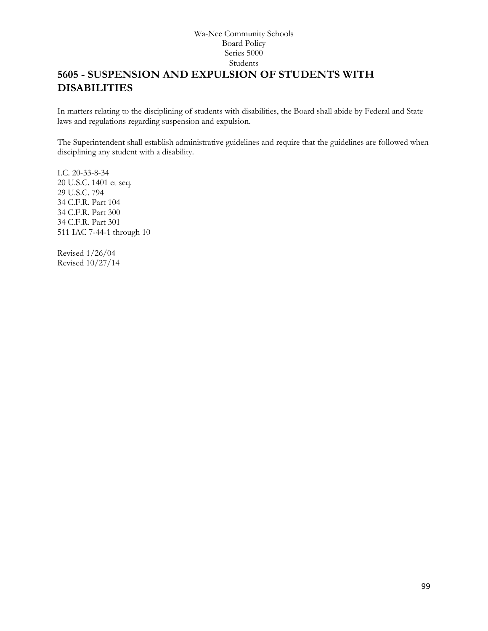# **5605 - SUSPENSION AND EXPULSION OF STUDENTS WITH DISABILITIES**

In matters relating to the disciplining of students with disabilities, the Board shall abide by Federal and State laws and regulations regarding suspension and expulsion.

The Superintendent shall establish administrative guidelines and require that the guidelines are followed when disciplining any student with a disability.

I.C. 20-33-8-34 20 U.S.C. 1401 et seq. 29 U.S.C. 794 34 C.F.R. Part 104 34 C.F.R. Part 300 34 C.F.R. Part 301 511 IAC 7-44-1 through 10

Revised 1/26/04 Revised 10/27/14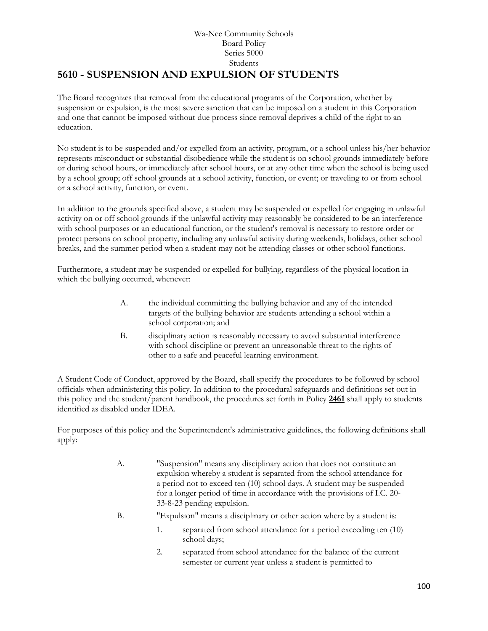#### Wa-Nee Community Schools Board Policy Series 5000 Students **[5610](http://www.neola.com/wanee-in/search/ag/ag5610.htm) - SUSPENSION AND EXPULSION OF STUDENTS**

The Board recognizes that removal from the educational programs of the Corporation, whether by suspension or expulsion, is the most severe sanction that can be imposed on a student in this Corporation and one that cannot be imposed without due process since removal deprives a child of the right to an education.

No student is to be suspended and/or expelled from an activity, program, or a school unless his/her behavior represents misconduct or substantial disobedience while the student is on school grounds immediately before or during school hours, or immediately after school hours, or at any other time when the school is being used by a school group; off school grounds at a school activity, function, or event; or traveling to or from school or a school activity, function, or event.

In addition to the grounds specified above, a student may be suspended or expelled for engaging in unlawful activity on or off school grounds if the unlawful activity may reasonably be considered to be an interference with school purposes or an educational function, or the student's removal is necessary to restore order or protect persons on school property, including any unlawful activity during weekends, holidays, other school breaks, and the summer period when a student may not be attending classes or other school functions.

Furthermore, a student may be suspended or expelled for bullying, regardless of the physical location in which the bullying occurred, whenever:

- A. the individual committing the bullying behavior and any of the intended targets of the bullying behavior are students attending a school within a school corporation; and
- B. disciplinary action is reasonably necessary to avoid substantial interference with school discipline or prevent an unreasonable threat to the rights of other to a safe and peaceful learning environment.

A Student Code of Conduct, approved by the Board, shall specify the procedures to be followed by school officials when administering this policy. In addition to the procedural safeguards and definitions set out in this policy and the student/parent handbook, the procedures set forth in Policy **[2461](http://www.neola.com/wanee-in/search/policies/po2461.htm)** shall apply to students identified as disabled under IDEA.

For purposes of this policy and the Superintendent's administrative guidelines, the following definitions shall apply:

- A. "Suspension" means any disciplinary action that does not constitute an expulsion whereby a student is separated from the school attendance for a period not to exceed ten (10) school days. A student may be suspended for a longer period of time in accordance with the provisions of I.C. 20- 33-8-23 pending expulsion.
- B. "Expulsion" means a disciplinary or other action where by a student is:
	- 1. separated from school attendance for a period exceeding ten (10) school days;
	- 2. separated from school attendance for the balance of the current semester or current year unless a student is permitted to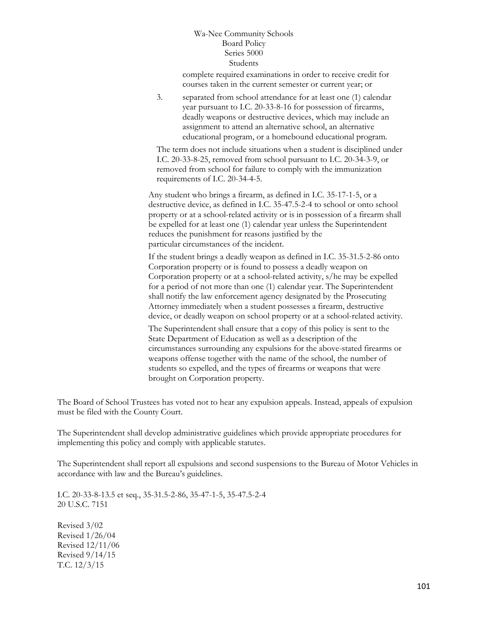complete required examinations in order to receive credit for courses taken in the current semester or current year; or

3. separated from school attendance for at least one (1) calendar year pursuant to I.C. 20-33-8-16 for possession of firearms, deadly weapons or destructive devices, which may include an assignment to attend an alternative school, an alternative educational program, or a homebound educational program.

The term does not include situations when a student is disciplined under I.C. 20-33-8-25, removed from school pursuant to I.C. 20-34-3-9, or removed from school for failure to comply with the immunization requirements of I.C. 20-34-4-5.

Any student who brings a firearm, as defined in I.C. 35-17-1-5, or a destructive device, as defined in I.C. 35-47.5-2-4 to school or onto school property or at a school-related activity or is in possession of a firearm shall be expelled for at least one (1) calendar year unless the Superintendent reduces the punishment for reasons justified by the particular circumstances of the incident.

If the student brings a deadly weapon as defined in I.C. 35-31.5-2-86 onto Corporation property or is found to possess a deadly weapon on Corporation property or at a school-related activity, s/he may be expelled for a period of not more than one (1) calendar year. The Superintendent shall notify the law enforcement agency designated by the Prosecuting Attorney immediately when a student possesses a firearm, destructive device, or deadly weapon on school property or at a school-related activity.

The Superintendent shall ensure that a copy of this policy is sent to the State Department of Education as well as a description of the circumstances surrounding any expulsions for the above-stated firearms or weapons offense together with the name of the school, the number of students so expelled, and the types of firearms or weapons that were brought on Corporation property.

The Board of School Trustees has voted not to hear any expulsion appeals. Instead, appeals of expulsion must be filed with the County Court.

The Superintendent shall develop administrative guidelines which provide appropriate procedures for implementing this policy and comply with applicable statutes.

The Superintendent shall report all expulsions and second suspensions to the Bureau of Motor Vehicles in accordance with law and the Bureau's guidelines.

I.C. 20-33-8-13.5 et seq., 35-31.5-2-86, 35-47-1-5, 35-47.5-2-4 20 U.S.C. 7151

Revised 3/02 Revised 1/26/04 Revised 12/11/06 Revised 9/14/15 T.C. 12/3/15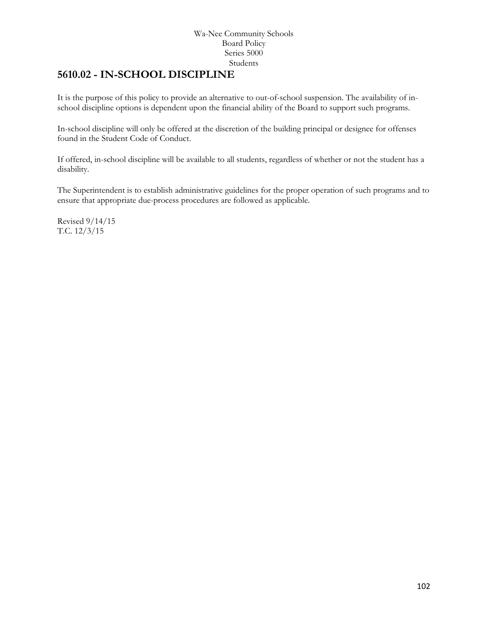## **[5610.02](http://www.neola.com/wanee-in/search/ag/ag5610.02.htm) - IN-SCHOOL DISCIPLINE**

It is the purpose of this policy to provide an alternative to out-of-school suspension. The availability of inschool discipline options is dependent upon the financial ability of the Board to support such programs.

In-school discipline will only be offered at the discretion of the building principal or designee for offenses found in the Student Code of Conduct.

If offered, in-school discipline will be available to all students, regardless of whether or not the student has a disability.

The Superintendent is to establish administrative guidelines for the proper operation of such programs and to ensure that appropriate due-process procedures are followed as applicable.

Revised 9/14/15 T.C. 12/3/15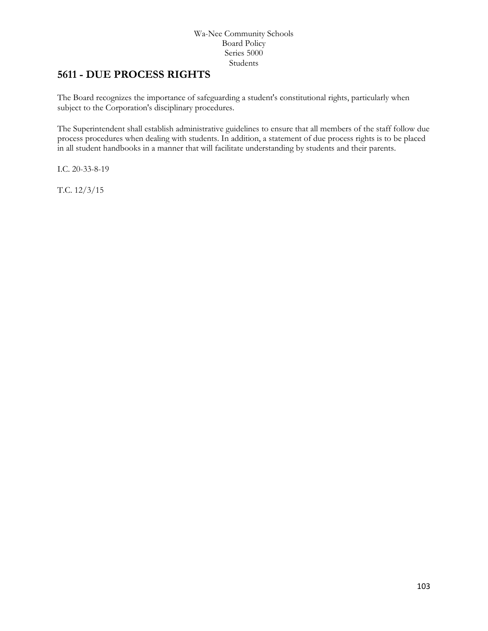## **5611 - DUE PROCESS RIGHTS**

The Board recognizes the importance of safeguarding a student's constitutional rights, particularly when subject to the Corporation's disciplinary procedures.

The Superintendent shall establish administrative guidelines to ensure that all members of the staff follow due process procedures when dealing with students. In addition, a statement of due process rights is to be placed in all student handbooks in a manner that will facilitate understanding by students and their parents.

I.C. 20-33-8-19

T.C. 12/3/15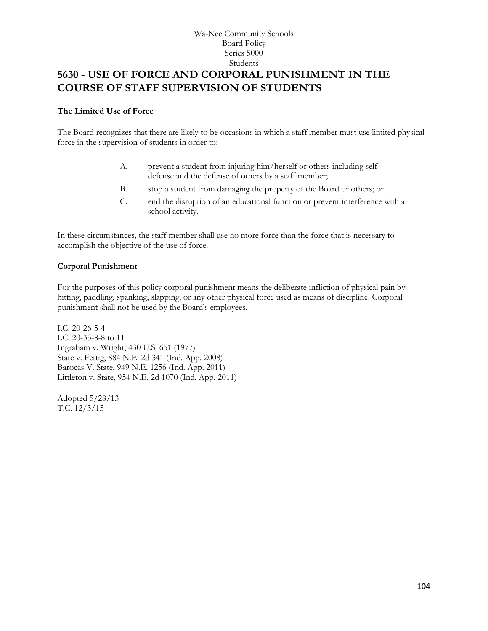# **5630 - USE OF FORCE AND CORPORAL PUNISHMENT IN THE COURSE OF STAFF SUPERVISION OF STUDENTS**

#### **The Limited Use of Force**

The Board recognizes that there are likely to be occasions in which a staff member must use limited physical force in the supervision of students in order to:

- A. prevent a student from injuring him/herself or others including selfdefense and the defense of others by a staff member;
- B. stop a student from damaging the property of the Board or others; or
- C. end the disruption of an educational function or prevent interference with a school activity.

In these circumstances, the staff member shall use no more force than the force that is necessary to accomplish the objective of the use of force.

#### **Corporal Punishment**

For the purposes of this policy corporal punishment means the deliberate infliction of physical pain by hitting, paddling, spanking, slapping, or any other physical force used as means of discipline. Corporal punishment shall not be used by the Board's employees.

I.C. 20-26-5-4 I.C. 20-33-8-8 to 11 Ingraham v. Wright, 430 U.S. 651 (1977) State v. Fettig, 884 N.E. 2d 341 (Ind. App. 2008) Barocas V. State, 949 N.E. 1256 (Ind. App. 2011) Littleton v. State, 954 N.E. 2d 1070 (Ind. App. 2011)

Adopted 5/28/13 T.C. 12/3/15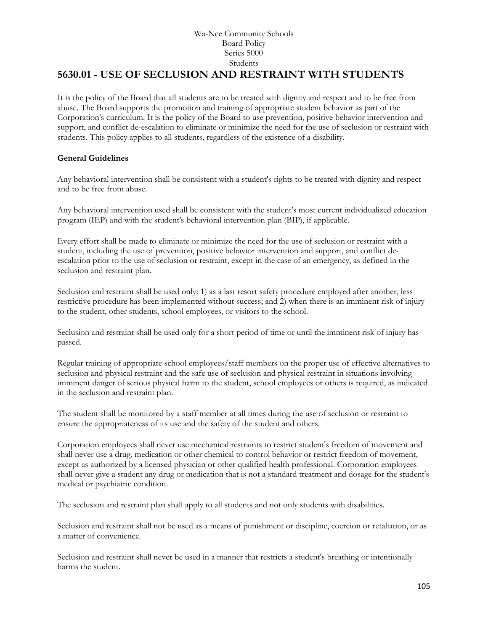## **5630.01 - USE OF SECLUSION AND RESTRAINT WITH STUDENTS**

It is the policy of the Board that all students are to be treated with dignity and respect and to be free from abuse. The Board supports the promotion and training of appropriate student behavior as part of the Corporation's curriculum. It is the policy of the Board to use prevention, positive behavior intervention and support, and conflict de-escalation to eliminate or minimize the need for the use of seclusion or restraint with students. This policy applies to all students, regardless of the existence of a disability.

## **General Guidelines**

Any behavioral intervention shall be consistent with a student's rights to be treated with dignity and respect and to be free from abuse.

Any behavioral intervention used shall be consistent with the student's most current individualized education program (IEP) and with the student's behavioral intervention plan (BIP), if applicable.

Every effort shall be made to eliminate or minimize the need for the use of seclusion or restraint with a student, including the use of prevention, positive behavior intervention and support, and conflict deescalation prior to the use of seclusion or restraint, except in the case of an emergency, as defined in the seclusion and restraint plan.

Seclusion and restraint shall be used only: 1) as a last resort safety procedure employed after another, less restrictive procedure has been implemented without success; and 2) when there is an imminent risk of injury to the student, other students, school employees, or visitors to the school.

Seclusion and restraint shall be used only for a short period of time or until the imminent risk of injury has passed.

Regular training of appropriate school employees/staff members on the proper use of effective alternatives to seclusion and physical restraint and the safe use of seclusion and physical restraint in situations involving imminent danger of serious physical harm to the student, school employees or others is required, as indicated in the seclusion and restraint plan.

The student shall be monitored by a staff member at all times during the use of seclusion or restraint to ensure the appropriateness of its use and the safety of the student and others.

Corporation employees shall never use mechanical restraints to restrict student's freedom of movement and shall never use a drug, medication or other chemical to control behavior or restrict freedom of movement, except as authorized by a licensed physician or other qualified health professional. Corporation employees shall never give a student any drug or medication that is not a standard treatment and dosage for the student's medical or psychiatric condition.

The seclusion and restraint plan shall apply to all students and not only students with disabilities.

Seclusion and restraint shall not be used as a means of punishment or discipline, coercion or retaliation, or as a matter of convenience.

Seclusion and restraint shall never be used in a manner that restricts a student's breathing or intentionally harms the student.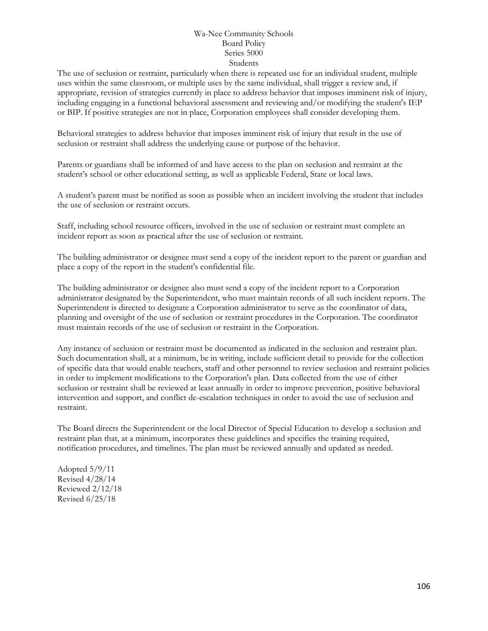The use of seclusion or restraint, particularly when there is repeated use for an individual student, multiple uses within the same classroom, or multiple uses by the same individual, shall trigger a review and, if appropriate, revision of strategies currently in place to address behavior that imposes imminent risk of injury, including engaging in a functional behavioral assessment and reviewing and/or modifying the student's IEP or BIP. If positive strategies are not in place, Corporation employees shall consider developing them.

Behavioral strategies to address behavior that imposes imminent risk of injury that result in the use of seclusion or restraint shall address the underlying cause or purpose of the behavior.

Parents or guardians shall be informed of and have access to the plan on seclusion and restraint at the student's school or other educational setting, as well as applicable Federal, State or local laws.

A student's parent must be notified as soon as possible when an incident involving the student that includes the use of seclusion or restraint occurs.

Staff, including school resource officers, involved in the use of seclusion or restraint must complete an incident report as soon as practical after the use of seclusion or restraint.

The building administrator or designee must send a copy of the incident report to the parent or guardian and place a copy of the report in the student's confidential file.

The building administrator or designee also must send a copy of the incident report to a Corporation administrator designated by the Superintendent, who must maintain records of all such incident reports. The Superintendent is directed to designate a Corporation administrator to serve as the coordinator of data, planning and oversight of the use of seclusion or restraint procedures in the Corporation. The coordinator must maintain records of the use of seclusion or restraint in the Corporation.

Any instance of seclusion or restraint must be documented as indicated in the seclusion and restraint plan. Such documentation shall, at a minimum, be in writing, include sufficient detail to provide for the collection of specific data that would enable teachers, staff and other personnel to review seclusion and restraint policies in order to implement modifications to the Corporation's plan. Data collected from the use of either seclusion or restraint shall be reviewed at least annually in order to improve prevention, positive behavioral intervention and support, and conflict de-escalation techniques in order to avoid the use of seclusion and restraint.

The Board directs the Superintendent or the local Director of Special Education to develop a seclusion and restraint plan that, at a minimum, incorporates these guidelines and specifies the training required, notification procedures, and timelines. The plan must be reviewed annually and updated as needed.

Adopted 5/9/11 Revised 4/28/14 Reviewed 2/12/18 Revised 6/25/18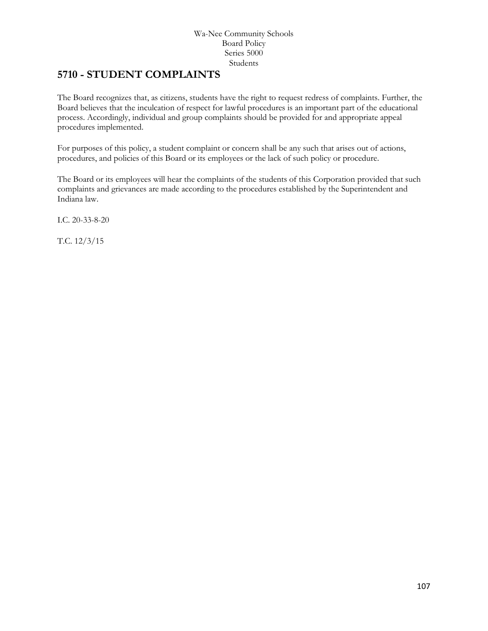## **5710 - STUDENT COMPLAINTS**

The Board recognizes that, as citizens, students have the right to request redress of complaints. Further, the Board believes that the inculcation of respect for lawful procedures is an important part of the educational process. Accordingly, individual and group complaints should be provided for and appropriate appeal procedures implemented.

For purposes of this policy, a student complaint or concern shall be any such that arises out of actions, procedures, and policies of this Board or its employees or the lack of such policy or procedure.

The Board or its employees will hear the complaints of the students of this Corporation provided that such complaints and grievances are made according to the procedures established by the Superintendent and Indiana law.

I.C. 20-33-8-20

T.C. 12/3/15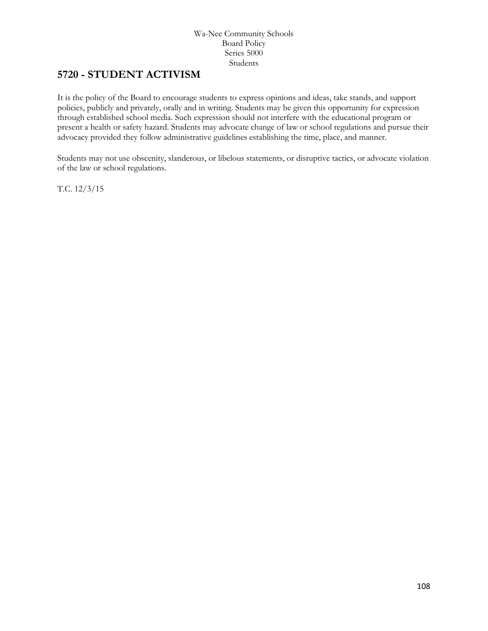## **5720 - STUDENT ACTIVISM**

It is the policy of the Board to encourage students to express opinions and ideas, take stands, and support policies, publicly and privately, orally and in writing. Students may be given this opportunity for expression through established school media. Such expression should not interfere with the educational program or present a health or safety hazard. Students may advocate change of law or school regulations and pursue their advocacy provided they follow administrative guidelines establishing the time, place, and manner.

Students may not use obscenity, slanderous, or libelous statements, or disruptive tactics, or advocate violation of the law or school regulations.

T.C. 12/3/15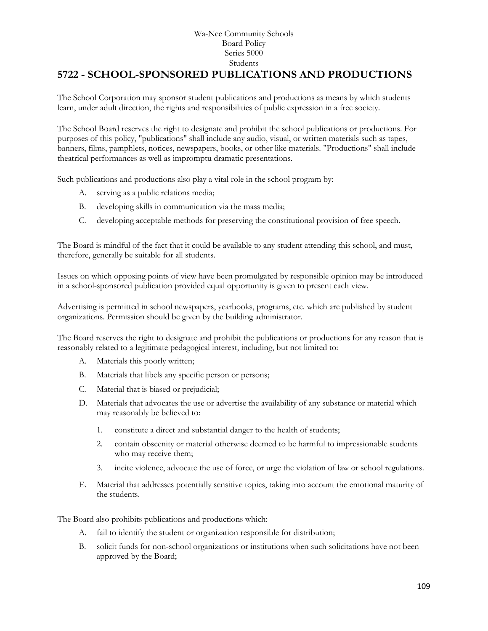# **[5722](http://www.neola.com/wanee-in/search/ag/ag5722.htm) - SCHOOL-SPONSORED PUBLICATIONS AND PRODUCTIONS**

The School Corporation may sponsor student publications and productions as means by which students learn, under adult direction, the rights and responsibilities of public expression in a free society.

The School Board reserves the right to designate and prohibit the school publications or productions. For purposes of this policy, "publications" shall include any audio, visual, or written materials such as tapes, banners, films, pamphlets, notices, newspapers, books, or other like materials. "Productions" shall include theatrical performances as well as impromptu dramatic presentations.

Such publications and productions also play a vital role in the school program by:

- A. serving as a public relations media;
- B. developing skills in communication via the mass media;
- C. developing acceptable methods for preserving the constitutional provision of free speech.

The Board is mindful of the fact that it could be available to any student attending this school, and must, therefore, generally be suitable for all students.

Issues on which opposing points of view have been promulgated by responsible opinion may be introduced in a school-sponsored publication provided equal opportunity is given to present each view.

Advertising is permitted in school newspapers, yearbooks, programs, etc. which are published by student organizations. Permission should be given by the building administrator.

The Board reserves the right to designate and prohibit the publications or productions for any reason that is reasonably related to a legitimate pedagogical interest, including, but not limited to:

- A. Materials this poorly written;
- B. Materials that libels any specific person or persons;
- C. Material that is biased or prejudicial;
- D. Materials that advocates the use or advertise the availability of any substance or material which may reasonably be believed to:
	- 1. constitute a direct and substantial danger to the health of students;
	- 2. contain obscenity or material otherwise deemed to be harmful to impressionable students who may receive them;
	- 3. incite violence, advocate the use of force, or urge the violation of law or school regulations.
- E. Material that addresses potentially sensitive topics, taking into account the emotional maturity of the students.

The Board also prohibits publications and productions which:

- A. fail to identify the student or organization responsible for distribution;
- B. solicit funds for non-school organizations or institutions when such solicitations have not been approved by the Board;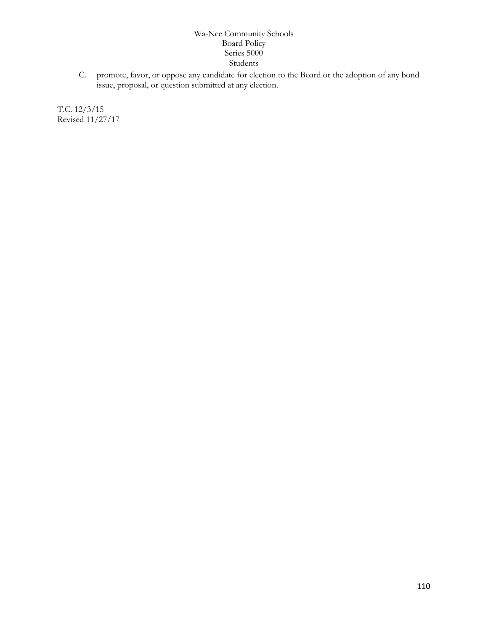C. promote, favor, or oppose any candidate for election to the Board or the adoption of any bond issue, proposal, or question submitted at any election.

T.C. 12/3/15 Revised 11/27/17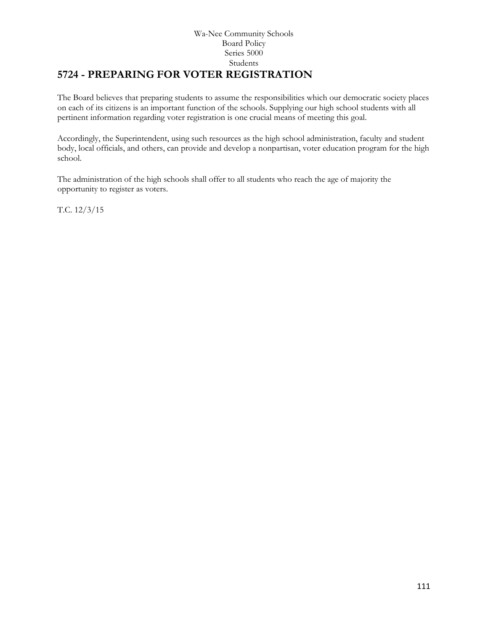#### Wa-Nee Community Schools Board Policy Series 5000 Students **5724 - PREPARING FOR VOTER REGISTRATION**

The Board believes that preparing students to assume the responsibilities which our democratic society places on each of its citizens is an important function of the schools. Supplying our high school students with all pertinent information regarding voter registration is one crucial means of meeting this goal.

Accordingly, the Superintendent, using such resources as the high school administration, faculty and student body, local officials, and others, can provide and develop a nonpartisan, voter education program for the high school.

The administration of the high schools shall offer to all students who reach the age of majority the opportunity to register as voters.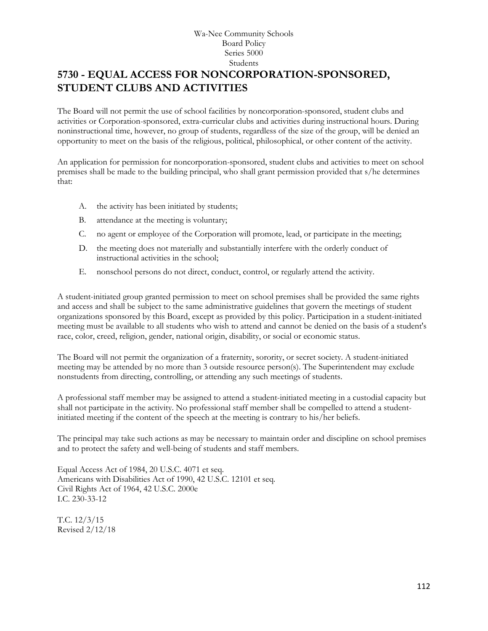# **5730 - EQUAL ACCESS FOR NONCORPORATION-SPONSORED, STUDENT CLUBS AND ACTIVITIES**

The Board will not permit the use of school facilities by noncorporation-sponsored, student clubs and activities or Corporation-sponsored, extra-curricular clubs and activities during instructional hours. During noninstructional time, however, no group of students, regardless of the size of the group, will be denied an opportunity to meet on the basis of the religious, political, philosophical, or other content of the activity.

An application for permission for noncorporation-sponsored, student clubs and activities to meet on school premises shall be made to the building principal, who shall grant permission provided that s/he determines that:

- A. the activity has been initiated by students;
- B. attendance at the meeting is voluntary;
- C. no agent or employee of the Corporation will promote, lead, or participate in the meeting;
- D. the meeting does not materially and substantially interfere with the orderly conduct of instructional activities in the school;
- E. nonschool persons do not direct, conduct, control, or regularly attend the activity.

A student-initiated group granted permission to meet on school premises shall be provided the same rights and access and shall be subject to the same administrative guidelines that govern the meetings of student organizations sponsored by this Board, except as provided by this policy. Participation in a student-initiated meeting must be available to all students who wish to attend and cannot be denied on the basis of a student's race, color, creed, religion, gender, national origin, disability, or social or economic status.

The Board will not permit the organization of a fraternity, sorority, or secret society. A student-initiated meeting may be attended by no more than 3 outside resource person(s). The Superintendent may exclude nonstudents from directing, controlling, or attending any such meetings of students.

A professional staff member may be assigned to attend a student-initiated meeting in a custodial capacity but shall not participate in the activity. No professional staff member shall be compelled to attend a studentinitiated meeting if the content of the speech at the meeting is contrary to his/her beliefs.

The principal may take such actions as may be necessary to maintain order and discipline on school premises and to protect the safety and well-being of students and staff members.

Equal Access Act of 1984, 20 U.S.C. 4071 et seq. Americans with Disabilities Act of 1990, 42 U.S.C. 12101 et seq. Civil Rights Act of 1964, 42 U.S.C. 2000e I.C. 230-33-12

T.C. 12/3/15 Revised 2/12/18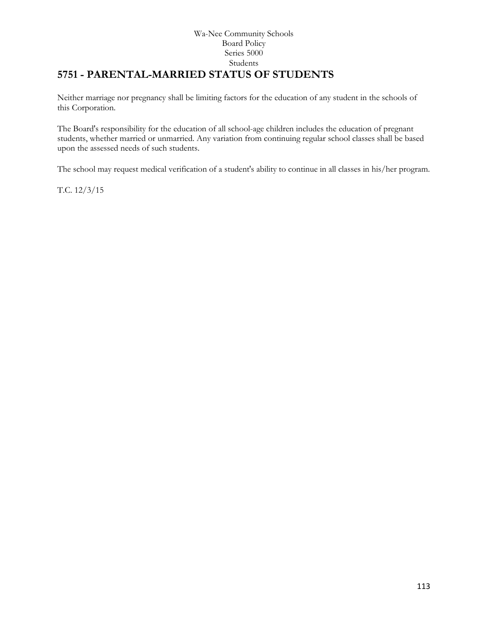#### Wa-Nee Community Schools Board Policy Series 5000 Students **[5751](http://www.neola.com/wanee-in/search/ag/ag5751.htm) - PARENTAL-MARRIED STATUS OF STUDENTS**

Neither marriage nor pregnancy shall be limiting factors for the education of any student in the schools of this Corporation.

The Board's responsibility for the education of all school-age children includes the education of pregnant students, whether married or unmarried. Any variation from continuing regular school classes shall be based upon the assessed needs of such students.

The school may request medical verification of a student's ability to continue in all classes in his/her program.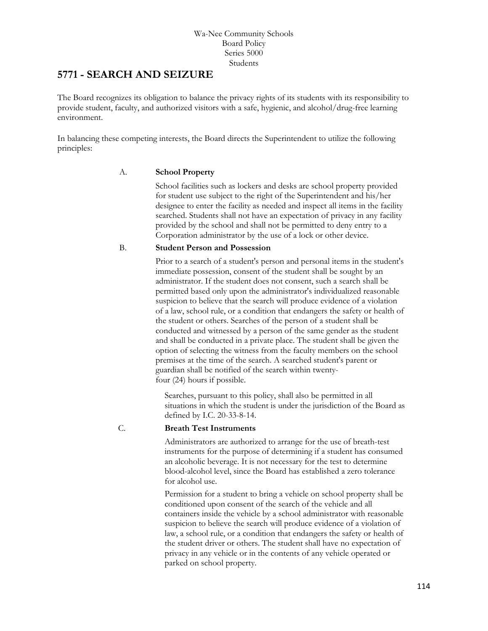## **[5771](http://www.neola.com/wanee-in/search/ag/ag5771.htm) - SEARCH AND SEIZURE**

The Board recognizes its obligation to balance the privacy rights of its students with its responsibility to provide student, faculty, and authorized visitors with a safe, hygienic, and alcohol/drug-free learning environment.

In balancing these competing interests, the Board directs the Superintendent to utilize the following principles:

#### A. **School Property**

School facilities such as lockers and desks are school property provided for student use subject to the right of the Superintendent and his/her designee to enter the facility as needed and inspect all items in the facility searched. Students shall not have an expectation of privacy in any facility provided by the school and shall not be permitted to deny entry to a Corporation administrator by the use of a lock or other device.

#### B. **Student Person and Possession**

Prior to a search of a student's person and personal items in the student's immediate possession, consent of the student shall be sought by an administrator. If the student does not consent, such a search shall be permitted based only upon the administrator's individualized reasonable suspicion to believe that the search will produce evidence of a violation of a law, school rule, or a condition that endangers the safety or health of the student or others. Searches of the person of a student shall be conducted and witnessed by a person of the same gender as the student and shall be conducted in a private place. The student shall be given the option of selecting the witness from the faculty members on the school premises at the time of the search. A searched student's parent or guardian shall be notified of the search within twentyfour (24) hours if possible.

Searches, pursuant to this policy, shall also be permitted in all situations in which the student is under the jurisdiction of the Board as defined by I.C. 20-33-8-14.

#### C. **Breath Test Instruments**

Administrators are authorized to arrange for the use of breath-test instruments for the purpose of determining if a student has consumed an alcoholic beverage. It is not necessary for the test to determine blood-alcohol level, since the Board has established a zero tolerance for alcohol use.

Permission for a student to bring a vehicle on school property shall be conditioned upon consent of the search of the vehicle and all containers inside the vehicle by a school administrator with reasonable suspicion to believe the search will produce evidence of a violation of law, a school rule, or a condition that endangers the safety or health of the student driver or others. The student shall have no expectation of privacy in any vehicle or in the contents of any vehicle operated or parked on school property.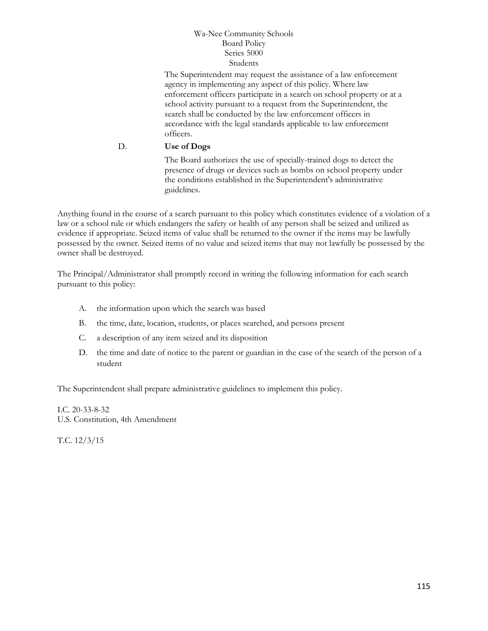The Superintendent may request the assistance of a law enforcement agency in implementing any aspect of this policy. Where law enforcement officers participate in a search on school property or at a school activity pursuant to a request from the Superintendent, the search shall be conducted by the law enforcement officers in accordance with the legal standards applicable to law enforcement officers.

#### D. **Use of Dogs**

The Board authorizes the use of specially-trained dogs to detect the presence of drugs or devices such as bombs on school property under the conditions established in the Superintendent's administrative guidelines.

Anything found in the course of a search pursuant to this policy which constitutes evidence of a violation of a law or a school rule or which endangers the safety or health of any person shall be seized and utilized as evidence if appropriate. Seized items of value shall be returned to the owner if the items may be lawfully possessed by the owner. Seized items of no value and seized items that may not lawfully be possessed by the owner shall be destroyed.

The Principal/Administrator shall promptly record in writing the following information for each search pursuant to this policy:

- A. the information upon which the search was based
- B. the time, date, location, students, or places searched, and persons present
- C. a description of any item seized and its disposition
- D. the time and date of notice to the parent or guardian in the case of the search of the person of a student

The Superintendent shall prepare administrative guidelines to implement this policy.

#### I.C. 20-33-8-32

U.S. Constitution, 4th Amendment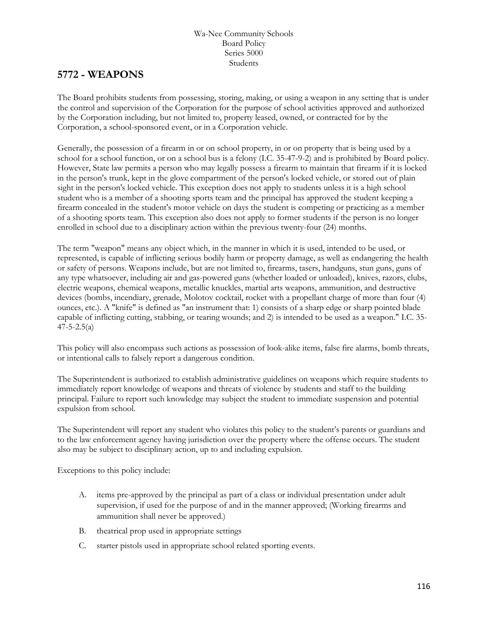## **[5772](http://www.neola.com/wanee-in/search/ag/ag5772.htm) - WEAPONS**

The Board prohibits students from possessing, storing, making, or using a weapon in any setting that is under the control and supervision of the Corporation for the purpose of school activities approved and authorized by the Corporation including, but not limited to, property leased, owned, or contracted for by the Corporation, a school-sponsored event, or in a Corporation vehicle.

Generally, the possession of a firearm in or on school property, in or on property that is being used by a school for a school function, or on a school bus is a felony (I.C. 35-47-9-2) and is prohibited by Board policy. However, State law permits a person who may legally possess a firearm to maintain that firearm if it is locked in the person's trunk, kept in the glove compartment of the person's locked vehicle, or stored out of plain sight in the person's locked vehicle. This exception does not apply to students unless it is a high school student who is a member of a shooting sports team and the principal has approved the student keeping a firearm concealed in the student's motor vehicle on days the student is competing or practicing as a member of a shooting sports team. This exception also does not apply to former students if the person is no longer enrolled in school due to a disciplinary action within the previous twenty-four (24) months.

The term "weapon" means any object which, in the manner in which it is used, intended to be used, or represented, is capable of inflicting serious bodily harm or property damage, as well as endangering the health or safety of persons. Weapons include, but are not limited to, firearms, tasers, handguns, stun guns, guns of any type whatsoever, including air and gas-powered guns (whether loaded or unloaded), knives, razors, clubs, electric weapons, chemical weapons, metallic knuckles, martial arts weapons, ammunition, and destructive devices (bombs, incendiary, grenade, Molotov cocktail, rocket with a propellant charge of more than four (4) ounces, etc.). A "knife" is defined as "an instrument that: 1) consists of a sharp edge or sharp pointed blade capable of inflicting cutting, stabbing, or tearing wounds; and 2) is intended to be used as a weapon." I.C. 35-  $47 - 5 - 2.5(a)$ 

This policy will also encompass such actions as possession of look-alike items, false fire alarms, bomb threats, or intentional calls to falsely report a dangerous condition.

The Superintendent is authorized to establish administrative guidelines on weapons which require students to immediately report knowledge of weapons and threats of violence by students and staff to the building principal. Failure to report such knowledge may subject the student to immediate suspension and potential expulsion from school.

The Superintendent will report any student who violates this policy to the student's parents or guardians and to the law enforcement agency having jurisdiction over the property where the offense occurs. The student also may be subject to disciplinary action, up to and including expulsion.

Exceptions to this policy include:

- A. items pre-approved by the principal as part of a class or individual presentation under adult supervision, if used for the purpose of and in the manner approved; (Working firearms and ammunition shall never be approved.)
- B. theatrical prop used in appropriate settings
- C. starter pistols used in appropriate school related sporting events.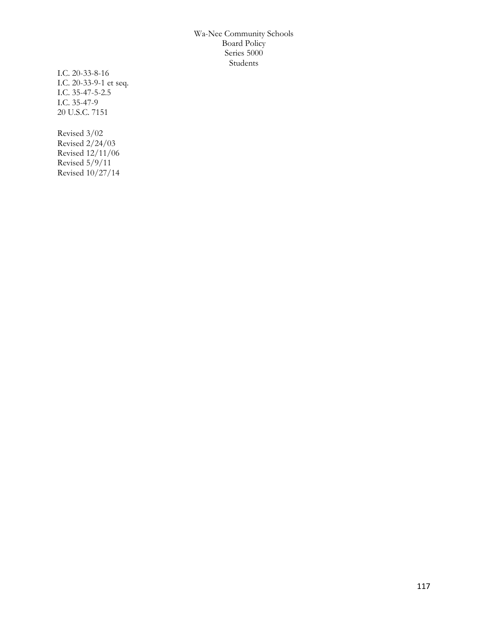I.C. 20-33-8-16 I.C. 20-33-9-1 et seq. I.C. 35-47-5-2.5 I.C. 35-47-9 20 U.S.C. 7151

Revised 3/02 Revised 2/24/03 Revised 12/11/06 Revised 5/9/11 Revised 10/27/14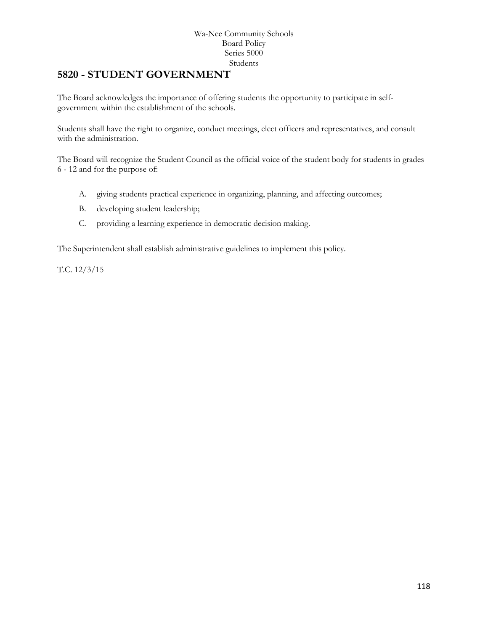### **[5820](http://www.neola.com/wanee-in/search/ag/ag5820.htm) - STUDENT GOVERNMENT**

The Board acknowledges the importance of offering students the opportunity to participate in selfgovernment within the establishment of the schools.

Students shall have the right to organize, conduct meetings, elect officers and representatives, and consult with the administration.

The Board will recognize the Student Council as the official voice of the student body for students in grades 6 - 12 and for the purpose of:

- A. giving students practical experience in organizing, planning, and affecting outcomes;
- B. developing student leadership;
- C. providing a learning experience in democratic decision making.

The Superintendent shall establish administrative guidelines to implement this policy.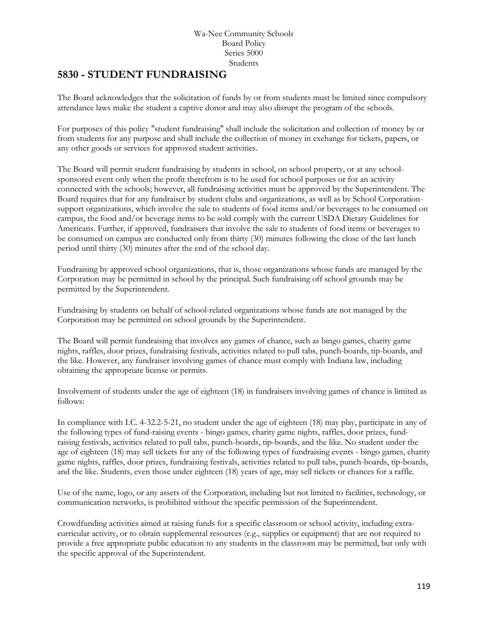### **[5830](http://www.neola.com/wanee-in/search/ag/ag5830.htm) - STUDENT FUNDRAISING**

The Board acknowledges that the solicitation of funds by or from students must be limited since compulsory attendance laws make the student a captive donor and may also disrupt the program of the schools.

For purposes of this policy "student fundraising" shall include the solicitation and collection of money by or from students for any purpose and shall include the collection of money in exchange for tickets, papers, or any other goods or services for approved student activities.

The Board will permit student fundraising by students in school, on school property, or at any schoolsponsored event only when the profit therefrom is to be used for school purposes or for an activity connected with the schools; however, all fundraising activities must be approved by the Superintendent. The Board requires that for any fundraiser by student clubs and organizations, as well as by School Corporationsupport organizations, which involve the sale to students of food items and/or beverages to be consumed on campus, the food and/or beverage items to be sold comply with the current USDA Dietary Guidelines for Americans. Further, if approved, fundraisers that involve the sale to students of food items or beverages to be consumed on campus are conducted only from thirty (30) minutes following the close of the last lunch period until thirty (30) minutes after the end of the school day.

Fundraising by approved school organizations, that is, those organizations whose funds are managed by the Corporation may be permitted in school by the principal. Such fundraising off school grounds may be permitted by the Superintendent.

Fundraising by students on behalf of school-related organizations whose funds are not managed by the Corporation may be permitted on school grounds by the Superintendent.

The Board will permit fundraising that involves any games of chance, such as bingo games, charity game nights, raffles, door prizes, fundraising festivals, activities related to pull tabs, punch-boards, tip-boards, and the like. However, any fundraiser involving games of chance must comply with Indiana law, including obtaining the appropriate license or permits.

Involvement of students under the age of eighteen (18) in fundraisers involving games of chance is limited as follows:

In compliance with I.C. 4-32.2-5-21, no student under the age of eighteen (18) may play, participate in any of the following types of fund-raising events - bingo games, charity game nights, raffles, door prizes, fundraising festivals, activities related to pull tabs, punch-boards, tip-boards, and the like. No student under the age of eighteen (18) may sell tickets for any of the following types of fundraising events - bingo games, charity game nights, raffles, door prizes, fundraising festivals, activities related to pull tabs, punch-boards, tip-boards, and the like. Students, even those under eighteen (18) years of age, may sell tickets or chances for a raffle.

Use of the name, logo, or any assets of the Corporation, including but not limited to facilities, technology, or communication networks, is prohibited without the specific permission of the Superintendent.

Crowdfunding activities aimed at raising funds for a specific classroom or school activity, including extracurricular activity, or to obtain supplemental resources (e.g., supplies or equipment) that are not required to provide a free appropriate public education to any students in the classroom may be permitted, but only with the specific approval of the Superintendent.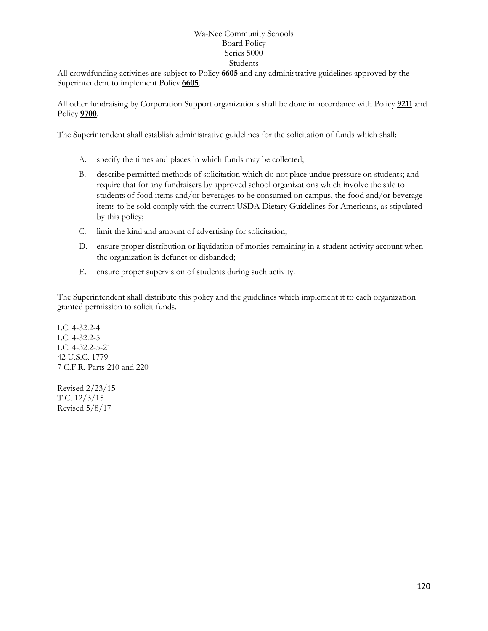All crowdfunding activities are subject to Policy **[6605](http://www.neola.com/wanee-in/search/policies/po6605.htm)** and any administrative guidelines approved by the Superintendent to implement Policy **[6605](http://www.neola.com/wanee-in/search/policies/po6605.htm)**.

All other fundraising by Corporation Support organizations shall be done in accordance with Policy **[9211](http://www.neola.com/wanee-in/search/policies/po9211.htm)** and Policy **[9700](http://www.neola.com/wanee-in/search/policies/po9700.htm)**.

The Superintendent shall establish administrative guidelines for the solicitation of funds which shall:

- A. specify the times and places in which funds may be collected;
- B. describe permitted methods of solicitation which do not place undue pressure on students; and require that for any fundraisers by approved school organizations which involve the sale to students of food items and/or beverages to be consumed on campus, the food and/or beverage items to be sold comply with the current USDA Dietary Guidelines for Americans, as stipulated by this policy;
- C. limit the kind and amount of advertising for solicitation;
- D. ensure proper distribution or liquidation of monies remaining in a student activity account when the organization is defunct or disbanded;
- E. ensure proper supervision of students during such activity.

The Superintendent shall distribute this policy and the guidelines which implement it to each organization granted permission to solicit funds.

I.C. 4-32.2-4 I.C. 4-32.2-5 I.C. 4-32.2-5-21 42 U.S.C. 1779 7 C.F.R. Parts 210 and 220

Revised 2/23/15 T.C. 12/3/15 Revised 5/8/17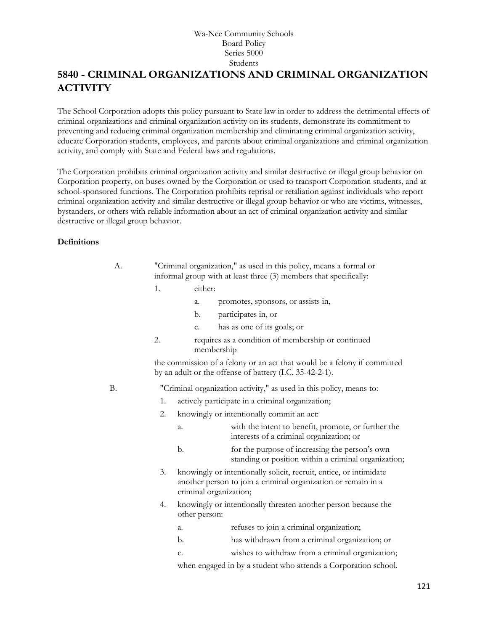# **5840 - CRIMINAL ORGANIZATIONS AND CRIMINAL ORGANIZATION ACTIVITY**

The School Corporation adopts this policy pursuant to State law in order to address the detrimental effects of criminal organizations and criminal organization activity on its students, demonstrate its commitment to preventing and reducing criminal organization membership and eliminating criminal organization activity, educate Corporation students, employees, and parents about criminal organizations and criminal organization activity, and comply with State and Federal laws and regulations.

The Corporation prohibits criminal organization activity and similar destructive or illegal group behavior on Corporation property, on buses owned by the Corporation or used to transport Corporation students, and at school-sponsored functions. The Corporation prohibits reprisal or retaliation against individuals who report criminal organization activity and similar destructive or illegal group behavior or who are victims, witnesses, bystanders, or others with reliable information about an act of criminal organization activity and similar destructive or illegal group behavior.

#### **Definitions**

| А. | "Criminal organization," as used in this policy, means a formal or |
|----|--------------------------------------------------------------------|
|    | informal group with at least three (3) members that specifically:  |

- 1. either:
	- a. promotes, sponsors, or assists in,
	- b. participates in, or
	- c. has as one of its goals; or
- 2. requires as a condition of membership or continued membership

the commission of a felony or an act that would be a felony if committed by an adult or the offense of battery (I.C. 35-42-2-1).

B. "Criminal organization activity," as used in this policy, means to:

- 1. actively participate in a criminal organization;
- 2. knowingly or intentionally commit an act:
	- a. with the intent to benefit, promote, or further the interests of a criminal organization; or
	- b. for the purpose of increasing the person's own standing or position within a criminal organization;
- 3. knowingly or intentionally solicit, recruit, entice, or intimidate another person to join a criminal organization or remain in a criminal organization;
- 4. knowingly or intentionally threaten another person because the other person:
	- a. refuses to join a criminal organization;
	- b. has withdrawn from a criminal organization; or
	- c. wishes to withdraw from a criminal organization;

when engaged in by a student who attends a Corporation school.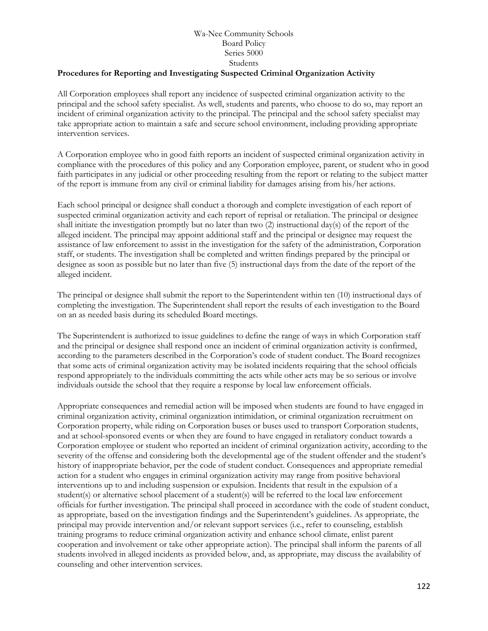#### **Procedures for Reporting and Investigating Suspected Criminal Organization Activity**

All Corporation employees shall report any incidence of suspected criminal organization activity to the principal and the school safety specialist. As well, students and parents, who choose to do so, may report an incident of criminal organization activity to the principal. The principal and the school safety specialist may take appropriate action to maintain a safe and secure school environment, including providing appropriate intervention services.

A Corporation employee who in good faith reports an incident of suspected criminal organization activity in compliance with the procedures of this policy and any Corporation employee, parent, or student who in good faith participates in any judicial or other proceeding resulting from the report or relating to the subject matter of the report is immune from any civil or criminal liability for damages arising from his/her actions.

Each school principal or designee shall conduct a thorough and complete investigation of each report of suspected criminal organization activity and each report of reprisal or retaliation. The principal or designee shall initiate the investigation promptly but no later than two (2) instructional day(s) of the report of the alleged incident. The principal may appoint additional staff and the principal or designee may request the assistance of law enforcement to assist in the investigation for the safety of the administration, Corporation staff, or students. The investigation shall be completed and written findings prepared by the principal or designee as soon as possible but no later than five (5) instructional days from the date of the report of the alleged incident.

The principal or designee shall submit the report to the Superintendent within ten (10) instructional days of completing the investigation. The Superintendent shall report the results of each investigation to the Board on an as needed basis during its scheduled Board meetings.

The Superintendent is authorized to issue guidelines to define the range of ways in which Corporation staff and the principal or designee shall respond once an incident of criminal organization activity is confirmed, according to the parameters described in the Corporation's code of student conduct. The Board recognizes that some acts of criminal organization activity may be isolated incidents requiring that the school officials respond appropriately to the individuals committing the acts while other acts may be so serious or involve individuals outside the school that they require a response by local law enforcement officials.

Appropriate consequences and remedial action will be imposed when students are found to have engaged in criminal organization activity, criminal organization intimidation, or criminal organization recruitment on Corporation property, while riding on Corporation buses or buses used to transport Corporation students, and at school-sponsored events or when they are found to have engaged in retaliatory conduct towards a Corporation employee or student who reported an incident of criminal organization activity, according to the severity of the offense and considering both the developmental age of the student offender and the student's history of inappropriate behavior, per the code of student conduct. Consequences and appropriate remedial action for a student who engages in criminal organization activity may range from positive behavioral interventions up to and including suspension or expulsion. Incidents that result in the expulsion of a student(s) or alternative school placement of a student(s) will be referred to the local law enforcement officials for further investigation. The principal shall proceed in accordance with the code of student conduct, as appropriate, based on the investigation findings and the Superintendent's guidelines. As appropriate, the principal may provide intervention and/or relevant support services (i.e., refer to counseling, establish training programs to reduce criminal organization activity and enhance school climate, enlist parent cooperation and involvement or take other appropriate action). The principal shall inform the parents of all students involved in alleged incidents as provided below, and, as appropriate, may discuss the availability of counseling and other intervention services.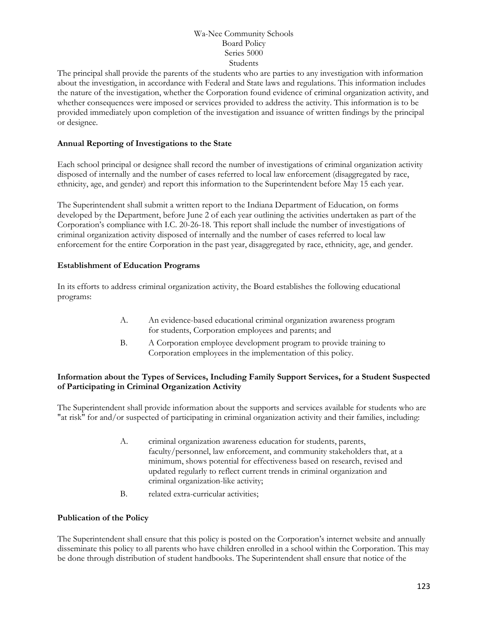The principal shall provide the parents of the students who are parties to any investigation with information about the investigation, in accordance with Federal and State laws and regulations. This information includes the nature of the investigation, whether the Corporation found evidence of criminal organization activity, and whether consequences were imposed or services provided to address the activity. This information is to be provided immediately upon completion of the investigation and issuance of written findings by the principal or designee.

#### **Annual Reporting of Investigations to the State**

Each school principal or designee shall record the number of investigations of criminal organization activity disposed of internally and the number of cases referred to local law enforcement (disaggregated by race, ethnicity, age, and gender) and report this information to the Superintendent before May 15 each year.

The Superintendent shall submit a written report to the Indiana Department of Education, on forms developed by the Department, before June 2 of each year outlining the activities undertaken as part of the Corporation's compliance with I.C. 20-26-18. This report shall include the number of investigations of criminal organization activity disposed of internally and the number of cases referred to local law enforcement for the entire Corporation in the past year, disaggregated by race, ethnicity, age, and gender.

#### **Establishment of Education Programs**

In its efforts to address criminal organization activity, the Board establishes the following educational programs:

- A. An evidence-based educational criminal organization awareness program for students, Corporation employees and parents; and
- B. A Corporation employee development program to provide training to Corporation employees in the implementation of this policy.

#### **Information about the Types of Services, Including Family Support Services, for a Student Suspected of Participating in Criminal Organization Activity**

The Superintendent shall provide information about the supports and services available for students who are "at risk" for and/or suspected of participating in criminal organization activity and their families, including:

- A. criminal organization awareness education for students, parents, faculty/personnel, law enforcement, and community stakeholders that, at a minimum, shows potential for effectiveness based on research, revised and updated regularly to reflect current trends in criminal organization and criminal organization-like activity;
- B. related extra-curricular activities;

#### **Publication of the Policy**

The Superintendent shall ensure that this policy is posted on the Corporation's internet website and annually disseminate this policy to all parents who have children enrolled in a school within the Corporation. This may be done through distribution of student handbooks. The Superintendent shall ensure that notice of the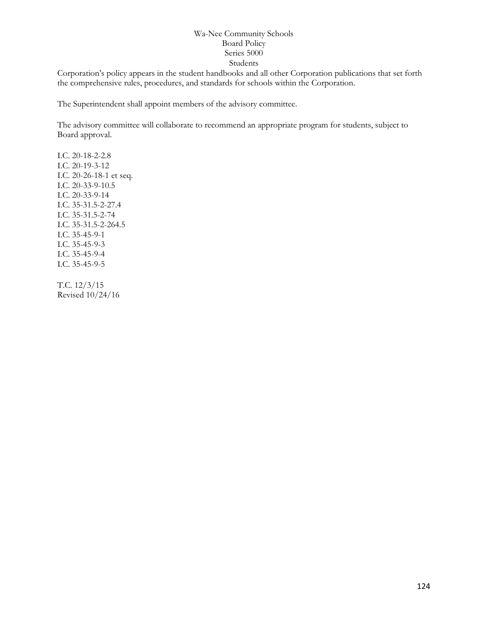Corporation's policy appears in the student handbooks and all other Corporation publications that set forth the comprehensive rules, procedures, and standards for schools within the Corporation.

The Superintendent shall appoint members of the advisory committee.

The advisory committee will collaborate to recommend an appropriate program for students, subject to Board approval.

I.C. 20-18-2-2.8 I.C. 20-19-3-12 I.C. 20-26-18-1 et seq. I.C. 20-33-9-10.5 I.C. 20-33-9-14 I.C. 35-31.5-2-27.4 I.C. 35-31.5-2-74 I.C. 35-31.5-2-264.5 I.C. 35-45-9-1 I.C. 35-45-9-3 I.C. 35-45-9-4 I.C. 35-45-9-5

T.C. 12/3/15 Revised 10/24/16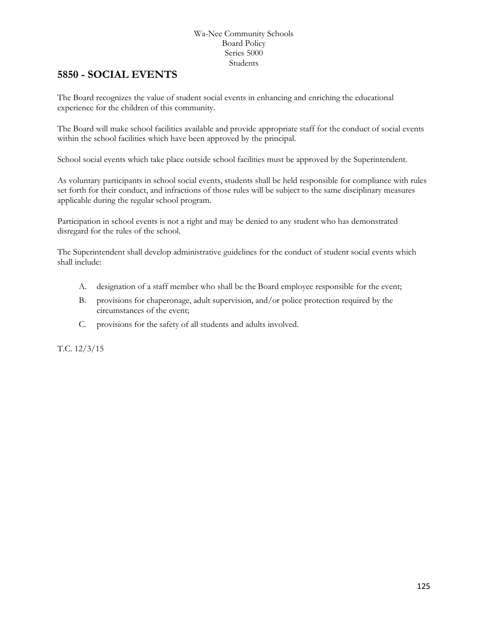# **5850 - SOCIAL EVENTS**

The Board recognizes the value of student social events in enhancing and enriching the educational experience for the children of this community.

The Board will make school facilities available and provide appropriate staff for the conduct of social events within the school facilities which have been approved by the principal.

School social events which take place outside school facilities must be approved by the Superintendent.

As voluntary participants in school social events, students shall be held responsible for compliance with rules set forth for their conduct, and infractions of those rules will be subject to the same disciplinary measures applicable during the regular school program.

Participation in school events is not a right and may be denied to any student who has demonstrated disregard for the rules of the school.

The Superintendent shall develop administrative guidelines for the conduct of student social events which shall include:

- A. designation of a staff member who shall be the Board employee responsible for the event;
- B. provisions for chaperonage, adult supervision, and/or police protection required by the circumstances of the event;
- C. provisions for the safety of all students and adults involved.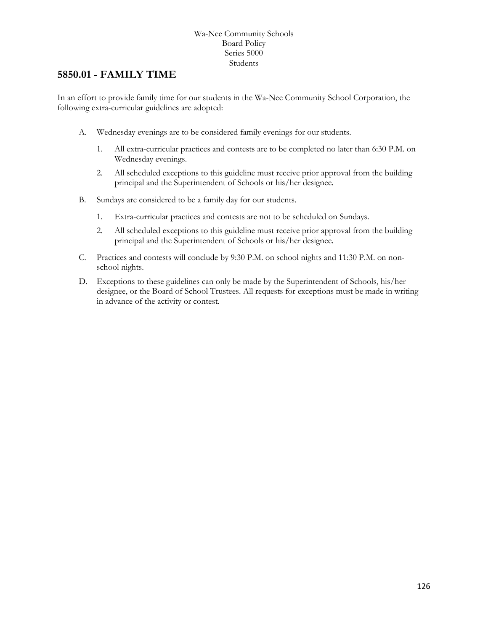### **5850.01 - FAMILY TIME**

In an effort to provide family time for our students in the Wa-Nee Community School Corporation, the following extra-curricular guidelines are adopted:

- A. Wednesday evenings are to be considered family evenings for our students.
	- 1. All extra-curricular practices and contests are to be completed no later than 6:30 P.M. on Wednesday evenings.
	- 2. All scheduled exceptions to this guideline must receive prior approval from the building principal and the Superintendent of Schools or his/her designee.
- B. Sundays are considered to be a family day for our students.
	- 1. Extra-curricular practices and contests are not to be scheduled on Sundays.
	- 2. All scheduled exceptions to this guideline must receive prior approval from the building principal and the Superintendent of Schools or his/her designee.
- C. Practices and contests will conclude by 9:30 P.M. on school nights and 11:30 P.M. on nonschool nights.
- D. Exceptions to these guidelines can only be made by the Superintendent of Schools, his/her designee, or the Board of School Trustees. All requests for exceptions must be made in writing in advance of the activity or contest.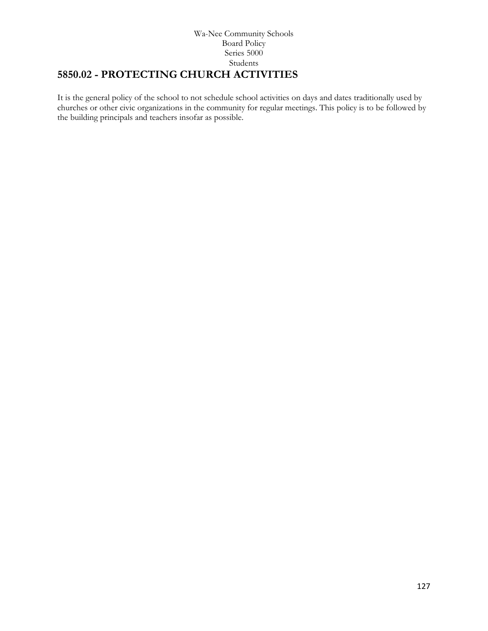#### Wa-Nee Community Schools Board Policy Series 5000 Students **5850.02 - PROTECTING CHURCH ACTIVITIES**

It is the general policy of the school to not schedule school activities on days and dates traditionally used by churches or other civic organizations in the community for regular meetings. This policy is to be followed by the building principals and teachers insofar as possible.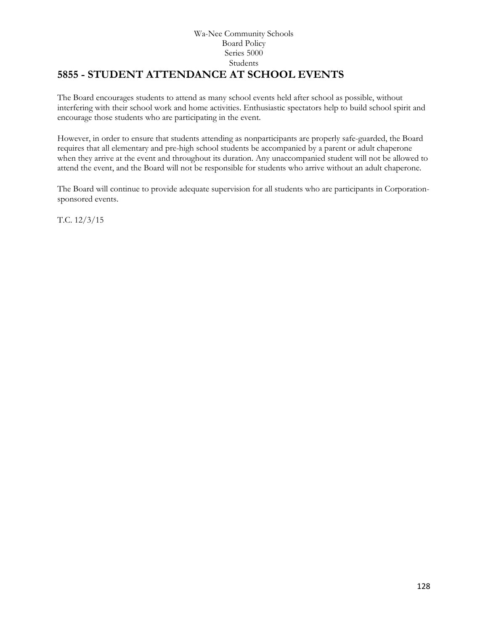#### Wa-Nee Community Schools Board Policy Series 5000 Students **5855 - STUDENT ATTENDANCE AT SCHOOL EVENTS**

The Board encourages students to attend as many school events held after school as possible, without interfering with their school work and home activities. Enthusiastic spectators help to build school spirit and encourage those students who are participating in the event.

However, in order to ensure that students attending as nonparticipants are properly safe-guarded, the Board requires that all elementary and pre-high school students be accompanied by a parent or adult chaperone when they arrive at the event and throughout its duration. Any unaccompanied student will not be allowed to attend the event, and the Board will not be responsible for students who arrive without an adult chaperone.

The Board will continue to provide adequate supervision for all students who are participants in Corporationsponsored events.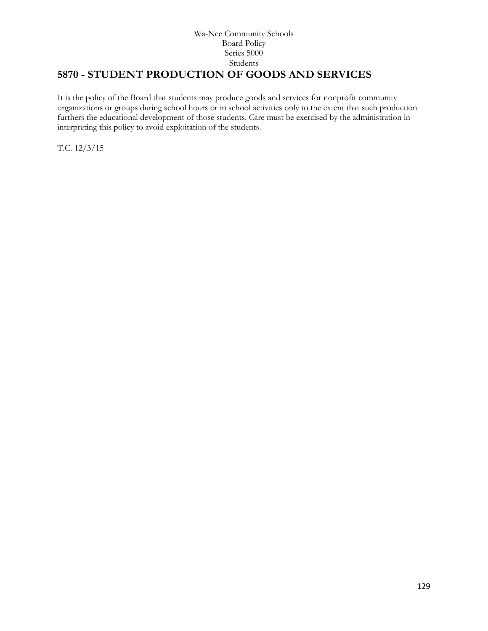# **5870 - STUDENT PRODUCTION OF GOODS AND SERVICES**

It is the policy of the Board that students may produce goods and services for nonprofit community organizations or groups during school hours or in school activities only to the extent that such production furthers the educational development of those students. Care must be exercised by the administration in interpreting this policy to avoid exploitation of the students.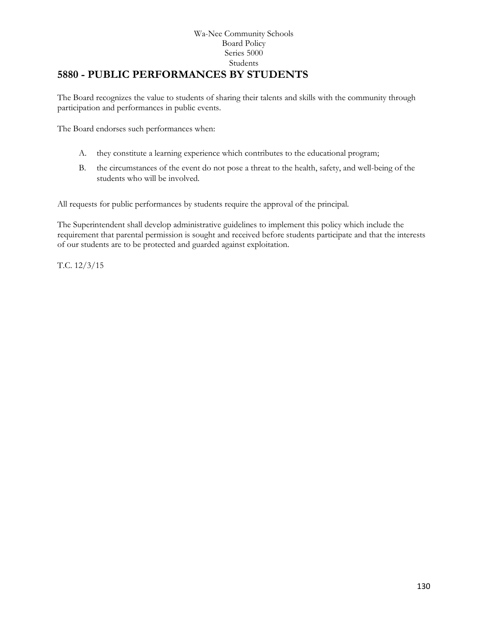#### Wa-Nee Community Schools Board Policy Series 5000 Students **[5880](http://www.neola.com/wanee-in/search/ag/ag5880.htm) - PUBLIC PERFORMANCES BY STUDENTS**

The Board recognizes the value to students of sharing their talents and skills with the community through participation and performances in public events.

The Board endorses such performances when:

- A. they constitute a learning experience which contributes to the educational program;
- B. the circumstances of the event do not pose a threat to the health, safety, and well-being of the students who will be involved.

All requests for public performances by students require the approval of the principal.

The Superintendent shall develop administrative guidelines to implement this policy which include the requirement that parental permission is sought and received before students participate and that the interests of our students are to be protected and guarded against exploitation.